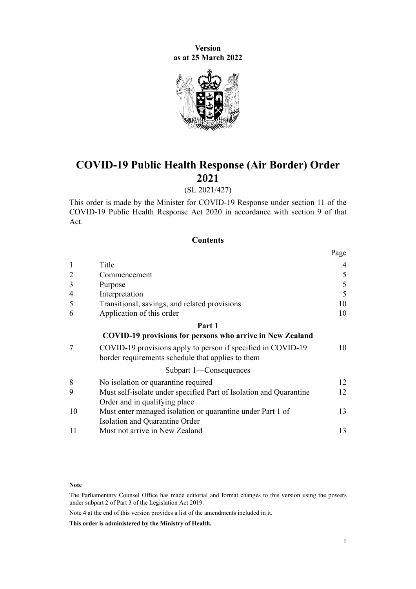**Version as at 25 March 2022**



# **COVID-19 Public Health Response (Air Border) Order 2021**

# (SL 2021/427)

This order is made by the Minister for COVID-19 Response under [section 11](http://legislation.govt.nz/pdflink.aspx?id=LMS344177) of the [COVID-19 Public Health Response Act 2020](http://legislation.govt.nz/pdflink.aspx?id=LMS344121) in accordance with [section 9](http://legislation.govt.nz/pdflink.aspx?id=LMS344175) of that Act.

# **Contents**

|                |                                                                                                                   | Page |
|----------------|-------------------------------------------------------------------------------------------------------------------|------|
| $\mathbf{1}$   | Title                                                                                                             | 4    |
| $\overline{2}$ | Commencement                                                                                                      | 5    |
| 3              | Purpose                                                                                                           | 5    |
| $\overline{4}$ | Interpretation                                                                                                    | 5    |
| 5              | Transitional, savings, and related provisions                                                                     | 10   |
| 6              | Application of this order                                                                                         | 10   |
|                | Part 1                                                                                                            |      |
|                | <b>COVID-19 provisions for persons who arrive in New Zealand</b>                                                  |      |
| 7              | COVID-19 provisions apply to person if specified in COVID-19<br>border requirements schedule that applies to them | 10   |
|                | Subpart 1-Consequences                                                                                            |      |
| 8              | No isolation or quarantine required                                                                               | 12   |
| 9              | Must self-isolate under specified Part of Isolation and Quarantine                                                | 12   |
|                | Order and in qualifying place                                                                                     |      |
| 10             | Must enter managed isolation or quarantine under Part 1 of                                                        | 13   |
|                | Isolation and Quarantine Order                                                                                    |      |
| 11             | Must not arrive in New Zealand                                                                                    | 13   |

Note 4 at the end of this version provides a list of the amendments included in it.

**This order is administered by the Ministry of Health.**

**Note**

The Parliamentary Counsel Office has made editorial and format changes to this version using the powers under [subpart 2](http://legislation.govt.nz/pdflink.aspx?id=DLM7298371) of Part 3 of the Legislation Act 2019.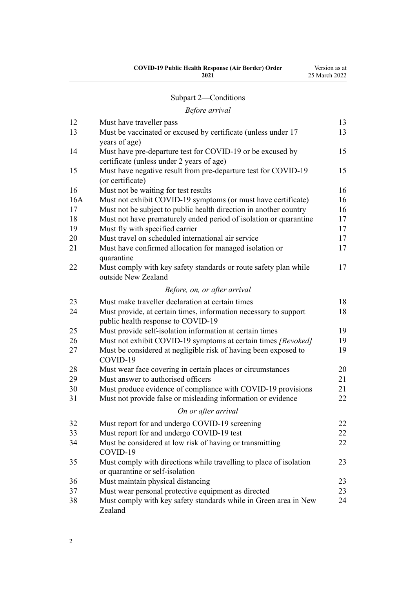| <b>COVID-19 Public Health Response (Air Border) Order</b> | Version as at |
|-----------------------------------------------------------|---------------|
| 2021                                                      | 25 March 2022 |
|                                                           |               |

# [Subpart 2—Conditions](#page-12-0)

# *[Before arrival](#page-12-0)*

| 12  | Must have traveller pass                                                                               | 13 |
|-----|--------------------------------------------------------------------------------------------------------|----|
| 13  | Must be vaccinated or excused by certificate (unless under 17<br>years of age)                         | 13 |
| 14  | Must have pre-departure test for COVID-19 or be excused by                                             | 15 |
|     | certificate (unless under 2 years of age)                                                              |    |
| 15  | Must have negative result from pre-departure test for COVID-19                                         | 15 |
|     | (or certificate)                                                                                       |    |
| 16  | Must not be waiting for test results                                                                   | 16 |
| 16A | Must not exhibit COVID-19 symptoms (or must have certificate)                                          | 16 |
| 17  | Must not be subject to public health direction in another country                                      | 16 |
| 18  | Must not have prematurely ended period of isolation or quarantine                                      | 17 |
| 19  | Must fly with specified carrier                                                                        | 17 |
| 20  | Must travel on scheduled international air service                                                     | 17 |
| 21  | Must have confirmed allocation for managed isolation or<br>quarantine                                  | 17 |
| 22  | Must comply with key safety standards or route safety plan while<br>outside New Zealand                | 17 |
|     | Before, on, or after arrival                                                                           |    |
| 23  | Must make traveller declaration at certain times                                                       | 18 |
| 24  | Must provide, at certain times, information necessary to support<br>public health response to COVID-19 | 18 |
| 25  | Must provide self-isolation information at certain times                                               | 19 |
| 26  | Must not exhibit COVID-19 symptoms at certain times [Revoked]                                          | 19 |
| 27  | Must be considered at negligible risk of having been exposed to<br>COVID-19                            | 19 |
| 28  | Must wear face covering in certain places or circumstances                                             | 20 |
| 29  | Must answer to authorised officers                                                                     | 21 |
| 30  | Must produce evidence of compliance with COVID-19 provisions                                           | 21 |
| 31  | Must not provide false or misleading information or evidence                                           | 22 |
|     | On or after arrival                                                                                    |    |
| 32  | Must report for and undergo COVID-19 screening                                                         | 22 |
| 33  | Must report for and undergo COVID-19 test                                                              | 22 |
| 34  | Must be considered at low risk of having or transmitting<br>COVID-19                                   | 22 |
| 35  | Must comply with directions while travelling to place of isolation<br>or quarantine or self-isolation  | 23 |
| 36  | Must maintain physical distancing                                                                      | 23 |
| 37  | Must wear personal protective equipment as directed                                                    | 23 |
| 38  | Must comply with key safety standards while in Green area in New<br>Zealand                            | 24 |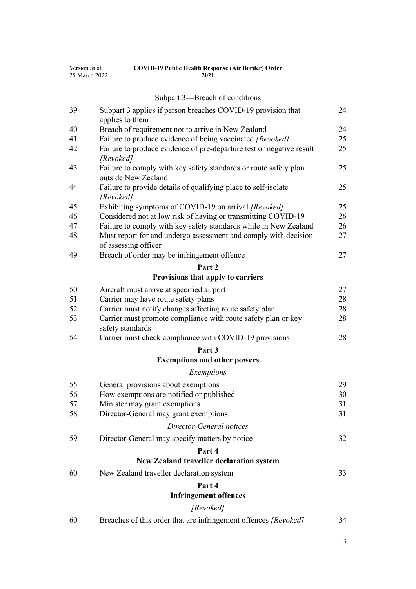| Version as at | <b>COVID-19 Public Health Response (Air Border) Order</b> |
|---------------|-----------------------------------------------------------|
| 25 March 2022 | 2021                                                      |

|    | Subpart 3—Breach of conditions                                                          |    |
|----|-----------------------------------------------------------------------------------------|----|
| 39 | Subpart 3 applies if person breaches COVID-19 provision that                            | 24 |
| 40 | applies to them<br>Breach of requirement not to arrive in New Zealand                   | 24 |
| 41 | Failure to produce evidence of being vaccinated [Revoked]                               | 25 |
| 42 | Failure to produce evidence of pre-departure test or negative result                    | 25 |
|    | [Revoked]                                                                               |    |
| 43 | Failure to comply with key safety standards or route safety plan<br>outside New Zealand | 25 |
| 44 | Failure to provide details of qualifying place to self-isolate<br>[Revoked]             | 25 |
| 45 | Exhibiting symptoms of COVID-19 on arrival [Revoked]                                    | 25 |
| 46 | Considered not at low risk of having or transmitting COVID-19                           | 26 |
| 47 | Failure to comply with key safety standards while in New Zealand                        | 26 |
| 48 | Must report for and undergo assessment and comply with decision<br>of assessing officer | 27 |
| 49 | Breach of order may be infringement offence                                             | 27 |
|    | Part 2                                                                                  |    |
|    | Provisions that apply to carriers                                                       |    |
| 50 | Aircraft must arrive at specified airport                                               | 27 |
| 51 | Carrier may have route safety plans                                                     | 28 |
| 52 | Carrier must notify changes affecting route safety plan                                 | 28 |
| 53 | Carrier must promote compliance with route safety plan or key<br>safety standards       | 28 |
| 54 | Carrier must check compliance with COVID-19 provisions                                  | 28 |
|    | Part 3                                                                                  |    |
|    | <b>Exemptions and other powers</b>                                                      |    |
|    | Exemptions                                                                              |    |
| 55 | General provisions about exemptions                                                     | 29 |
| 56 | How exemptions are notified or published                                                | 30 |
| 57 | Minister may grant exemptions                                                           | 31 |
| 58 | Director-General may grant exemptions                                                   | 31 |
|    | Director-General notices                                                                |    |
| 59 | Director-General may specify matters by notice                                          | 32 |
|    | Part 4                                                                                  |    |
|    | New Zealand traveller declaration system                                                |    |
| 60 | New Zealand traveller declaration system                                                | 33 |
|    | Part 4                                                                                  |    |
|    | <b>Infringement offences</b>                                                            |    |
|    | [Revoked]                                                                               |    |
| 60 | Breaches of this order that are infringement offences [Revoked]                         | 34 |

3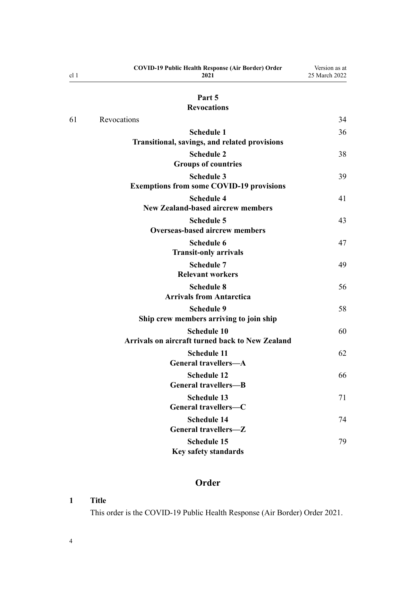<span id="page-3-0"></span>

| cl <sub>1</sub> | <b>COVID-19 Public Health Response (Air Border) Order</b><br>2021            | Version as at<br>25 March 2022 |
|-----------------|------------------------------------------------------------------------------|--------------------------------|
|                 | Part 5                                                                       |                                |
|                 | <b>Revocations</b>                                                           |                                |
| 61              | Revocations                                                                  | 34                             |
|                 | <b>Schedule 1</b><br>Transitional, savings, and related provisions           | 36                             |
|                 | <b>Schedule 2</b><br><b>Groups of countries</b>                              | 38                             |
|                 | <b>Schedule 3</b><br><b>Exemptions from some COVID-19 provisions</b>         | 39                             |
|                 | <b>Schedule 4</b><br><b>New Zealand-based aircrew members</b>                | 41                             |
|                 | <b>Schedule 5</b><br><b>Overseas-based aircrew members</b>                   | 43                             |
|                 | <b>Schedule 6</b><br><b>Transit-only arrivals</b>                            | 47                             |
|                 | <b>Schedule 7</b><br><b>Relevant workers</b>                                 | 49                             |
|                 | <b>Schedule 8</b><br><b>Arrivals from Antarctica</b>                         | 56                             |
|                 | <b>Schedule 9</b><br>Ship crew members arriving to join ship                 | 58                             |
|                 | <b>Schedule 10</b><br><b>Arrivals on aircraft turned back to New Zealand</b> | 60                             |
|                 | <b>Schedule 11</b><br><b>General travellers-A</b>                            | 62                             |
|                 | <b>Schedule 12</b><br><b>General travellers-B</b>                            | 66                             |
|                 | <b>Schedule 13</b><br>General travellers-C                                   | 71                             |
|                 | <b>Schedule 14</b><br>General travellers-Z                                   | 74                             |
|                 | <b>Schedule 15</b><br>Key safety standards                                   | 79                             |

# **Order**

# **1 Title**

This order is the COVID-19 Public Health Response (Air Border) Order 2021.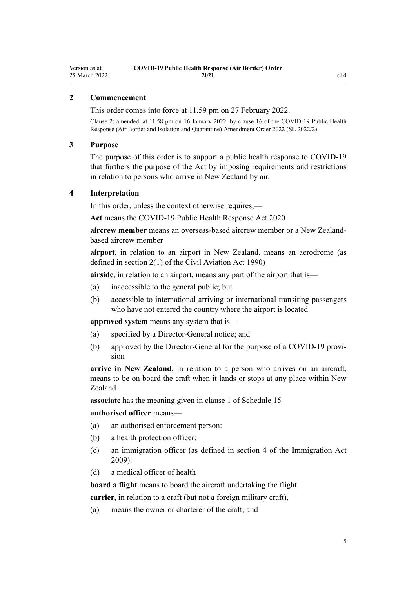# <span id="page-4-0"></span>**2 Commencement**

This order comes into force at 11.59 pm on 27 February 2022.

Clause 2: amended, at 11.58 pm on 16 January 2022, by [clause 16](http://legislation.govt.nz/pdflink.aspx?id=LMS629294) of the COVID-19 Public Health Response (Air Border and Isolation and Quarantine) Amendment Order 2022 (SL 2022/2).

# **3 Purpose**

The purpose of this order is to support a public health response to COVID-19 that furthers the purpose of the Act by imposing requirements and restrictions in relation to persons who arrive in New Zealand by air.

#### **4 Interpretation**

In this order, unless the context otherwise requires,—

**Act** means the [COVID-19 Public Health Response Act 2020](http://legislation.govt.nz/pdflink.aspx?id=LMS344121)

**aircrew member** means an overseas-based aircrew member or a New Zealandbased aircrew member

**airport**, in relation to an airport in New Zealand, means an aerodrome (as defined in [section 2\(1\)](http://legislation.govt.nz/pdflink.aspx?id=DLM214692) of the Civil Aviation Act 1990)

**airside**, in relation to an airport, means any part of the airport that is—

- (a) inaccessible to the general public; but
- (b) accessible to international arriving or international transiting passengers who have not entered the country where the airport is located

**approved system** means any system that is—

- (a) specified by a Director-General notice; and
- (b) approved by the Director-General for the purpose of a COVID-19 provision

**arrive in New Zealand**, in relation to a person who arrives on an aircraft, means to be on board the craft when it lands or stops at any place within New Zealand

**associate** has the meaning given in [clause 1](#page-78-0) of Schedule 15

# **authorised officer** means—

- (a) an authorised enforcement person:
- (b) a health protection officer:
- (c) an immigration officer (as defined in [section 4](http://legislation.govt.nz/pdflink.aspx?id=DLM1440311) of the Immigration Act 2009):
- (d) a medical officer of health

**board a flight** means to board the aircraft undertaking the flight

**carrier**, in relation to a craft (but not a foreign military craft),—

(a) means the owner or charterer of the craft; and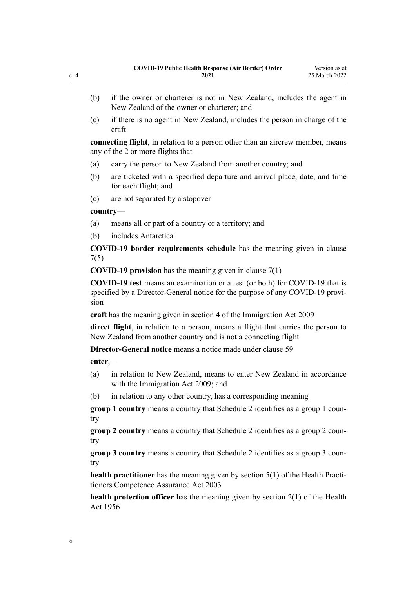- (b) if the owner or charterer is not in New Zealand, includes the agent in New Zealand of the owner or charterer; and
- (c) if there is no agent in New Zealand, includes the person in charge of the craft

**connecting flight**, in relation to a person other than an aircrew member, means any of the 2 or more flights that—

- (a) carry the person to New Zealand from another country; and
- (b) are ticketed with a specified departure and arrival place, date, and time for each flight; and
- (c) are not separated by a stopover

#### **country**—

- (a) means all or part of a country or a territory; and
- (b) includes Antarctica

**COVID-19 border requirements schedule** has the meaning given in [clause](#page-9-0) [7\(5\)](#page-9-0)

**COVID-19 provision** has the meaning given in [clause 7\(1\)](#page-9-0)

**COVID-19 test** means an examination or a test (or both) for COVID-19 that is specified by a Director-General notice for the purpose of any COVID-19 provision

**craft** has the meaning given in [section 4](http://legislation.govt.nz/pdflink.aspx?id=DLM1440311) of the Immigration Act 2009

**direct flight**, in relation to a person, means a flight that carries the person to New Zealand from another country and is not a connecting flight

**Director-General notice** means a notice made under [clause 59](#page-31-0)

**enter**,—

- (a) in relation to New Zealand, means to enter New Zealand in accordance with the [Immigration Act 2009](http://legislation.govt.nz/pdflink.aspx?id=DLM1440300); and
- (b) in relation to any other country, has a corresponding meaning

**group 1 country** means a country that [Schedule 2](#page-37-0) identifies as a group 1 country

**group 2 country** means a country that [Schedule 2](#page-37-0) identifies as a group 2 country

**group 3 country** means a country that [Schedule 2](#page-37-0) identifies as a group 3 country

**health practitioner** has the meaning given by [section 5\(1\)](http://legislation.govt.nz/pdflink.aspx?id=DLM203321) of the Health Practitioners Competence Assurance Act 2003

**health protection officer** has the meaning given by [section 2\(1\)](http://legislation.govt.nz/pdflink.aspx?id=DLM305845) of the Health Act 1956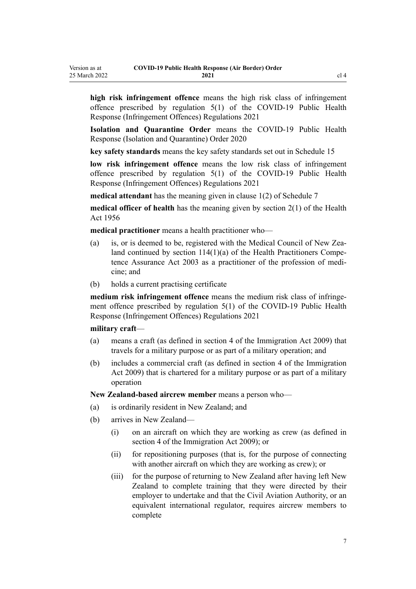**high risk infringement offence** means the high risk class of infringement offence prescribed by [regulation 5\(1\)](http://legislation.govt.nz/pdflink.aspx?id=LMS600713) of the COVID-19 Public Health Response (Infringement Offences) Regulations 2021

**Isolation and Quarantine Order** means the [COVID-19 Public Health](http://legislation.govt.nz/pdflink.aspx?id=LMS401666) [Response \(Isolation and Quarantine\) Order 2020](http://legislation.govt.nz/pdflink.aspx?id=LMS401666)

**key safety standards** means the key safety standards set out in [Schedule 15](#page-78-0)

**low risk infringement offence** means the low risk class of infringement offence prescribed by [regulation 5\(1\)](http://legislation.govt.nz/pdflink.aspx?id=LMS600713) of the COVID-19 Public Health Response (Infringement Offences) Regulations 2021

**medical attendant** has the meaning given in [clause 1\(2\)](#page-48-0) of Schedule 7

**medical officer of health** has the meaning given by [section 2\(1\)](http://legislation.govt.nz/pdflink.aspx?id=DLM305845) of the Health Act 1956

**medical practitioner** means a health practitioner who—

- (a) is, or is deemed to be, registered with the Medical Council of New Zealand continued by section  $114(1)(a)$  of the Health Practitioners Competence Assurance Act 2003 as a practitioner of the profession of medi‐ cine; and
- (b) holds a current practising certificate

medium risk infringement offence means the medium risk class of infringement offence prescribed by [regulation 5\(1\)](http://legislation.govt.nz/pdflink.aspx?id=LMS600713) of the COVID-19 Public Health Response (Infringement Offences) Regulations 2021

#### **military craft**—

- (a) means a craft (as defined in [section 4](http://legislation.govt.nz/pdflink.aspx?id=DLM1440311) of the Immigration Act 2009) that travels for a military purpose or as part of a military operation; and
- (b) includes a commercial craft (as defined in [section 4](http://legislation.govt.nz/pdflink.aspx?id=DLM1440311) of the Immigration Act 2009) that is chartered for a military purpose or as part of a military operation

**New Zealand-based aircrew member** means a person who—

- (a) is ordinarily resident in New Zealand; and
- (b) arrives in New Zealand—
	- (i) on an aircraft on which they are working as crew (as defined in [section 4](http://legislation.govt.nz/pdflink.aspx?id=DLM1440311) of the Immigration Act 2009); or
	- (ii) for repositioning purposes (that is, for the purpose of connecting with another aircraft on which they are working as crew); or
	- (iii) for the purpose of returning to New Zealand after having left New Zealand to complete training that they were directed by their employer to undertake and that the Civil Aviation Authority, or an equivalent international regulator, requires aircrew members to complete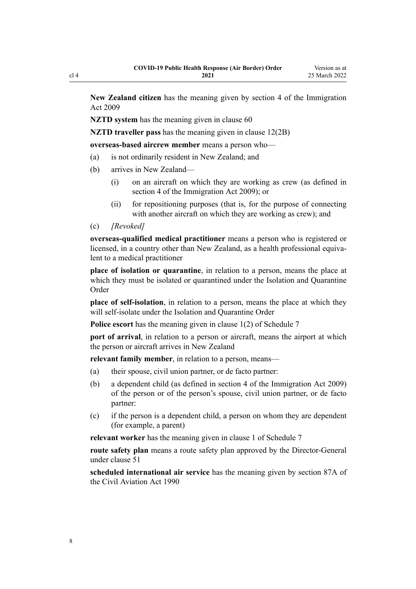**New Zealand citizen** has the meaning given by [section 4](http://legislation.govt.nz/pdflink.aspx?id=DLM1440311) of the Immigration Act 2009

**NZTD** system has the meaning given in [clause 60](#page-32-0)

**NZTD traveller pass** has the meaning given in [clause 12\(2B\)](#page-12-0)

**overseas-based aircrew member** means a person who—

- (a) is not ordinarily resident in New Zealand; and
- (b) arrives in New Zealand—
	- (i) on an aircraft on which they are working as crew (as defined in [section 4](http://legislation.govt.nz/pdflink.aspx?id=DLM1440311) of the Immigration Act 2009); or
	- (ii) for repositioning purposes (that is, for the purpose of connecting with another aircraft on which they are working as crew); and

(c) *[Revoked]*

**overseas-qualified medical practitioner** means a person who is registered or licensed, in a country other than New Zealand, as a health professional equiva‐ lent to a medical practitioner

**place of isolation or quarantine**, in relation to a person, means the place at which they must be isolated or quarantined under the Isolation and Quarantine Order

**place of self-isolation**, in relation to a person, means the place at which they will self-isolate under the Isolation and Quarantine Order

**Police escort** has the meaning given in [clause 1\(2\)](#page-48-0) of Schedule 7

**port of arrival**, in relation to a person or aircraft, means the airport at which the person or aircraft arrives in New Zealand

**relevant family member**, in relation to a person, means—

- (a) their spouse, civil union partner, or de facto partner:
- (b) a dependent child (as defined in [section 4](http://legislation.govt.nz/pdflink.aspx?id=DLM1440311) of the Immigration Act 2009) of the person or of the person's spouse, civil union partner, or de facto partner:
- (c) if the person is a dependent child, a person on whom they are dependent (for example, a parent)

**relevant worker** has the meaning given in [clause 1](#page-48-0) of Schedule 7

**route safety plan** means a route safety plan approved by the Director-General under [clause 51](#page-27-0)

**scheduled international air service** has the meaning given by [section 87A](http://legislation.govt.nz/pdflink.aspx?id=DLM217812) of the Civil Aviation Act 1990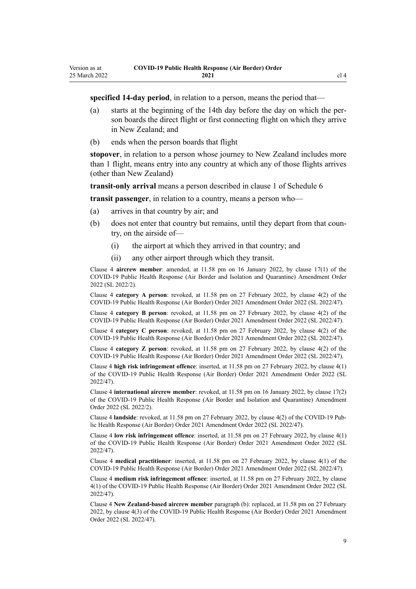**specified 14-day period**, in relation to a person, means the period that—

- (a) starts at the beginning of the 14th day before the day on which the per‐ son boards the direct flight or first connecting flight on which they arrive in New Zealand; and
- (b) ends when the person boards that flight

**stopover**, in relation to a person whose journey to New Zealand includes more than 1 flight, means entry into any country at which any of those flights arrives (other than New Zealand)

**transit-only arrival** means a person described in [clause 1](#page-46-0) of Schedule 6

**transit passenger**, in relation to a country, means a person who—

- (a) arrives in that country by air; and
- (b) does not enter that country but remains, until they depart from that country, on the airside of—
	- (i) the airport at which they arrived in that country; and
	- (ii) any other airport through which they transit.

Clause 4 **aircrew member**: amended, at 11.58 pm on 16 January 2022, by [clause 17\(1\)](http://legislation.govt.nz/pdflink.aspx?id=LMS629299) of the COVID-19 Public Health Response (Air Border and Isolation and Quarantine) Amendment Order 2022 (SL 2022/2).

Clause 4 **category A person**: revoked, at 11.58 pm on 27 February 2022, by [clause 4\(2\)](http://legislation.govt.nz/pdflink.aspx?id=LMS650823) of the COVID-19 Public Health Response (Air Border) Order 2021 Amendment Order 2022 (SL 2022/47).

Clause 4 **category B person**: revoked, at 11.58 pm on 27 February 2022, by [clause 4\(2\)](http://legislation.govt.nz/pdflink.aspx?id=LMS650823) of the COVID-19 Public Health Response (Air Border) Order 2021 Amendment Order 2022 (SL 2022/47).

Clause 4 **category C person**: revoked, at 11.58 pm on 27 February 2022, by [clause 4\(2\)](http://legislation.govt.nz/pdflink.aspx?id=LMS650823) of the COVID-19 Public Health Response (Air Border) Order 2021 Amendment Order 2022 (SL 2022/47).

Clause 4 **category Z person**: revoked, at 11.58 pm on 27 February 2022, by [clause 4\(2\)](http://legislation.govt.nz/pdflink.aspx?id=LMS650823) of the COVID-19 Public Health Response (Air Border) Order 2021 Amendment Order 2022 (SL 2022/47).

Clause 4 **high risk infringement offence**: inserted, at 11.58 pm on 27 February 2022, by [clause 4\(1\)](http://legislation.govt.nz/pdflink.aspx?id=LMS650823) of the COVID-19 Public Health Response (Air Border) Order 2021 Amendment Order 2022 (SL 2022/47).

Clause 4 **international aircrew member**: revoked, at 11.58 pm on 16 January 2022, by [clause 17\(2\)](http://legislation.govt.nz/pdflink.aspx?id=LMS629299) of the COVID-19 Public Health Response (Air Border and Isolation and Quarantine) Amendment Order 2022 (SL 2022/2).

Clause 4 **landside**: revoked, at 11.58 pm on 27 February 2022, by [clause 4\(2\)](http://legislation.govt.nz/pdflink.aspx?id=LMS650823) of the COVID-19 Pub‐ lic Health Response (Air Border) Order 2021 Amendment Order 2022 (SL 2022/47).

Clause 4 **low risk infringement offence**: inserted, at 11.58 pm on 27 February 2022, by [clause 4\(1\)](http://legislation.govt.nz/pdflink.aspx?id=LMS650823) of the COVID-19 Public Health Response (Air Border) Order 2021 Amendment Order 2022 (SL 2022/47).

Clause 4 **medical practitioner**: inserted, at 11.58 pm on 27 February 2022, by [clause 4\(1\)](http://legislation.govt.nz/pdflink.aspx?id=LMS650823) of the COVID-19 Public Health Response (Air Border) Order 2021 Amendment Order 2022 (SL 2022/47).

Clause 4 **medium risk infringement offence**: inserted, at 11.58 pm on 27 February 2022, by [clause](http://legislation.govt.nz/pdflink.aspx?id=LMS650823) [4\(1\)](http://legislation.govt.nz/pdflink.aspx?id=LMS650823) of the COVID-19 Public Health Response (Air Border) Order 2021 Amendment Order 2022 (SL 2022/47).

Clause 4 **New Zealand-based aircrew member** paragraph (b): replaced, at 11.58 pm on 27 February 2022, by [clause 4\(3\)](http://legislation.govt.nz/pdflink.aspx?id=LMS650823) of the COVID-19 Public Health Response (Air Border) Order 2021 Amendment Order 2022 (SL 2022/47).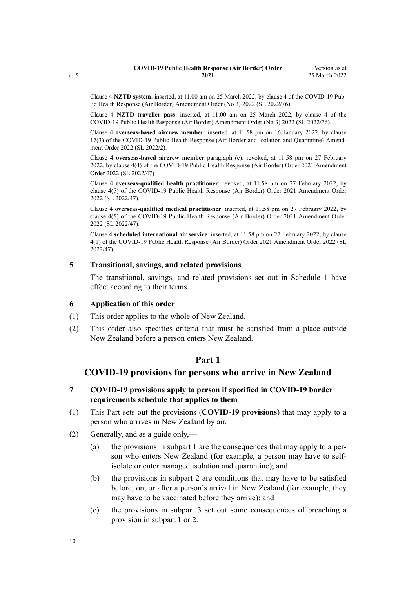<span id="page-9-0"></span>Clause 4 **NZTD system**: inserted, at 11.00 am on 25 March 2022, by [clause 4](http://legislation.govt.nz/pdflink.aspx?id=LMS665854) of the COVID-19 Pub‐ lic Health Response (Air Border) Amendment Order (No 3) 2022 (SL 2022/76).

Clause 4 **NZTD traveller pass**: inserted, at 11.00 am on 25 March 2022, by [clause 4](http://legislation.govt.nz/pdflink.aspx?id=LMS665854) of the COVID-19 Public Health Response (Air Border) Amendment Order (No 3) 2022 (SL 2022/76).

Clause 4 **overseas-based aircrew member**: inserted, at 11.58 pm on 16 January 2022, by [clause](http://legislation.govt.nz/pdflink.aspx?id=LMS629299) [17\(3\)](http://legislation.govt.nz/pdflink.aspx?id=LMS629299) of the COVID-19 Public Health Response (Air Border and Isolation and Quarantine) Amend‐ ment Order 2022 (SL 2022/2).

Clause 4 **overseas-based aircrew member** paragraph (c): revoked, at 11.58 pm on 27 February 2022, by [clause 4\(4\)](http://legislation.govt.nz/pdflink.aspx?id=LMS650823) of the COVID-19 Public Health Response (Air Border) Order 2021 Amendment Order 2022 (SL 2022/47).

Clause 4 **overseas-qualified health practitioner**: revoked, at 11.58 pm on 27 February 2022, by [clause 4\(5\)](http://legislation.govt.nz/pdflink.aspx?id=LMS650823) of the COVID-19 Public Health Response (Air Border) Order 2021 Amendment Order 2022 (SL 2022/47).

Clause 4 **overseas-qualified medical practitioner**: inserted, at 11.58 pm on 27 February 2022, by [clause 4\(5\)](http://legislation.govt.nz/pdflink.aspx?id=LMS650823) of the COVID-19 Public Health Response (Air Border) Order 2021 Amendment Order 2022 (SL 2022/47).

Clause 4 **scheduled international air service**: inserted, at 11.58 pm on 27 February 2022, by [clause](http://legislation.govt.nz/pdflink.aspx?id=LMS650823) [4\(1\)](http://legislation.govt.nz/pdflink.aspx?id=LMS650823) of the COVID-19 Public Health Response (Air Border) Order 2021 Amendment Order 2022 (SL 2022/47).

# **5 Transitional, savings, and related provisions**

The transitional, savings, and related provisions set out in [Schedule 1](#page-35-0) have effect according to their terms.

#### **6 Application of this order**

- (1) This order applies to the whole of New Zealand.
- (2) This order also specifies criteria that must be satisfied from a place outside New Zealand before a person enters New Zealand.

# **Part 1**

# **COVID-19 provisions for persons who arrive in New Zealand**

# **7 COVID-19 provisions apply to person if specified in COVID-19 border requirements schedule that applies to them**

- (1) This Part sets out the provisions (**COVID-19 provisions**) that may apply to a person who arrives in New Zealand by air.
- (2) Generally, and as a guide only,—
	- (a) the provisions in [subpart 1](#page-11-0) are the consequences that may apply to a per‐ son who enters New Zealand (for example, a person may have to selfisolate or enter managed isolation and quarantine); and
	- (b) the provisions in [subpart 2](#page-12-0) are conditions that may have to be satisfied before, on, or after a person's arrival in New Zealand (for example, they may have to be vaccinated before they arrive); and
	- (c) the provisions in [subpart 3](#page-23-0) set out some consequences of breaching a provision in [subpart 1](#page-11-0) or [2.](#page-12-0)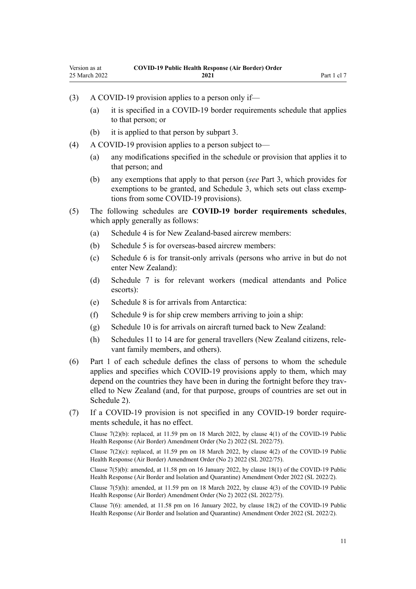- (3) A COVID-19 provision applies to a person only if—
	- (a) it is specified in a COVID-19 border requirements schedule that applies to that person; or
	- (b) it is applied to that person by [subpart 3](#page-23-0).
- (4) A COVID-19 provision applies to a person subject to—
	- (a) any modifications specified in the schedule or provision that applies it to that person; and
	- (b) any exemptions that apply to that person (*see* [Part 3,](#page-28-0) which provides for exemptions to be granted, and [Schedule 3](#page-38-0), which sets out class exemptions from some COVID-19 provisions).
- (5) The following schedules are **COVID-19 border requirements schedules**, which apply generally as follows:
	- (a) [Schedule 4](#page-40-0) is for New Zealand-based aircrew members:
	- (b) [Schedule 5](#page-42-0) is for overseas-based aircrew members:
	- (c) [Schedule 6](#page-46-0) is for transit-only arrivals (persons who arrive in but do not enter New Zealand):
	- (d) [Schedule 7](#page-48-0) is for relevant workers (medical attendants and Police escorts):
	- (e) [Schedule 8](#page-55-0) is for arrivals from Antarctica:
	- (f) [Schedule 9](#page-57-0) is for ship crew members arriving to join a ship:
	- (g) [Schedule 10](#page-59-0) is for arrivals on aircraft turned back to New Zealand:
	- (h) [Schedules 11 to 14](#page-61-0) are for general travellers (New Zealand citizens, rele‐ vant family members, and others).
- (6) Part 1 of each schedule defines the class of persons to whom the schedule applies and specifies which COVID-19 provisions apply to them, which may depend on the countries they have been in during the fortnight before they travelled to New Zealand (and, for that purpose, groups of countries are set out in [Schedule 2\)](#page-37-0).
- (7) If a COVID-19 provision is not specified in any COVID-19 border require‐ ments schedule, it has no effect.

Clause 7(2)(b): replaced, at 11.59 pm on 18 March 2022, by [clause 4\(1\)](http://legislation.govt.nz/pdflink.aspx?id=LMS664426) of the COVID-19 Public Health Response (Air Border) Amendment Order (No 2) 2022 (SL 2022/75).

Clause 7(2)(c): replaced, at 11.59 pm on 18 March 2022, by [clause 4\(2\)](http://legislation.govt.nz/pdflink.aspx?id=LMS664426) of the COVID-19 Public Health Response (Air Border) Amendment Order (No 2) 2022 (SL 2022/75).

Clause 7(5)(b): amended, at 11.58 pm on 16 January 2022, by [clause 18\(1\)](http://legislation.govt.nz/pdflink.aspx?id=LMS629300) of the COVID-19 Public Health Response (Air Border and Isolation and Quarantine) Amendment Order 2022 (SL 2022/2).

Clause 7(5)(h): amended, at 11.59 pm on 18 March 2022, by [clause 4\(3\)](http://legislation.govt.nz/pdflink.aspx?id=LMS664426) of the COVID-19 Public Health Response (Air Border) Amendment Order (No 2) 2022 (SL 2022/75).

Clause 7(6): amended, at 11.58 pm on 16 January 2022, by [clause 18\(2\)](http://legislation.govt.nz/pdflink.aspx?id=LMS629300) of the COVID-19 Public Health Response (Air Border and Isolation and Quarantine) Amendment Order 2022 (SL 2022/2).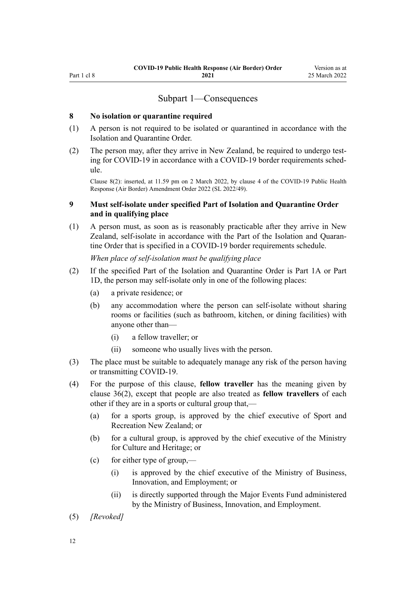# Subpart 1—Consequences

### <span id="page-11-0"></span>**8 No isolation or quarantine required**

- (1) A person is not required to be isolated or quarantined in accordance with the Isolation and Quarantine Order.
- (2) The person may, after they arrive in New Zealand, be required to undergo test‐ ing for COVID-19 in accordance with a COVID-19 border requirements schedule.

Clause 8(2): inserted, at 11.59 pm on 2 March 2022, by [clause 4](http://legislation.govt.nz/pdflink.aspx?id=LMS653777) of the COVID-19 Public Health Response (Air Border) Amendment Order 2022 (SL 2022/49).

# **9 Must self-isolate under specified Part of Isolation and Quarantine Order and in qualifying place**

(1) A person must, as soon as is reasonably practicable after they arrive in New Zealand, self-isolate in accordance with the Part of the Isolation and Quaran‐ tine Order that is specified in a COVID-19 border requirements schedule.

*When place of self-isolation must be qualifying place*

- (2) If the specified Part of the Isolation and Quarantine Order is [Part 1A](http://legislation.govt.nz/pdflink.aspx?id=LMS415267) or [Part](http://legislation.govt.nz/pdflink.aspx?id=LMS652452) [1D](http://legislation.govt.nz/pdflink.aspx?id=LMS652452), the person may self-isolate only in one of the following places:
	- (a) a private residence; or
	- (b) any accommodation where the person can self-isolate without sharing rooms or facilities (such as bathroom, kitchen, or dining facilities) with anyone other than—
		- (i) a fellow traveller; or
		- (ii) someone who usually lives with the person.
- (3) The place must be suitable to adequately manage any risk of the person having or transmitting COVID-19.
- (4) For the purpose of this clause, **fellow traveller** has the meaning given by [clause 36\(2\)](#page-22-0), except that people are also treated as **fellow travellers** of each other if they are in a sports or cultural group that,—
	- (a) for a sports group, is approved by the chief executive of Sport and Recreation New Zealand; or
	- (b) for a cultural group, is approved by the chief executive of the Ministry for Culture and Heritage; or
	- (c) for either type of group,—
		- (i) is approved by the chief executive of the Ministry of Business, Innovation, and Employment; or
		- (ii) is directly supported through the Major Events Fund administered by the Ministry of Business, Innovation, and Employment.
- (5) *[Revoked]*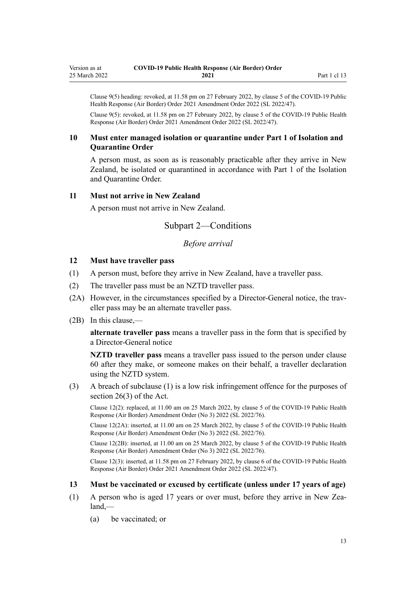<span id="page-12-0"></span>Clause 9(5) heading: revoked, at 11.58 pm on 27 February 2022, by [clause 5](http://legislation.govt.nz/pdflink.aspx?id=LMS650824) of the COVID-19 Public Health Response (Air Border) Order 2021 Amendment Order 2022 (SL 2022/47).

Clause 9(5): revoked, at 11.58 pm on 27 February 2022, by [clause 5](http://legislation.govt.nz/pdflink.aspx?id=LMS650824) of the COVID-19 Public Health Response (Air Border) Order 2021 Amendment Order 2022 (SL 2022/47).

# **10 Must enter managed isolation or quarantine under Part 1 of Isolation and Quarantine Order**

A person must, as soon as is reasonably practicable after they arrive in New Zealand, be isolated or quarantined in accordance with [Part 1](http://legislation.govt.nz/pdflink.aspx?id=LMS401726) of the Isolation and Quarantine Order.

# **11 Must not arrive in New Zealand**

A person must not arrive in New Zealand.

# Subpart 2—Conditions

# *Before arrival*

# **12 Must have traveller pass**

- (1) A person must, before they arrive in New Zealand, have a traveller pass.
- (2) The traveller pass must be an NZTD traveller pass.
- (2A) However, in the circumstances specified by a Director-General notice, the traveller pass may be an alternate traveller pass.
- (2B) In this clause,—

**alternate traveller pass** means a traveller pass in the form that is specified by a Director-General notice

**NZTD traveller pass** means a traveller pass issued to the person under [clause](#page-32-0) [60](#page-32-0) after they make, or someone makes on their behalf, a traveller declaration using the NZTD system.

(3) A breach of subclause (1) is a low risk infringement offence for the purposes of [section 26\(3\)](http://legislation.govt.nz/pdflink.aspx?id=LMS344200) of the Act.

Clause 12(2): replaced, at 11.00 am on 25 March 2022, by [clause 5](http://legislation.govt.nz/pdflink.aspx?id=LMS665859) of the COVID-19 Public Health Response (Air Border) Amendment Order (No 3) 2022 (SL 2022/76).

Clause 12(2A): inserted, at 11.00 am on 25 March 2022, by [clause 5](http://legislation.govt.nz/pdflink.aspx?id=LMS665859) of the COVID-19 Public Health Response (Air Border) Amendment Order (No 3) 2022 (SL 2022/76).

Clause 12(2B): inserted, at 11.00 am on 25 March 2022, by [clause 5](http://legislation.govt.nz/pdflink.aspx?id=LMS665859) of the COVID-19 Public Health Response (Air Border) Amendment Order (No 3) 2022 (SL 2022/76).

Clause 12(3): inserted, at 11.58 pm on 27 February 2022, by [clause 6](http://legislation.govt.nz/pdflink.aspx?id=LMS650825) of the COVID-19 Public Health Response (Air Border) Order 2021 Amendment Order 2022 (SL 2022/47).

#### **13 Must be vaccinated or excused by certificate (unless under 17 years of age)**

- (1) A person who is aged 17 years or over must, before they arrive in New Zea‐ land,—
	- (a) be vaccinated; or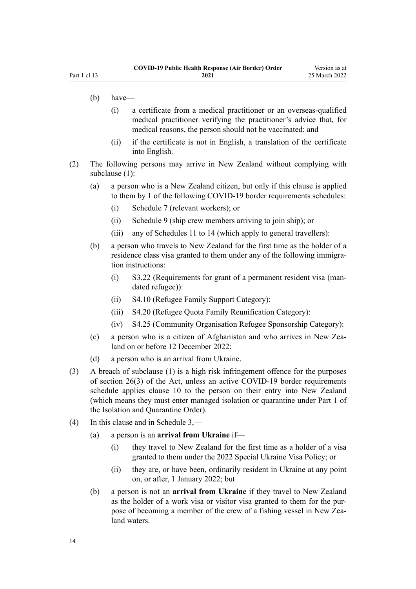- (b) have—
	- (i) a certificate from a medical practitioner or an overseas-qualified medical practitioner verifying the practitioner's advice that, for medical reasons, the person should not be vaccinated; and
	- (ii) if the certificate is not in English, a translation of the certificate into English.
- (2) The following persons may arrive in New Zealand without complying with subclause (1):
	- (a) a person who is a New Zealand citizen, but only if this clause is applied to them by 1 of the following COVID-19 border requirements schedules:
		- (i) [Schedule 7](#page-48-0) (relevant workers); or
		- (ii) [Schedule 9](#page-57-0) (ship crew members arriving to join ship); or
		- (iii) any of [Schedules 11 to 14](#page-61-0) (which apply to general travellers):
	- (b) a person who travels to New Zealand for the first time as the holder of a residence class visa granted to them under any of the following immigration instructions:
		- (i) S3.22 (Requirements for grant of a permanent resident visa (man‐ dated refugee)):
		- (ii) S4.10 (Refugee Family Support Category):
		- (iii) S4.20 (Refugee Quota Family Reunification Category):
		- (iv) S4.25 (Community Organisation Refugee Sponsorship Category):
	- (c) a person who is a citizen of Afghanistan and who arrives in New Zealand on or before 12 December 2022:
	- (d) a person who is an arrival from Ukraine.
- (3) A breach of subclause (1) is a high risk infringement offence for the purposes of [section 26\(3\)](http://legislation.govt.nz/pdflink.aspx?id=LMS344200) of the Act, unless an active COVID-19 border requirements schedule applies [clause 10](#page-12-0) to the person on their entry into New Zealand (which means they must enter managed isolation or quarantine under [Part 1](http://legislation.govt.nz/pdflink.aspx?id=LMS401726) of the Isolation and Quarantine Order).
- (4) In this clause and in [Schedule 3,](#page-38-0)
	- (a) a person is an **arrival from Ukraine** if—
		- (i) they travel to New Zealand for the first time as a holder of a visa granted to them under the 2022 Special Ukraine Visa Policy; or
		- (ii) they are, or have been, ordinarily resident in Ukraine at any point on, or after, 1 January 2022; but
	- (b) a person is not an **arrival from Ukraine** if they travel to New Zealand as the holder of a work visa or visitor visa granted to them for the pur‐ pose of becoming a member of the crew of a fishing vessel in New Zealand waters.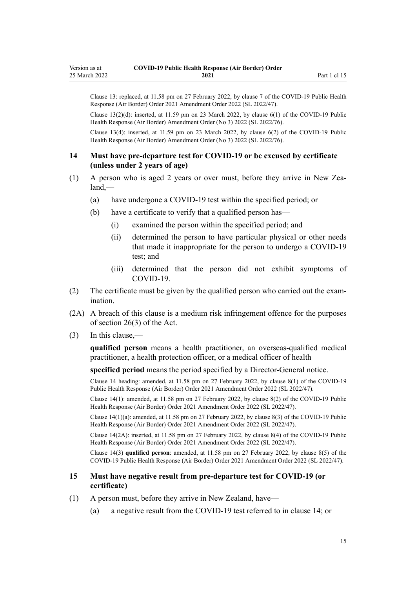<span id="page-14-0"></span>Clause 13: replaced, at 11.58 pm on 27 February 2022, by [clause 7](http://legislation.govt.nz/pdflink.aspx?id=LMS650827) of the COVID-19 Public Health Response (Air Border) Order 2021 Amendment Order 2022 (SL 2022/47).

Clause  $13(2)(d)$ : inserted, at 11.59 pm on 23 March 2022, by clause  $6(1)$  of the COVID-19 Public Health Response (Air Border) Amendment Order (No 3) 2022 (SL 2022/76).

Clause 13(4): inserted, at 11.59 pm on 23 March 2022, by [clause 6\(2\)](http://legislation.govt.nz/pdflink.aspx?id=LMS665923) of the COVID-19 Public Health Response (Air Border) Amendment Order (No 3) 2022 (SL 2022/76).

### **14 Must have pre-departure test for COVID-19 or be excused by certificate (unless under 2 years of age)**

- (1) A person who is aged 2 years or over must, before they arrive in New Zea‐ land,—
	- (a) have undergone a COVID-19 test within the specified period; or
	- (b) have a certificate to verify that a qualified person has—
		- (i) examined the person within the specified period; and
		- (ii) determined the person to have particular physical or other needs that made it inappropriate for the person to undergo a COVID-19 test; and
		- (iii) determined that the person did not exhibit symptoms of COVID-19.
- (2) The certificate must be given by the qualified person who carried out the exam‐ ination.
- (2A) A breach of this clause is a medium risk infringement offence for the purposes of [section 26\(3\)](http://legislation.govt.nz/pdflink.aspx?id=LMS344200) of the Act.
- (3) In this clause,—

**qualified person** means a health practitioner, an overseas-qualified medical practitioner, a health protection officer, or a medical officer of health

**specified period** means the period specified by a Director-General notice.

Clause 14 heading: amended, at 11.58 pm on 27 February 2022, by [clause 8\(1\)](http://legislation.govt.nz/pdflink.aspx?id=LMS650829) of the COVID-19 Public Health Response (Air Border) Order 2021 Amendment Order 2022 (SL 2022/47).

Clause 14(1): amended, at 11.58 pm on 27 February 2022, by [clause 8\(2\)](http://legislation.govt.nz/pdflink.aspx?id=LMS650829) of the COVID-19 Public Health Response (Air Border) Order 2021 Amendment Order 2022 (SL 2022/47).

Clause 14(1)(a): amended, at 11.58 pm on 27 February 2022, by [clause 8\(3\)](http://legislation.govt.nz/pdflink.aspx?id=LMS650829) of the COVID-19 Public Health Response (Air Border) Order 2021 Amendment Order 2022 (SL 2022/47).

Clause 14(2A): inserted, at 11.58 pm on 27 February 2022, by [clause 8\(4\)](http://legislation.govt.nz/pdflink.aspx?id=LMS650829) of the COVID-19 Public Health Response (Air Border) Order 2021 Amendment Order 2022 (SL 2022/47).

Clause 14(3) **qualified person**: amended, at 11.58 pm on 27 February 2022, by [clause 8\(5\)](http://legislation.govt.nz/pdflink.aspx?id=LMS650829) of the COVID-19 Public Health Response (Air Border) Order 2021 Amendment Order 2022 (SL 2022/47).

### **15 Must have negative result from pre-departure test for COVID-19 (or certificate)**

- (1) A person must, before they arrive in New Zealand, have—
	- (a) a negative result from the COVID-19 test referred to in clause 14; or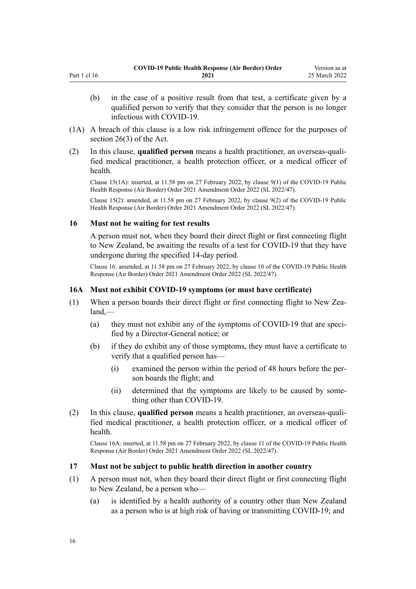- <span id="page-15-0"></span>(b) in the case of a positive result from that test, a certificate given by a qualified person to verify that they consider that the person is no longer infectious with COVID-19.
- (1A) A breach of this clause is a low risk infringement offence for the purposes of [section 26\(3\)](http://legislation.govt.nz/pdflink.aspx?id=LMS344200) of the Act.
- (2) In this clause, **qualified person** means a health practitioner, an overseas-quali‐ fied medical practitioner, a health protection officer, or a medical officer of health.

Clause 15(1A): inserted, at 11.58 pm on 27 February 2022, by [clause 9\(1\)](http://legislation.govt.nz/pdflink.aspx?id=LMS650830) of the COVID-19 Public Health Response (Air Border) Order 2021 Amendment Order 2022 (SL 2022/47).

Clause 15(2): amended, at 11.58 pm on 27 February 2022, by [clause 9\(2\)](http://legislation.govt.nz/pdflink.aspx?id=LMS650830) of the COVID-19 Public Health Response (Air Border) Order 2021 Amendment Order 2022 (SL 2022/47).

#### **16 Must not be waiting for test results**

A person must not, when they board their direct flight or first connecting flight to New Zealand, be awaiting the results of a test for COVID-19 that they have undergone during the specified 14-day period.

Clause 16: amended, at 11.58 pm on 27 February 2022, by [clause 10](http://legislation.govt.nz/pdflink.aspx?id=LMS650831) of the COVID-19 Public Health Response (Air Border) Order 2021 Amendment Order 2022 (SL 2022/47).

# **16A Must not exhibit COVID-19 symptoms (or must have certificate)**

- (1) When a person boards their direct flight or first connecting flight to New Zealand,—
	- (a) they must not exhibit any of the symptoms of COVID-19 that are specified by a Director-General notice; or
	- (b) if they do exhibit any of those symptoms, they must have a certificate to verify that a qualified person has—
		- (i) examined the person within the period of 48 hours before the per‐ son boards the flight; and
		- (ii) determined that the symptoms are likely to be caused by some‐ thing other than COVID-19.
- (2) In this clause, **qualified person** means a health practitioner, an overseas-quali‐ fied medical practitioner, a health protection officer, or a medical officer of health.

Clause 16A: inserted, at 11.58 pm on 27 February 2022, by [clause 11](http://legislation.govt.nz/pdflink.aspx?id=LMS650834) of the COVID-19 Public Health Response (Air Border) Order 2021 Amendment Order 2022 (SL 2022/47).

#### **17 Must not be subject to public health direction in another country**

- (1) A person must not, when they board their direct flight or first connecting flight to New Zealand, be a person who—
	- (a) is identified by a health authority of a country other than New Zealand as a person who is at high risk of having or transmitting COVID-19; and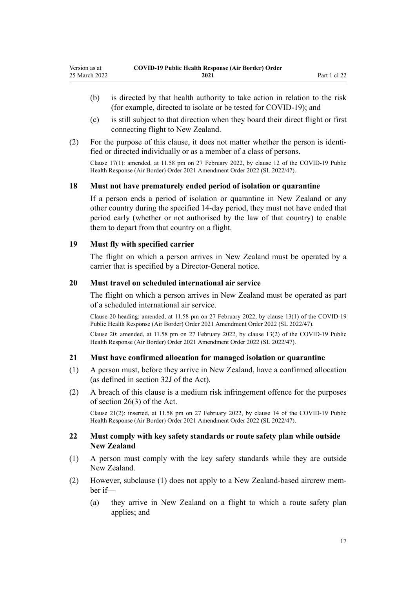- <span id="page-16-0"></span>(b) is directed by that health authority to take action in relation to the risk (for example, directed to isolate or be tested for COVID-19); and
- (c) is still subject to that direction when they board their direct flight or first connecting flight to New Zealand.
- (2) For the purpose of this clause, it does not matter whether the person is identi‐ fied or directed individually or as a member of a class of persons.

Clause 17(1): amended, at 11.58 pm on 27 February 2022, by [clause 12](http://legislation.govt.nz/pdflink.aspx?id=LMS650835) of the COVID-19 Public Health Response (Air Border) Order 2021 Amendment Order 2022 (SL 2022/47).

# **18 Must not have prematurely ended period of isolation or quarantine**

If a person ends a period of isolation or quarantine in New Zealand or any other country during the specified 14-day period, they must not have ended that period early (whether or not authorised by the law of that country) to enable them to depart from that country on a flight.

### **19 Must fly with specified carrier**

The flight on which a person arrives in New Zealand must be operated by a carrier that is specified by a Director-General notice.

### **20 Must travel on scheduled international air service**

The flight on which a person arrives in New Zealand must be operated as part of a scheduled international air service.

Clause 20 heading: amended, at 11.58 pm on 27 February 2022, by [clause 13\(1\)](http://legislation.govt.nz/pdflink.aspx?id=LMS650836) of the COVID-19 Public Health Response (Air Border) Order 2021 Amendment Order 2022 (SL 2022/47).

Clause 20: amended, at 11.58 pm on 27 February 2022, by [clause 13\(2\)](http://legislation.govt.nz/pdflink.aspx?id=LMS650836) of the COVID-19 Public Health Response (Air Border) Order 2021 Amendment Order 2022 (SL 2022/47).

# **21 Must have confirmed allocation for managed isolation or quarantine**

- (1) A person must, before they arrive in New Zealand, have a confirmed allocation (as defined in [section 32J](http://legislation.govt.nz/pdflink.aspx?id=LMS600936) of the Act).
- (2) A breach of this clause is a medium risk infringement offence for the purposes of [section 26\(3\)](http://legislation.govt.nz/pdflink.aspx?id=LMS344200) of the Act.

Clause 21(2): inserted, at 11.58 pm on 27 February 2022, by [clause 14](http://legislation.govt.nz/pdflink.aspx?id=LMS650837) of the COVID-19 Public Health Response (Air Border) Order 2021 Amendment Order 2022 (SL 2022/47).

### **22 Must comply with key safety standards or route safety plan while outside New Zealand**

- (1) A person must comply with the key safety standards while they are outside New Zealand.
- (2) However, subclause (1) does not apply to a New Zealand-based aircrew mem‐ ber if—
	- (a) they arrive in New Zealand on a flight to which a route safety plan applies; and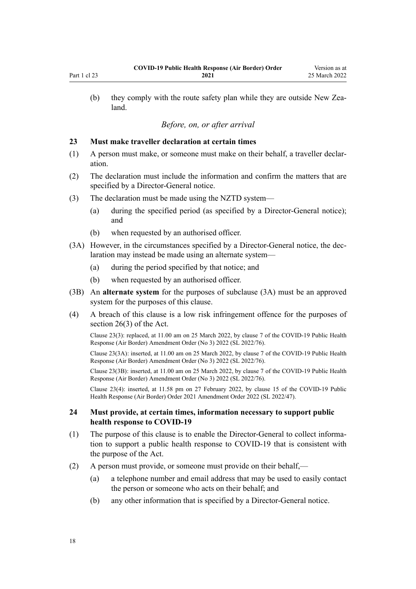<span id="page-17-0"></span>(b) they comply with the route safety plan while they are outside New Zealand.

# *Before, on, or after arrival*

# **23 Must make traveller declaration at certain times**

- (1) A person must make, or someone must make on their behalf, a traveller declar‐ ation.
- (2) The declaration must include the information and confirm the matters that are specified by a Director-General notice.
- (3) The declaration must be made using the NZTD system—
	- (a) during the specified period (as specified by a Director-General notice); and
	- (b) when requested by an authorised officer.
- (3A) However, in the circumstances specified by a Director-General notice, the dec‐ laration may instead be made using an alternate system—
	- (a) during the period specified by that notice; and
	- (b) when requested by an authorised officer.
- (3B) An **alternate system** for the purposes of subclause (3A) must be an approved system for the purposes of this clause.
- (4) A breach of this clause is a low risk infringement offence for the purposes of [section 26\(3\)](http://legislation.govt.nz/pdflink.aspx?id=LMS344200) of the Act.

Clause 23(3): replaced, at 11.00 am on 25 March 2022, by [clause 7](http://legislation.govt.nz/pdflink.aspx?id=LMS665861) of the COVID-19 Public Health Response (Air Border) Amendment Order (No 3) 2022 (SL 2022/76).

Clause 23(3A): inserted, at 11.00 am on 25 March 2022, by [clause 7](http://legislation.govt.nz/pdflink.aspx?id=LMS665861) of the COVID-19 Public Health Response (Air Border) Amendment Order (No 3) 2022 (SL 2022/76).

Clause 23(3B): inserted, at 11.00 am on 25 March 2022, by [clause 7](http://legislation.govt.nz/pdflink.aspx?id=LMS665861) of the COVID-19 Public Health Response (Air Border) Amendment Order (No 3) 2022 (SL 2022/76).

Clause 23(4): inserted, at 11.58 pm on 27 February 2022, by [clause 15](http://legislation.govt.nz/pdflink.aspx?id=LMS650838) of the COVID-19 Public Health Response (Air Border) Order 2021 Amendment Order 2022 (SL 2022/47).

### **24 Must provide, at certain times, information necessary to support public health response to COVID-19**

- (1) The purpose of this clause is to enable the Director-General to collect information to support a public health response to COVID-19 that is consistent with the purpose of the Act.
- (2) A person must provide, or someone must provide on their behalf,—
	- (a) a telephone number and email address that may be used to easily contact the person or someone who acts on their behalf; and
	- (b) any other information that is specified by a Director-General notice.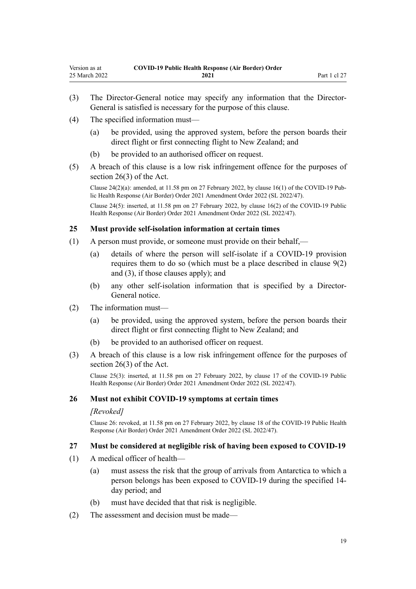- <span id="page-18-0"></span>(3) The Director-General notice may specify any information that the Director-General is satisfied is necessary for the purpose of this clause.
- (4) The specified information must—
	- (a) be provided, using the approved system, before the person boards their direct flight or first connecting flight to New Zealand; and
	- (b) be provided to an authorised officer on request.
- (5) A breach of this clause is a low risk infringement offence for the purposes of [section 26\(3\)](http://legislation.govt.nz/pdflink.aspx?id=LMS344200) of the Act.

Clause  $24(2)(a)$ : amended, at 11.58 pm on 27 February 2022, by [clause 16\(1\)](http://legislation.govt.nz/pdflink.aspx?id=LMS650839) of the COVID-19 Public Health Response (Air Border) Order 2021 Amendment Order 2022 (SL 2022/47).

Clause 24(5): inserted, at 11.58 pm on 27 February 2022, by [clause 16\(2\)](http://legislation.govt.nz/pdflink.aspx?id=LMS650839) of the COVID-19 Public Health Response (Air Border) Order 2021 Amendment Order 2022 (SL 2022/47).

### **25 Must provide self-isolation information at certain times**

- (1) A person must provide, or someone must provide on their behalf,—
	- (a) details of where the person will self-isolate if a COVID-19 provision requires them to do so (which must be a place described in [clause 9\(2\)](#page-11-0) [and \(3\)](#page-11-0), if those clauses apply); and
	- (b) any other self-isolation information that is specified by a Director-General notice.
- (2) The information must—
	- (a) be provided, using the approved system, before the person boards their direct flight or first connecting flight to New Zealand; and
	- (b) be provided to an authorised officer on request.
- (3) A breach of this clause is a low risk infringement offence for the purposes of [section 26\(3\)](http://legislation.govt.nz/pdflink.aspx?id=LMS344200) of the Act.

Clause 25(3): inserted, at 11.58 pm on 27 February 2022, by [clause 17](http://legislation.govt.nz/pdflink.aspx?id=LMS650840) of the COVID-19 Public Health Response (Air Border) Order 2021 Amendment Order 2022 (SL 2022/47).

#### **26 Must not exhibit COVID-19 symptoms at certain times**

#### *[Revoked]*

Clause 26: revoked, at 11.58 pm on 27 February 2022, by [clause 18](http://legislation.govt.nz/pdflink.aspx?id=LMS650841) of the COVID-19 Public Health Response (Air Border) Order 2021 Amendment Order 2022 (SL 2022/47).

#### **27 Must be considered at negligible risk of having been exposed to COVID-19**

- (1) A medical officer of health—
	- (a) must assess the risk that the group of arrivals from Antarctica to which a person belongs has been exposed to COVID-19 during the specified 14 day period; and
	- (b) must have decided that that risk is negligible.
- (2) The assessment and decision must be made—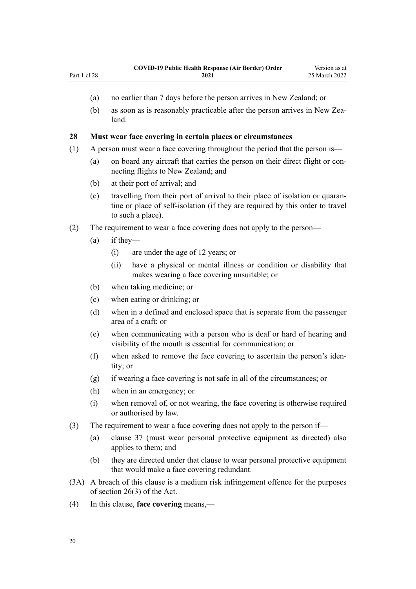- <span id="page-19-0"></span>(a) no earlier than 7 days before the person arrives in New Zealand; or
- (b) as soon as is reasonably practicable after the person arrives in New Zealand.

#### **28 Must wear face covering in certain places or circumstances**

- (1) A person must wear a face covering throughout the period that the person is—
	- (a) on board any aircraft that carries the person on their direct flight or connecting flights to New Zealand; and
	- (b) at their port of arrival; and
	- (c) travelling from their port of arrival to their place of isolation or quaran‐ tine or place of self-isolation (if they are required by this order to travel to such a place).
- (2) The requirement to wear a face covering does not apply to the person—
	- (a) if they—
		- (i) are under the age of 12 years; or
		- (ii) have a physical or mental illness or condition or disability that makes wearing a face covering unsuitable; or
	- (b) when taking medicine; or
	- (c) when eating or drinking; or
	- (d) when in a defined and enclosed space that is separate from the passenger area of a craft; or
	- (e) when communicating with a person who is deaf or hard of hearing and visibility of the mouth is essential for communication; or
	- (f) when asked to remove the face covering to ascertain the person's iden‐ tity; or
	- (g) if wearing a face covering is not safe in all of the circumstances; or
	- (h) when in an emergency; or
	- (i) when removal of, or not wearing, the face covering is otherwise required or authorised by law.
- (3) The requirement to wear a face covering does not apply to the person if—
	- (a) [clause 37](#page-22-0) (must wear personal protective equipment as directed) also applies to them; and
	- (b) they are directed under that clause to wear personal protective equipment that would make a face covering redundant.
- (3A) A breach of this clause is a medium risk infringement offence for the purposes of [section 26\(3\)](http://legislation.govt.nz/pdflink.aspx?id=LMS344200) of the Act.
- (4) In this clause, **face covering** means,—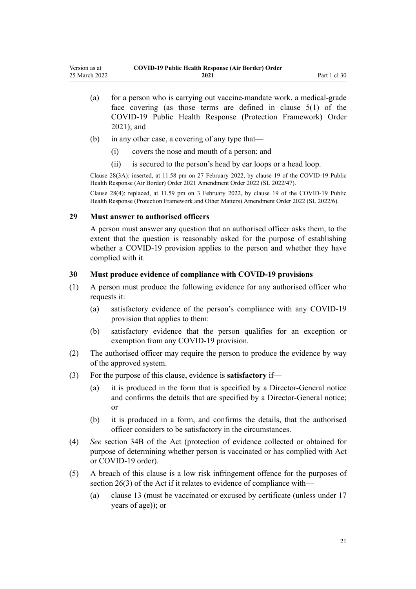<span id="page-20-0"></span>

| Version as at | <b>COVID-19 Public Health Response (Air Border) Order</b> |              |
|---------------|-----------------------------------------------------------|--------------|
| 25 March 2022 | 2021                                                      | Part 1 cl 30 |

- (a) for a person who is carrying out vaccine-mandate work, a medical-grade face covering (as those terms are defined in [clause 5\(1\)](http://legislation.govt.nz/pdflink.aspx?id=LMS573241) of the COVID-19 Public Health Response (Protection Framework) Order 2021); and
- (b) in any other case, a covering of any type that—
	- (i) covers the nose and mouth of a person; and
	- (ii) is secured to the person's head by ear loops or a head loop.

Clause 28(3A): inserted, at 11.58 pm on 27 February 2022, by [clause 19](http://legislation.govt.nz/pdflink.aspx?id=LMS650842) of the COVID-19 Public Health Response (Air Border) Order 2021 Amendment Order 2022 (SL 2022/47).

Clause 28(4): replaced, at 11.59 pm on 3 February 2022, by [clause 19](http://legislation.govt.nz/pdflink.aspx?id=LMS638352) of the COVID-19 Public Health Response (Protection Framework and Other Matters) Amendment Order 2022 (SL 2022/6).

### **29 Must answer to authorised officers**

A person must answer any question that an authorised officer asks them, to the extent that the question is reasonably asked for the purpose of establishing whether a COVID-19 provision applies to the person and whether they have complied with it.

### **30 Must produce evidence of compliance with COVID-19 provisions**

- (1) A person must produce the following evidence for any authorised officer who requests it:
	- (a) satisfactory evidence of the person's compliance with any COVID-19 provision that applies to them:
	- (b) satisfactory evidence that the person qualifies for an exception or exemption from any COVID-19 provision.
- (2) The authorised officer may require the person to produce the evidence by way of the approved system.
- (3) For the purpose of this clause, evidence is **satisfactory** if—
	- (a) it is produced in the form that is specified by a Director-General notice and confirms the details that are specified by a Director-General notice; or
	- (b) it is produced in a form, and confirms the details, that the authorised officer considers to be satisfactory in the circumstances.
- (4) *See* [section 34B](http://legislation.govt.nz/pdflink.aspx?id=LMS606314) of the Act (protection of evidence collected or obtained for purpose of determining whether person is vaccinated or has complied with Act or COVID-19 order).
- (5) A breach of this clause is a low risk infringement offence for the purposes of [section 26\(3\)](http://legislation.govt.nz/pdflink.aspx?id=LMS344200) of the Act if it relates to evidence of compliance with—
	- (a) [clause 13](#page-12-0) (must be vaccinated or excused by certificate (unless under 17 years of age)); or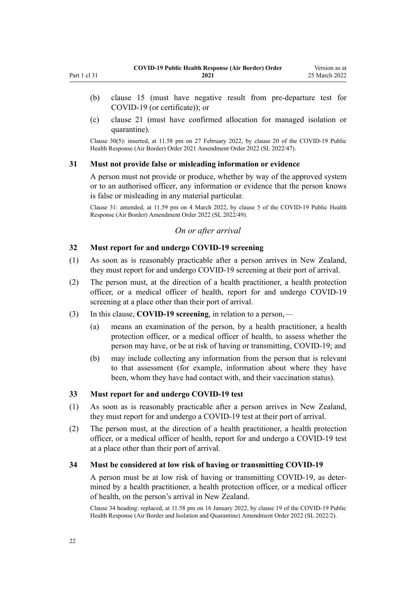- <span id="page-21-0"></span>(b) [clause 15](#page-14-0) (must have negative result from pre-departure test for COVID-19 (or certificate)); or
- (c) [clause 21](#page-16-0) (must have confirmed allocation for managed isolation or quarantine).

Clause 30(5): inserted, at 11.58 pm on 27 February 2022, by [clause 20](http://legislation.govt.nz/pdflink.aspx?id=LMS650843) of the COVID-19 Public Health Response (Air Border) Order 2021 Amendment Order 2022 (SL 2022/47).

#### **31 Must not provide false or misleading information or evidence**

A person must not provide or produce, whether by way of the approved system or to an authorised officer, any information or evidence that the person knows is false or misleading in any material particular.

Clause 31: amended, at 11.59 pm on 4 March 2022, by [clause 5](http://legislation.govt.nz/pdflink.aspx?id=LMS653778) of the COVID-19 Public Health Response (Air Border) Amendment Order 2022 (SL 2022/49).

# *On or after arrival*

# **32 Must report for and undergo COVID-19 screening**

- (1) As soon as is reasonably practicable after a person arrives in New Zealand, they must report for and undergo COVID-19 screening at their port of arrival.
- (2) The person must, at the direction of a health practitioner, a health protection officer, or a medical officer of health, report for and undergo COVID-19 screening at a place other than their port of arrival.
- (3) In this clause, **COVID-19 screening**, in relation to a person,—
	- (a) means an examination of the person, by a health practitioner, a health protection officer, or a medical officer of health, to assess whether the person may have, or be at risk of having or transmitting, COVID-19; and
	- (b) may include collecting any information from the person that is relevant to that assessment (for example, information about where they have been, whom they have had contact with, and their vaccination status).

# **33 Must report for and undergo COVID-19 test**

- (1) As soon as is reasonably practicable after a person arrives in New Zealand, they must report for and undergo a COVID-19 test at their port of arrival.
- (2) The person must, at the direction of a health practitioner, a health protection officer, or a medical officer of health, report for and undergo a COVID-19 test at a place other than their port of arrival.

#### **34 Must be considered at low risk of having or transmitting COVID-19**

A person must be at low risk of having or transmitting COVID-19, as deter‐ mined by a health practitioner, a health protection officer, or a medical officer of health, on the person's arrival in New Zealand.

Clause 34 heading: replaced, at 11.58 pm on 16 January 2022, by [clause 19](http://legislation.govt.nz/pdflink.aspx?id=LMS629301) of the COVID-19 Public Health Response (Air Border and Isolation and Quarantine) Amendment Order 2022 (SL 2022/2).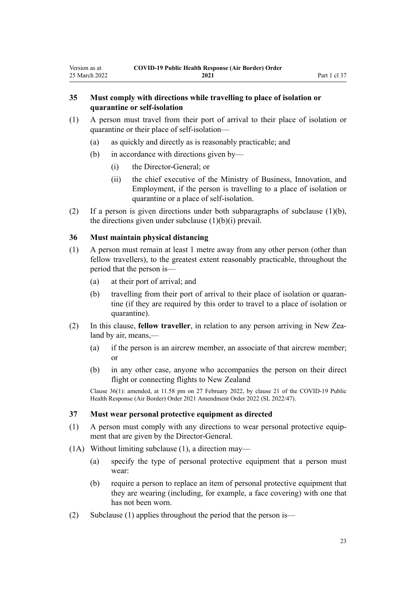# <span id="page-22-0"></span>**35 Must comply with directions while travelling to place of isolation or quarantine or self-isolation**

- (1) A person must travel from their port of arrival to their place of isolation or quarantine or their place of self-isolation—
	- (a) as quickly and directly as is reasonably practicable; and
	- (b) in accordance with directions given by—
		- (i) the Director-General; or
		- (ii) the chief executive of the Ministry of Business, Innovation, and Employment, if the person is travelling to a place of isolation or quarantine or a place of self-isolation.
- (2) If a person is given directions under both subparagraphs of subclause (1)(b), the directions given under subclause  $(1)(b)(i)$  prevail.

# **36 Must maintain physical distancing**

- (1) A person must remain at least 1 metre away from any other person (other than fellow travellers), to the greatest extent reasonably practicable, throughout the period that the person is—
	- (a) at their port of arrival; and
	- (b) travelling from their port of arrival to their place of isolation or quarantine (if they are required by this order to travel to a place of isolation or quarantine).
- (2) In this clause, **fellow traveller**, in relation to any person arriving in New Zea‐ land by air, means,—
	- (a) if the person is an aircrew member, an associate of that aircrew member; or
	- (b) in any other case, anyone who accompanies the person on their direct flight or connecting flights to New Zealand

Clause 36(1): amended, at 11.58 pm on 27 February 2022, by [clause 21](http://legislation.govt.nz/pdflink.aspx?id=LMS650844) of the COVID-19 Public Health Response (Air Border) Order 2021 Amendment Order 2022 (SL 2022/47).

# **37 Must wear personal protective equipment as directed**

- (1) A person must comply with any directions to wear personal protective equip‐ ment that are given by the Director-General.
- (1A) Without limiting subclause (1), a direction may—
	- (a) specify the type of personal protective equipment that a person must wear:
	- (b) require a person to replace an item of personal protective equipment that they are wearing (including, for example, a face covering) with one that has not been worn.
- (2) Subclause (1) applies throughout the period that the person is—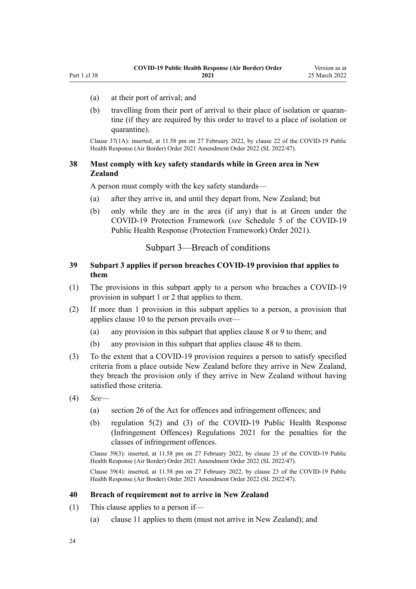- <span id="page-23-0"></span>(a) at their port of arrival; and
- (b) travelling from their port of arrival to their place of isolation or quarantine (if they are required by this order to travel to a place of isolation or quarantine).

Clause 37(1A): inserted, at 11.58 pm on 27 February 2022, by [clause 22](http://legislation.govt.nz/pdflink.aspx?id=LMS650845) of the COVID-19 Public Health Response (Air Border) Order 2021 Amendment Order 2022 (SL 2022/47).

# **38 Must comply with key safety standards while in Green area in New Zealand**

A person must comply with the key safety standards—

- (a) after they arrive in, and until they depart from, New Zealand; but
- (b) only while they are in the area (if any) that is at Green under the COVID-19 Protection Framework (*see* [Schedule 5](http://legislation.govt.nz/pdflink.aspx?id=LMS566881) of the COVID-19 Public Health Response (Protection Framework) Order 2021).

# Subpart 3—Breach of conditions

# **39 Subpart 3 applies if person breaches COVID-19 provision that applies to them**

- (1) The provisions in this subpart apply to a person who breaches a COVID-19 provision in [subpart 1](#page-11-0) or [2](#page-12-0) that applies to them.
- (2) If more than 1 provision in this subpart applies to a person, a provision that applies [clause 10](#page-12-0) to the person prevails over—
	- (a) any provision in this subpart that applies [clause 8](#page-11-0) or [9](#page-11-0) to them; and
	- (b) any provision in this subpart that applies [clause 48](#page-26-0) to them.
- (3) To the extent that a COVID-19 provision requires a person to satisfy specified criteria from a place outside New Zealand before they arrive in New Zealand, they breach the provision only if they arrive in New Zealand without having satisfied those criteria.
- (4) *See*
	- (a) [section 26](http://legislation.govt.nz/pdflink.aspx?id=LMS344200) of the Act for offences and infringement offences; and
	- (b) [regulation 5\(2\) and \(3\)](http://legislation.govt.nz/pdflink.aspx?id=LMS600713) of the COVID-19 Public Health Response (Infringement Offences) Regulations 2021 for the penalties for the classes of infringement offences.

Clause 39(3): inserted, at 11.58 pm on 27 February 2022, by [clause 23](http://legislation.govt.nz/pdflink.aspx?id=LMS650846) of the COVID-19 Public Health Response (Air Border) Order 2021 Amendment Order 2022 (SL 2022/47).

Clause 39(4): inserted, at 11.58 pm on 27 February 2022, by [clause 23](http://legislation.govt.nz/pdflink.aspx?id=LMS650846) of the COVID-19 Public Health Response (Air Border) Order 2021 Amendment Order 2022 (SL 2022/47).

#### **40 Breach of requirement not to arrive in New Zealand**

- (1) This clause applies to a person if—
	- (a) [clause 11](#page-12-0) applies to them (must not arrive in New Zealand); and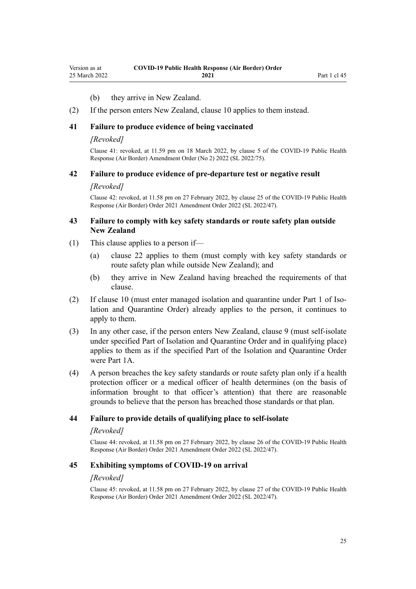#### (b) they arrive in New Zealand.

<span id="page-24-0"></span>(2) If the person enters New Zealand, [clause 10](#page-12-0) applies to them instead.

### **41 Failure to produce evidence of being vaccinated**

#### *[Revoked]*

Clause 41: revoked, at 11.59 pm on 18 March 2022, by [clause 5](http://legislation.govt.nz/pdflink.aspx?id=LMS664427) of the COVID-19 Public Health Response (Air Border) Amendment Order (No 2) 2022 (SL 2022/75).

# **42 Failure to produce evidence of pre-departure test or negative result**

#### *[Revoked]*

Clause 42: revoked, at 11.58 pm on 27 February 2022, by [clause 25](http://legislation.govt.nz/pdflink.aspx?id=LMS650848) of the COVID-19 Public Health Response (Air Border) Order 2021 Amendment Order 2022 (SL 2022/47).

# **43 Failure to comply with key safety standards or route safety plan outside New Zealand**

- (1) This clause applies to a person if—
	- (a) [clause 22](#page-16-0) applies to them (must comply with key safety standards or route safety plan while outside New Zealand); and
	- (b) they arrive in New Zealand having breached the requirements of that clause.
- (2) If [clause 10](#page-12-0) (must enter managed isolation and quarantine under [Part 1](http://legislation.govt.nz/pdflink.aspx?id=LMS401726) of Isolation and Quarantine Order) already applies to the person, it continues to apply to them.
- (3) In any other case, if the person enters New Zealand, [clause 9](#page-11-0) (must self-isolate under specified Part of Isolation and Quarantine Order and in qualifying place) applies to them as if the specified Part of the Isolation and Quarantine Order were [Part 1A.](http://legislation.govt.nz/pdflink.aspx?id=LMS415267)
- (4) A person breaches the key safety standards or route safety plan only if a health protection officer or a medical officer of health determines (on the basis of information brought to that officer's attention) that there are reasonable grounds to believe that the person has breached those standards or that plan.

#### **44 Failure to provide details of qualifying place to self-isolate**

#### *[Revoked]*

Clause 44: revoked, at 11.58 pm on 27 February 2022, by [clause 26](http://legislation.govt.nz/pdflink.aspx?id=LMS650849) of the COVID-19 Public Health Response (Air Border) Order 2021 Amendment Order 2022 (SL 2022/47).

#### **45 Exhibiting symptoms of COVID-19 on arrival**

#### *[Revoked]*

Clause 45: revoked, at 11.58 pm on 27 February 2022, by [clause 27](http://legislation.govt.nz/pdflink.aspx?id=LMS650850) of the COVID-19 Public Health Response (Air Border) Order 2021 Amendment Order 2022 (SL 2022/47).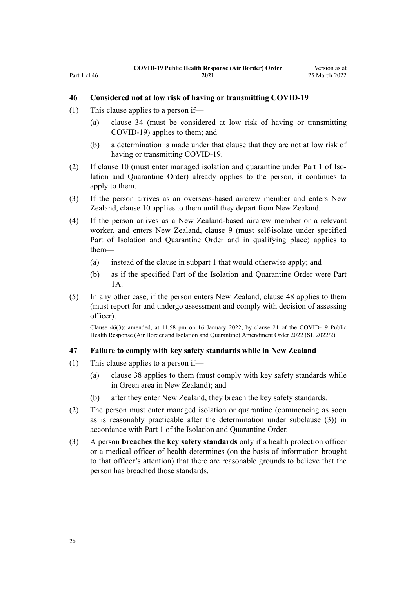- <span id="page-25-0"></span>(1) This clause applies to a person if—
	- (a) [clause 34](#page-21-0) (must be considered at low risk of having or transmitting COVID-19) applies to them; and
	- (b) a determination is made under that clause that they are not at low risk of having or transmitting COVID-19.
- (2) If [clause 10](#page-12-0) (must enter managed isolation and quarantine under [Part 1](http://legislation.govt.nz/pdflink.aspx?id=LMS401726) of Isolation and Quarantine Order) already applies to the person, it continues to apply to them.
- (3) If the person arrives as an overseas-based aircrew member and enters New Zealand, [clause 10](#page-12-0) applies to them until they depart from New Zealand.
- (4) If the person arrives as a New Zealand-based aircrew member or a relevant worker, and enters New Zealand, [clause 9](#page-11-0) (must self-isolate under specified Part of Isolation and Quarantine Order and in qualifying place) applies to them—
	- (a) instead of the clause in [subpart 1](#page-11-0) that would otherwise apply; and
	- (b) as if the specified Part of the Isolation and Quarantine Order were [Part](http://legislation.govt.nz/pdflink.aspx?id=LMS415267) [1A](http://legislation.govt.nz/pdflink.aspx?id=LMS415267).
- (5) In any other case, if the person enters New Zealand, [clause 48](#page-26-0) applies to them (must report for and undergo assessment and comply with decision of assessing officer).

Clause 46(3): amended, at 11.58 pm on 16 January 2022, by [clause 21](http://legislation.govt.nz/pdflink.aspx?id=LMS629303) of the COVID-19 Public Health Response (Air Border and Isolation and Quarantine) Amendment Order 2022 (SL 2022/2).

#### **47 Failure to comply with key safety standards while in New Zealand**

- (1) This clause applies to a person if—
	- (a) [clause 38](#page-23-0) applies to them (must comply with key safety standards while in Green area in New Zealand); and
	- (b) after they enter New Zealand, they breach the key safety standards.
- (2) The person must enter managed isolation or quarantine (commencing as soon as is reasonably practicable after the determination under subclause (3)) in accordance with [Part 1](http://legislation.govt.nz/pdflink.aspx?id=LMS401726) of the Isolation and Quarantine Order.
- (3) A person **breaches the key safety standards** only if a health protection officer or a medical officer of health determines (on the basis of information brought to that officer's attention) that there are reasonable grounds to believe that the person has breached those standards.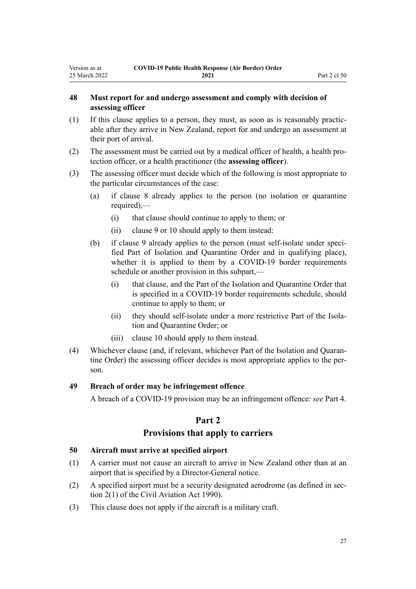# <span id="page-26-0"></span>**48 Must report for and undergo assessment and comply with decision of assessing officer**

- (1) If this clause applies to a person, they must, as soon as is reasonably practic‐ able after they arrive in New Zealand, report for and undergo an assessment at their port of arrival.
- (2) The assessment must be carried out by a medical officer of health, a health pro‐ tection officer, or a health practitioner (the **assessing officer**).
- (3) The assessing officer must decide which of the following is most appropriate to the particular circumstances of the case:
	- (a) if [clause 8](#page-11-0) already applies to the person (no isolation or quarantine required),—
		- (i) that clause should continue to apply to them; or
		- (ii) [clause 9](#page-11-0) or [10](#page-12-0) should apply to them instead:
	- (b) if [clause 9](#page-11-0) already applies to the person (must self-isolate under specified Part of Isolation and Quarantine Order and in qualifying place), whether it is applied to them by a COVID-19 border requirements schedule or another provision in this subpart,—
		- (i) that clause, and the Part of the Isolation and Quarantine Order that is specified in a COVID-19 border requirements schedule, should continue to apply to them; or
		- (ii) they should self-isolate under a more restrictive Part of the Isolation and Quarantine Order; or
		- (iii) [clause 10](#page-12-0) should apply to them instead.
- (4) Whichever clause (and, if relevant, whichever Part of the Isolation and Quaran‐ tine Order) the assessing officer decides is most appropriate applies to the person.

# **49 Breach of order may be infringement offence**

A breach of a COVID-19 provision may be an infringement offence: *see* [Part 4.](#page-33-0)

# **Part 2**

# **Provisions that apply to carriers**

# **50 Aircraft must arrive at specified airport**

- (1) A carrier must not cause an aircraft to arrive in New Zealand other than at an airport that is specified by a Director-General notice.
- (2) A specified airport must be a security designated aerodrome (as defined in sec[tion 2\(1\)](http://legislation.govt.nz/pdflink.aspx?id=DLM214692) of the Civil Aviation Act 1990).
- (3) This clause does not apply if the aircraft is a military craft.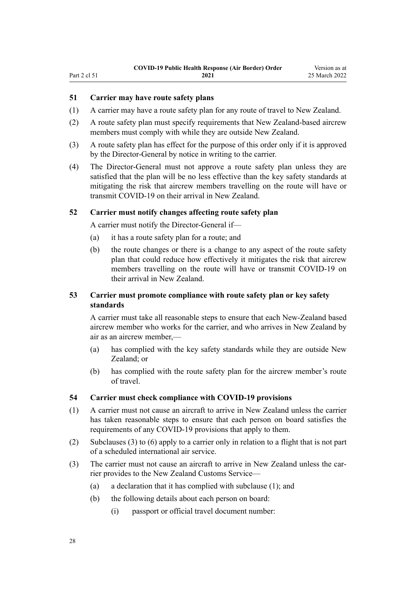# <span id="page-27-0"></span>Part 2 cl 51

# **51 Carrier may have route safety plans**

- (1) A carrier may have a route safety plan for any route of travel to New Zealand.
- (2) A route safety plan must specify requirements that New Zealand-based aircrew members must comply with while they are outside New Zealand.
- (3) A route safety plan has effect for the purpose of this order only if it is approved by the Director-General by notice in writing to the carrier.
- (4) The Director-General must not approve a route safety plan unless they are satisfied that the plan will be no less effective than the key safety standards at mitigating the risk that aircrew members travelling on the route will have or transmit COVID-19 on their arrival in New Zealand.

### **52 Carrier must notify changes affecting route safety plan**

A carrier must notify the Director-General if—

- (a) it has a route safety plan for a route; and
- (b) the route changes or there is a change to any aspect of the route safety plan that could reduce how effectively it mitigates the risk that aircrew members travelling on the route will have or transmit COVID-19 on their arrival in New Zealand.

# **53 Carrier must promote compliance with route safety plan or key safety standards**

A carrier must take all reasonable steps to ensure that each New-Zealand based aircrew member who works for the carrier, and who arrives in New Zealand by air as an aircrew member,—

- (a) has complied with the key safety standards while they are outside New Zealand; or
- (b) has complied with the route safety plan for the aircrew member's route of travel.

### **54 Carrier must check compliance with COVID-19 provisions**

- (1) A carrier must not cause an aircraft to arrive in New Zealand unless the carrier has taken reasonable steps to ensure that each person on board satisfies the requirements of any COVID-19 provisions that apply to them.
- (2) Subclauses (3) to (6) apply to a carrier only in relation to a flight that is not part of a scheduled international air service.
- (3) The carrier must not cause an aircraft to arrive in New Zealand unless the carrier provides to the New Zealand Customs Service—
	- (a) a declaration that it has complied with subclause (1); and
	- (b) the following details about each person on board:
		- (i) passport or official travel document number: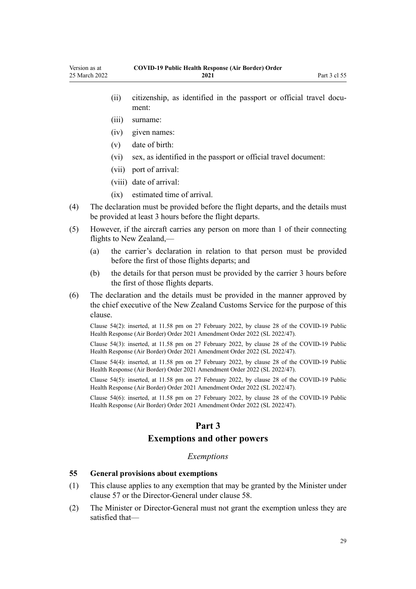- <span id="page-28-0"></span>(ii) citizenship, as identified in the passport or official travel document:
- (iii) surname:
- (iv) given names:
- (v) date of birth:
- (vi) sex, as identified in the passport or official travel document:
- (vii) port of arrival:
- (viii) date of arrival:
- (ix) estimated time of arrival.
- (4) The declaration must be provided before the flight departs, and the details must be provided at least 3 hours before the flight departs.
- (5) However, if the aircraft carries any person on more than 1 of their connecting flights to New Zealand,—
	- (a) the carrier's declaration in relation to that person must be provided before the first of those flights departs; and
	- (b) the details for that person must be provided by the carrier 3 hours before the first of those flights departs.
- (6) The declaration and the details must be provided in the manner approved by the chief executive of the New Zealand Customs Service for the purpose of this clause.

Clause 54(2): inserted, at 11.58 pm on 27 February 2022, by [clause 28](http://legislation.govt.nz/pdflink.aspx?id=LMS650851) of the COVID-19 Public Health Response (Air Border) Order 2021 Amendment Order 2022 (SL 2022/47).

Clause 54(3): inserted, at 11.58 pm on 27 February 2022, by [clause 28](http://legislation.govt.nz/pdflink.aspx?id=LMS650851) of the COVID-19 Public Health Response (Air Border) Order 2021 Amendment Order 2022 (SL 2022/47).

Clause 54(4): inserted, at 11.58 pm on 27 February 2022, by [clause 28](http://legislation.govt.nz/pdflink.aspx?id=LMS650851) of the COVID-19 Public Health Response (Air Border) Order 2021 Amendment Order 2022 (SL 2022/47).

Clause 54(5): inserted, at 11.58 pm on 27 February 2022, by [clause 28](http://legislation.govt.nz/pdflink.aspx?id=LMS650851) of the COVID-19 Public Health Response (Air Border) Order 2021 Amendment Order 2022 (SL 2022/47).

Clause 54(6): inserted, at 11.58 pm on 27 February 2022, by [clause 28](http://legislation.govt.nz/pdflink.aspx?id=LMS650851) of the COVID-19 Public Health Response (Air Border) Order 2021 Amendment Order 2022 (SL 2022/47).

# **Part 3**

# **Exemptions and other powers**

### *Exemptions*

# **55 General provisions about exemptions**

- (1) This clause applies to any exemption that may be granted by the Minister under [clause 57](#page-30-0) or the Director-General under [clause 58.](#page-30-0)
- (2) The Minister or Director-General must not grant the exemption unless they are satisfied that—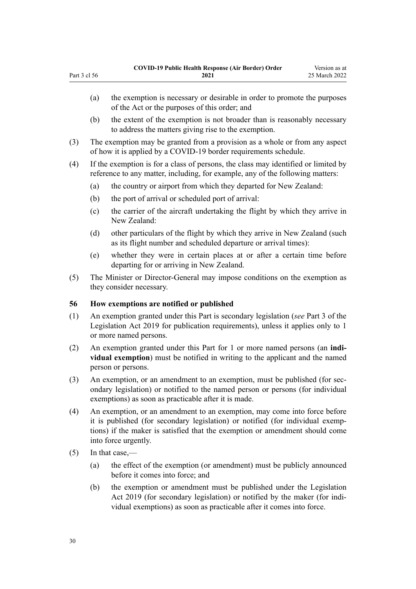- (a) the exemption is necessary or desirable in order to promote the purposes of the Act or the purposes of this order; and
- (b) the extent of the exemption is not broader than is reasonably necessary to address the matters giving rise to the exemption.
- (3) The exemption may be granted from a provision as a whole or from any aspect of how it is applied by a COVID-19 border requirements schedule.
- (4) If the exemption is for a class of persons, the class may identified or limited by reference to any matter, including, for example, any of the following matters:
	- (a) the country or airport from which they departed for New Zealand:
	- (b) the port of arrival or scheduled port of arrival:
	- (c) the carrier of the aircraft undertaking the flight by which they arrive in New Zealand:
	- (d) other particulars of the flight by which they arrive in New Zealand (such as its flight number and scheduled departure or arrival times):
	- (e) whether they were in certain places at or after a certain time before departing for or arriving in New Zealand.
- (5) The Minister or Director-General may impose conditions on the exemption as they consider necessary.

# **56 How exemptions are notified or published**

- (1) An exemption granted under this Part is secondary legislation (*see* [Part 3](http://legislation.govt.nz/pdflink.aspx?id=DLM7298343) of the Legislation Act 2019 for publication requirements), unless it applies only to 1 or more named persons.
- (2) An exemption granted under this Part for 1 or more named persons (an **indi‐ vidual exemption**) must be notified in writing to the applicant and the named person or persons.
- (3) An exemption, or an amendment to an exemption, must be published (for secondary legislation) or notified to the named person or persons (for individual exemptions) as soon as practicable after it is made.
- (4) An exemption, or an amendment to an exemption, may come into force before it is published (for secondary legislation) or notified (for individual exemp‐ tions) if the maker is satisfied that the exemption or amendment should come into force urgently.
- (5) In that case,—

<span id="page-29-0"></span>Part 3 cl 56

- (a) the effect of the exemption (or amendment) must be publicly announced before it comes into force; and
- (b) the exemption or amendment must be published under the [Legislation](http://legislation.govt.nz/pdflink.aspx?id=DLM7298104) [Act 2019](http://legislation.govt.nz/pdflink.aspx?id=DLM7298104) (for secondary legislation) or notified by the maker (for individual exemptions) as soon as practicable after it comes into force.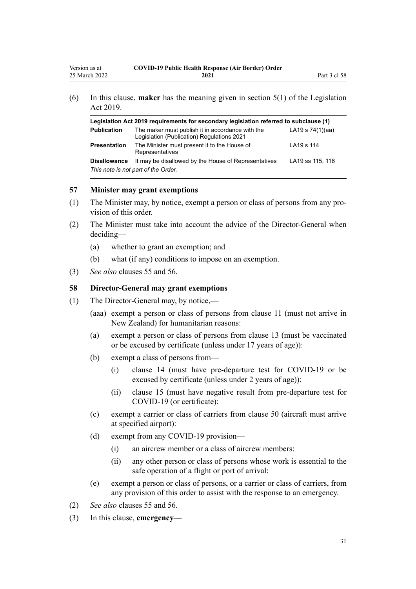<span id="page-30-0"></span>

| Legislation Act 2019 requirements for secondary legislation referred to subclause (1) |                                                                                                |                    |
|---------------------------------------------------------------------------------------|------------------------------------------------------------------------------------------------|--------------------|
| <b>Publication</b>                                                                    | The maker must publish it in accordance with the<br>Legislation (Publication) Regulations 2021 | LA19 s $74(1)(aa)$ |
| <b>Presentation</b>                                                                   | The Minister must present it to the House of<br>Representatives                                | LA19 s 114         |
| <b>Disallowance</b>                                                                   | It may be disallowed by the House of Representatives<br>This note is not part of the Order.    | LA19 ss 115, 116   |

# **57 Minister may grant exemptions**

- (1) The Minister may, by notice, exempt a person or class of persons from any pro‐ vision of this order.
- (2) The Minister must take into account the advice of the Director-General when deciding—
	- (a) whether to grant an exemption; and
	- (b) what (if any) conditions to impose on an exemption.
- (3) *See also* [clauses 55](#page-28-0) and [56.](#page-29-0)

# **58 Director-General may grant exemptions**

- (1) The Director-General may, by notice,—
	- (aaa) exempt a person or class of persons from [clause 11](#page-12-0) (must not arrive in New Zealand) for humanitarian reasons:
	- (a) exempt a person or class of persons from [clause 13](#page-12-0) (must be vaccinated or be excused by certificate (unless under 17 years of age)):
	- (b) exempt a class of persons from—
		- (i) [clause 14](#page-14-0) (must have pre-departure test for COVID-19 or be excused by certificate (unless under 2 years of age)):
		- (ii) [clause 15](#page-14-0) (must have negative result from pre-departure test for COVID-19 (or certificate):
	- (c) exempt a carrier or class of carriers from [clause 50](#page-26-0) (aircraft must arrive at specified airport):
	- (d) exempt from any COVID-19 provision—
		- (i) an aircrew member or a class of aircrew members:
		- (ii) any other person or class of persons whose work is essential to the safe operation of a flight or port of arrival:
	- (e) exempt a person or class of persons, or a carrier or class of carriers, from any provision of this order to assist with the response to an emergency.
- (2) *See also* [clauses 55](#page-28-0) and [56.](#page-29-0)
- (3) In this clause, **emergency**—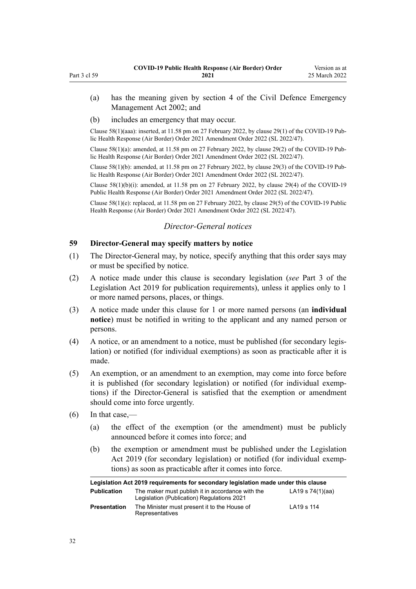- <span id="page-31-0"></span>(a) has the meaning given by [section 4](http://legislation.govt.nz/pdflink.aspx?id=DLM149796) of the Civil Defence Emergency Management Act 2002; and
- (b) includes an emergency that may occur.

Clause 58(1)(aaa): inserted, at 11.58 pm on 27 February 2022, by [clause 29\(1\)](http://legislation.govt.nz/pdflink.aspx?id=LMS650852) of the COVID-19 Pub‐ lic Health Response (Air Border) Order 2021 Amendment Order 2022 (SL 2022/47).

Clause 58(1)(a): amended, at 11.58 pm on 27 February 2022, by [clause 29\(2\)](http://legislation.govt.nz/pdflink.aspx?id=LMS650852) of the COVID-19 Pub‐ lic Health Response (Air Border) Order 2021 Amendment Order 2022 (SL 2022/47).

Clause  $58(1)(b)$ : amended, at 11.58 pm on 27 February 2022, by [clause 29\(3\)](http://legislation.govt.nz/pdflink.aspx?id=LMS650852) of the COVID-19 Public Health Response (Air Border) Order 2021 Amendment Order 2022 (SL 2022/47).

Clause 58(1)(b)(i): amended, at 11.58 pm on 27 February 2022, by [clause 29\(4\)](http://legislation.govt.nz/pdflink.aspx?id=LMS650852) of the COVID-19 Public Health Response (Air Border) Order 2021 Amendment Order 2022 (SL 2022/47).

Clause 58(1)(e): replaced, at 11.58 pm on 27 February 2022, by [clause 29\(5\)](http://legislation.govt.nz/pdflink.aspx?id=LMS650852) of the COVID-19 Public Health Response (Air Border) Order 2021 Amendment Order 2022 (SL 2022/47).

# *Director-General notices*

# **59 Director-General may specify matters by notice**

- (1) The Director-General may, by notice, specify anything that this order says may or must be specified by notice.
- (2) A notice made under this clause is secondary legislation (*see* [Part 3](http://legislation.govt.nz/pdflink.aspx?id=DLM7298343) of the Legislation Act 2019 for publication requirements), unless it applies only to 1 or more named persons, places, or things.
- (3) A notice made under this clause for 1 or more named persons (an **individual notice**) must be notified in writing to the applicant and any named person or persons.
- (4) A notice, or an amendment to a notice, must be published (for secondary legis‐ lation) or notified (for individual exemptions) as soon as practicable after it is made.
- (5) An exemption, or an amendment to an exemption, may come into force before it is published (for secondary legislation) or notified (for individual exemp‐ tions) if the Director-General is satisfied that the exemption or amendment should come into force urgently.
- $(6)$  In that case,—
	- (a) the effect of the exemption (or the amendment) must be publicly announced before it comes into force; and
	- (b) the exemption or amendment must be published under the [Legislation](http://legislation.govt.nz/pdflink.aspx?id=DLM7298104) [Act 2019](http://legislation.govt.nz/pdflink.aspx?id=DLM7298104) (for secondary legislation) or notified (for individual exemptions) as soon as practicable after it comes into force.

| Legislation Act 2019 requirements for secondary legislation made under this clause |                                                                                                |                    |
|------------------------------------------------------------------------------------|------------------------------------------------------------------------------------------------|--------------------|
| <b>Publication</b>                                                                 | The maker must publish it in accordance with the<br>Legislation (Publication) Regulations 2021 | LA19 s $74(1)(aa)$ |
| <b>Presentation</b>                                                                | The Minister must present it to the House of<br>Representatives                                | LA19 s 114         |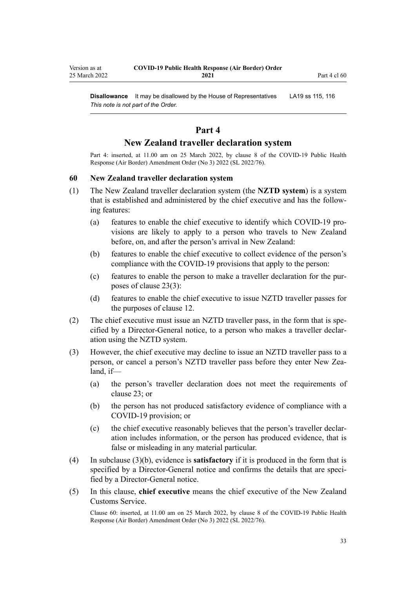<span id="page-32-0"></span>**Disallowance** It may be disallowed by the House of Representatives LA19 [ss 115](http://legislation.govt.nz/pdflink.aspx?id=DLM7298431), [116](http://legislation.govt.nz/pdflink.aspx?id=DLM7298432) *This note is not part of the Order.*

# **Part 4**

# **New Zealand traveller declaration system**

Part 4: inserted, at 11.00 am on 25 March 2022, by [clause 8](http://legislation.govt.nz/pdflink.aspx?id=LMS665869) of the COVID-19 Public Health Response (Air Border) Amendment Order (No 3) 2022 (SL 2022/76).

#### **60 New Zealand traveller declaration system**

- (1) The New Zealand traveller declaration system (the **NZTD system**) is a system that is established and administered by the chief executive and has the follow‐ ing features:
	- (a) features to enable the chief executive to identify which COVID-19 pro‐ visions are likely to apply to a person who travels to New Zealand before, on, and after the person's arrival in New Zealand:
	- (b) features to enable the chief executive to collect evidence of the person's compliance with the COVID-19 provisions that apply to the person:
	- (c) features to enable the person to make a traveller declaration for the pur‐ poses of [clause 23\(3\):](#page-17-0)
	- (d) features to enable the chief executive to issue NZTD traveller passes for the purposes of [clause 12](#page-12-0).
- (2) The chief executive must issue an NZTD traveller pass, in the form that is specified by a Director-General notice, to a person who makes a traveller declar‐ ation using the NZTD system.
- (3) However, the chief executive may decline to issue an NZTD traveller pass to a person, or cancel a person's NZTD traveller pass before they enter New Zealand, if—
	- (a) the person's traveller declaration does not meet the requirements of [clause 23](#page-17-0); or
	- (b) the person has not produced satisfactory evidence of compliance with a COVID-19 provision; or
	- (c) the chief executive reasonably believes that the person's traveller declar‐ ation includes information, or the person has produced evidence, that is false or misleading in any material particular.
- (4) In subclause (3)(b), evidence is **satisfactory** if it is produced in the form that is specified by a Director-General notice and confirms the details that are specified by a Director-General notice.
- (5) In this clause, **chief executive** means the chief executive of the New Zealand Customs Service.

Clause 60: inserted, at 11.00 am on 25 March 2022, by [clause 8](http://legislation.govt.nz/pdflink.aspx?id=LMS665869) of the COVID-19 Public Health Response (Air Border) Amendment Order (No 3) 2022 (SL 2022/76).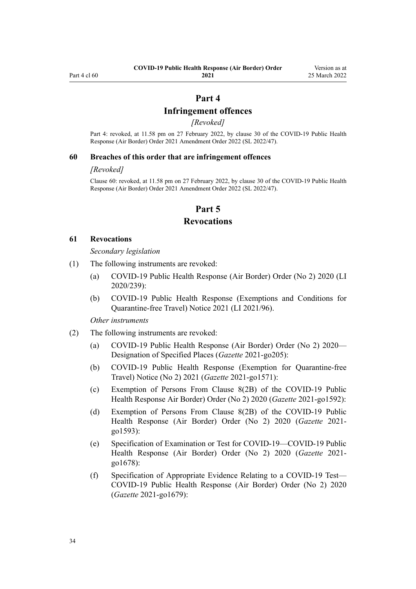# **Part 4**

# **Infringement offences**

*[Revoked]*

<span id="page-33-0"></span>Part 4: revoked, at 11.58 pm on 27 February 2022, by [clause 30](http://legislation.govt.nz/pdflink.aspx?id=LMS650853) of the COVID-19 Public Health Response (Air Border) Order 2021 Amendment Order 2022 (SL 2022/47).

#### **60 Breaches of this order that are infringement offences**

#### *[Revoked]*

Clause 60: revoked, at 11.58 pm on 27 February 2022, by [clause 30](http://legislation.govt.nz/pdflink.aspx?id=LMS650853) of the COVID-19 Public Health Response (Air Border) Order 2021 Amendment Order 2022 (SL 2022/47).

# **Part 5**

# **Revocations**

#### **61 Revocations**

*Secondary legislation*

- (1) The following instruments are revoked:
	- (a) [COVID-19 Public Health Response \(Air Border\) Order \(No 2\) 2020](http://legislation.govt.nz/pdflink.aspx?id=LMS403345) (LI 2020/239):
	- (b) [COVID-19 Public Health Response \(Exemptions and Conditions for](http://legislation.govt.nz/pdflink.aspx?id=LMS492859) [Quarantine-free Travel\) Notice 2021](http://legislation.govt.nz/pdflink.aspx?id=LMS492859) (LI 2021/96).

*Other instruments*

- (2) The following instruments are revoked:
	- (a) [COVID-19 Public Health Response \(Air Border\) Order \(No 2\) 2020—](https://gazette.govt.nz/notice/id/2021-go205) [Designation of Specified Places](https://gazette.govt.nz/notice/id/2021-go205) (*Gazette* 2021-go205):
	- (b) [COVID-19 Public Health Response \(Exemption for Quarantine-free](https://gazette.govt.nz/notice/id/2021-go1571?year=2021=1571) [Travel\) Notice \(No 2\) 2021](https://gazette.govt.nz/notice/id/2021-go1571?year=2021=1571) (*Gazette* 2021-go1571):
	- (c) [Exemption of Persons From Clause 8\(2B\) of the COVID-19 Public](https://gazette.govt.nz/notice/id/2021-go1592?year=2021=1592) [Health Response Air Border\) Order \(No 2\) 2020](https://gazette.govt.nz/notice/id/2021-go1592?year=2021=1592) (*Gazette* 2021-go1592):
	- (d) [Exemption of Persons From Clause 8\(2B\) of the COVID-19 Public](https://gazette.govt.nz/notice/id/2021-go1593?year=2021=1593) [Health Response \(Air Border\) Order \(No 2\) 2020](https://gazette.govt.nz/notice/id/2021-go1593?year=2021=1593) (*Gazette* 2021 go1593):
	- (e) [Specification of Examination or Test for COVID-19—COVID-19 Public](https://gazette.govt.nz/notice/id/2021-go1678?year=2021=1678) [Health Response \(Air Border\) Order \(No 2\) 2020](https://gazette.govt.nz/notice/id/2021-go1678?year=2021=1678) (*Gazette* 2021 go1678):
	- (f) [Specification of Appropriate Evidence Relating to a COVID-19 Test—](https://gazette.govt.nz/notice/id/2021-go1679?year=2021=1679) [COVID-19 Public Health Response \(Air Border\) Order \(No 2\) 2020](https://gazette.govt.nz/notice/id/2021-go1679?year=2021=1679) (*Gazette* 2021-go1679):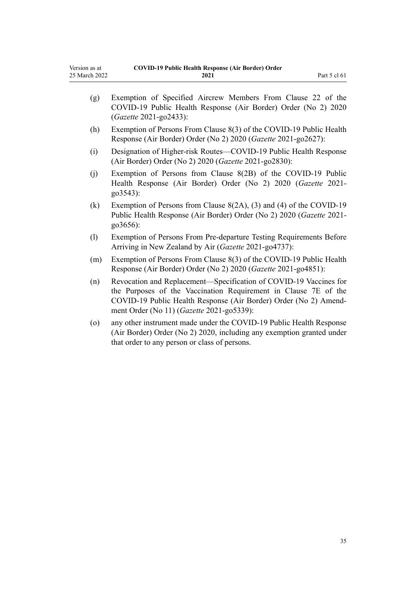| Version as at | <b>COVID-19 Public Health Response (Air Border) Order</b> |              |
|---------------|-----------------------------------------------------------|--------------|
| 25 March 2022 | 2021                                                      | Part 5 cl 61 |

| (g)     | Exemption of Specified Aircrew Members From Clause 22 of the<br>COVID-19 Public Health Response (Air Border) Order (No 2) 2020<br>(Gazette 2021-go2433):                                                                                              |
|---------|-------------------------------------------------------------------------------------------------------------------------------------------------------------------------------------------------------------------------------------------------------|
| (h)     | Exemption of Persons From Clause 8(3) of the COVID-19 Public Health<br>Response (Air Border) Order (No 2) 2020 (Gazette 2021-go2627):                                                                                                                 |
| (i)     | Designation of Higher-risk Routes—COVID-19 Public Health Response<br>(Air Border) Order (No 2) 2020 (Gazette 2021-go2830):                                                                                                                            |
| (j)     | Exemption of Persons from Clause 8(2B) of the COVID-19 Public<br>Health Response (Air Border) Order (No 2) 2020 (Gazette 2021-<br>go3543):                                                                                                            |
| (k)     | Exemption of Persons from Clause $8(2A)$ , (3) and (4) of the COVID-19<br>Public Health Response (Air Border) Order (No 2) 2020 (Gazette 2021-<br>go3656):                                                                                            |
| (1)     | Exemption of Persons From Pre-departure Testing Requirements Before<br>Arriving in New Zealand by Air (Gazette 2021-go4737):                                                                                                                          |
| (m)     | Exemption of Persons From Clause 8(3) of the COVID-19 Public Health<br>Response (Air Border) Order (No 2) 2020 (Gazette 2021-go4851):                                                                                                                 |
| (n)     | Revocation and Replacement-Specification of COVID-19 Vaccines for<br>the Purposes of the Vaccination Requirement in Clause 7E of the<br>COVID-19 Public Health Response (Air Border) Order (No 2) Amend-<br>ment Order (No 11) (Gazette 2021-go5339): |
| $\circ$ | any other instrument made under the COVID-19 Public Health Response<br>(Air Border) Order (No 2) 2020, including any exemption granted under<br>that order to any person or class of persons.                                                         |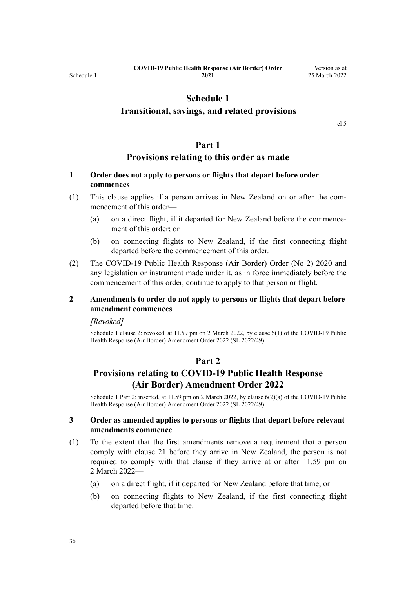# **Schedule 1**

# <span id="page-35-0"></span>**Transitional, savings, and related provisions**

[cl 5](#page-9-0)

# **Part 1**

# **Provisions relating to this order as made**

# **1 Order does not apply to persons or flights that depart before order commences**

- (1) This clause applies if a person arrives in New Zealand on or after the com‐ mencement of this order—
	- (a) on a direct flight, if it departed for New Zealand before the commence‐ ment of this order; or
	- (b) on connecting flights to New Zealand, if the first connecting flight departed before the commencement of this order.
- (2) The [COVID-19 Public Health Response \(Air Border\) Order \(No 2\) 2020](http://legislation.govt.nz/pdflink.aspx?id=LMS403345) and any legislation or instrument made under it, as in force immediately before the commencement of this order, continue to apply to that person or flight.

# **2 Amendments to order do not apply to persons or flights that depart before amendment commences**

#### *[Revoked]*

Schedule 1 clause 2: revoked, at 11.59 pm on 2 March 2022, by [clause 6\(1\)](http://legislation.govt.nz/pdflink.aspx?id=LMS653779) of the COVID-19 Public Health Response (Air Border) Amendment Order 2022 (SL 2022/49).

# **Part 2**

# **Provisions relating to COVID-19 Public Health Response (Air Border) Amendment Order 2022**

Schedule 1 Part 2: inserted, at 11.59 pm on 2 March 2022, by [clause 6\(2\)\(a\)](http://legislation.govt.nz/pdflink.aspx?id=LMS653779) of the COVID-19 Public Health Response (Air Border) Amendment Order 2022 (SL 2022/49).

# **3 Order as amended applies to persons or flights that depart before relevant amendments commence**

- (1) To the extent that the first amendments remove a requirement that a person comply with [clause 21](#page-16-0) before they arrive in New Zealand, the person is not required to comply with that clause if they arrive at or after 11.59 pm on 2 March 2022—
	- (a) on a direct flight, if it departed for New Zealand before that time; or
	- (b) on connecting flights to New Zealand, if the first connecting flight departed before that time.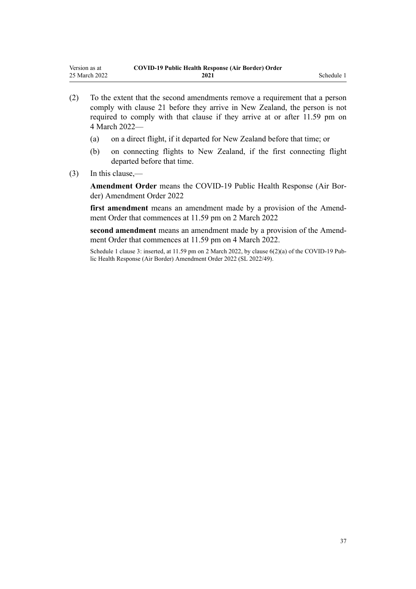- (2) To the extent that the second amendments remove a requirement that a person comply with [clause 21](#page-16-0) before they arrive in New Zealand, the person is not required to comply with that clause if they arrive at or after 11.59 pm on 4 March 2022—
	- (a) on a direct flight, if it departed for New Zealand before that time; or
	- (b) on connecting flights to New Zealand, if the first connecting flight departed before that time.
- (3) In this clause,—

**Amendment Order** means the [COVID-19 Public Health Response \(Air Bor‐](http://legislation.govt.nz/pdflink.aspx?id=LMS653771) [der\) Amendment Order 2022](http://legislation.govt.nz/pdflink.aspx?id=LMS653771)

first amendment means an amendment made by a provision of the Amendment Order that commences at 11.59 pm on 2 March 2022

second amendment means an amendment made by a provision of the Amendment Order that commences at 11.59 pm on 4 March 2022.

Schedule 1 clause 3: inserted, at 11.59 pm on 2 March 2022, by [clause 6\(2\)\(a\)](http://legislation.govt.nz/pdflink.aspx?id=LMS653779) of the COVID-19 Public Health Response (Air Border) Amendment Order 2022 (SL 2022/49).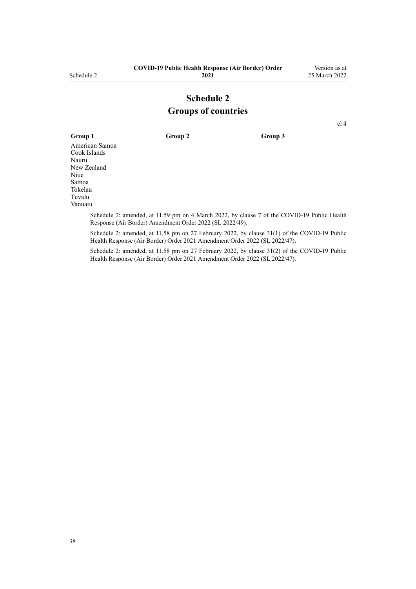## **Schedule 2 Groups of countries**

[cl 4](#page-4-0)

**Group 1 Group 2 Group 3** American Samoa Cook Islands Nauru New Zealand Niue Samoa Tokelau Tuvalu Vanuatu

Schedule 2: amended, at 11.59 pm on 4 March 2022, by [clause 7](http://legislation.govt.nz/pdflink.aspx?id=LMS653780) of the COVID-19 Public Health Response (Air Border) Amendment Order 2022 (SL 2022/49).

Schedule 2: amended, at 11.58 pm on 27 February 2022, by [clause 31\(1\)](http://legislation.govt.nz/pdflink.aspx?id=LMS650856) of the COVID-19 Public Health Response (Air Border) Order 2021 Amendment Order 2022 (SL 2022/47).

Schedule 2: amended, at 11.58 pm on 27 February 2022, by [clause 31\(2\)](http://legislation.govt.nz/pdflink.aspx?id=LMS650856) of the COVID-19 Public Health Response (Air Border) Order 2021 Amendment Order 2022 (SL 2022/47).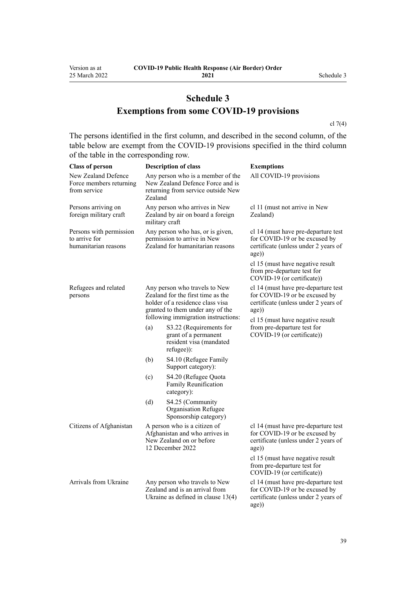# **Schedule 3 Exemptions from some COVID-19 provisions**

[cl 7\(4\)](#page-9-0)

The persons identified in the first column, and described in the second column, of the table below are exempt from the COVID-19 provisions specified in the third column of the table in the corresponding row.

| <b>Class of person</b>                                           |                | <b>Description of class</b>                                                                                                                                                       | <b>Exemptions</b>                                                                                                                                         |
|------------------------------------------------------------------|----------------|-----------------------------------------------------------------------------------------------------------------------------------------------------------------------------------|-----------------------------------------------------------------------------------------------------------------------------------------------------------|
| New Zealand Defence<br>Force members returning<br>from service   | Zealand        | Any person who is a member of the<br>New Zealand Defence Force and is<br>returning from service outside New                                                                       | All COVID-19 provisions                                                                                                                                   |
| Persons arriving on<br>foreign military craft                    | military craft | Any person who arrives in New<br>Zealand by air on board a foreign                                                                                                                | cl 11 (must not arrive in New<br>Zealand)                                                                                                                 |
| Persons with permission<br>to arrive for<br>humanitarian reasons |                | Any person who has, or is given,<br>permission to arrive in New<br>Zealand for humanitarian reasons                                                                               | cl 14 (must have pre-departure test<br>for COVID-19 or be excused by<br>certificate (unless under 2 years of<br>age))                                     |
|                                                                  |                |                                                                                                                                                                                   | cl 15 (must have negative result<br>from pre-departure test for<br>COVID-19 (or certificate))                                                             |
| Refugees and related<br>persons                                  |                | Any person who travels to New<br>Zealand for the first time as the<br>holder of a residence class visa<br>granted to them under any of the<br>following immigration instructions: | cl 14 (must have pre-departure test<br>for COVID-19 or be excused by<br>certificate (unless under 2 years of<br>age))<br>cl 15 (must have negative result |
|                                                                  | (a)            | S3.22 (Requirements for<br>grant of a permanent<br>resident visa (mandated<br>refugee):                                                                                           | from pre-departure test for<br>COVID-19 (or certificate))                                                                                                 |
|                                                                  | (b)            | S4.10 (Refugee Family<br>Support category):                                                                                                                                       |                                                                                                                                                           |
|                                                                  | (c)            | S4.20 (Refugee Quota<br>Family Reunification<br>category):                                                                                                                        |                                                                                                                                                           |
|                                                                  | (d)            | S4.25 (Community<br>Organisation Refugee<br>Sponsorship category)                                                                                                                 |                                                                                                                                                           |
| Citizens of Afghanistan                                          |                | A person who is a citizen of<br>Afghanistan and who arrives in<br>New Zealand on or before<br>12 December 2022                                                                    | cl 14 (must have pre-departure test<br>for COVID-19 or be excused by<br>certificate (unless under 2 years of<br>age))                                     |
|                                                                  |                |                                                                                                                                                                                   | cl 15 (must have negative result<br>from pre-departure test for<br>COVID-19 (or certificate))                                                             |
| Arrivals from Ukraine                                            |                | Any person who travels to New<br>Zealand and is an arrival from<br>Ukraine as defined in clause $13(4)$                                                                           | cl 14 (must have pre-departure test<br>for COVID-19 or be excused by<br>certificate (unless under 2 years of<br>age))                                     |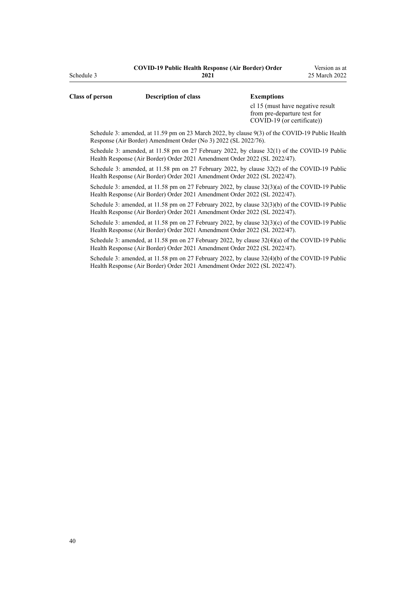| <b>Class of person</b> | <b>Description of class</b>                                     | <b>Exemptions</b>                                                                               |
|------------------------|-----------------------------------------------------------------|-------------------------------------------------------------------------------------------------|
|                        |                                                                 | cl 15 (must have negative result<br>from pre-departure test for<br>COVID-19 (or certificate))   |
|                        | Response (Air Border) Amendment Order (No 3) 2022 (SL 2022/76). | Schedule 3: amended, at 11.59 pm on 23 March 2022, by clause 9(3) of the COVID-19 Public Health |

Schedule 3: amended, at 11.58 pm on 27 February 2022, by [clause 32\(1\)](http://legislation.govt.nz/pdflink.aspx?id=LMS650857) of the COVID-19 Public Health Response (Air Border) Order 2021 Amendment Order 2022 (SL 2022/47).

Schedule 3: amended, at 11.58 pm on 27 February 2022, by [clause 32\(2\)](http://legislation.govt.nz/pdflink.aspx?id=LMS650857) of the COVID-19 Public Health Response (Air Border) Order 2021 Amendment Order 2022 (SL 2022/47).

Schedule 3: amended, at 11.58 pm on 27 February 2022, by [clause 32\(3\)\(a\)](http://legislation.govt.nz/pdflink.aspx?id=LMS650857) of the COVID-19 Public Health Response (Air Border) Order 2021 Amendment Order 2022 (SL 2022/47).

Schedule 3: amended, at 11.58 pm on 27 February 2022, by [clause 32\(3\)\(b\)](http://legislation.govt.nz/pdflink.aspx?id=LMS650857) of the COVID-19 Public Health Response (Air Border) Order 2021 Amendment Order 2022 (SL 2022/47).

Schedule 3: amended, at 11.58 pm on 27 February 2022, by [clause 32\(3\)\(c\)](http://legislation.govt.nz/pdflink.aspx?id=LMS650857) of the COVID-19 Public Health Response (Air Border) Order 2021 Amendment Order 2022 (SL 2022/47).

Schedule 3: amended, at 11.58 pm on 27 February 2022, by [clause 32\(4\)\(a\)](http://legislation.govt.nz/pdflink.aspx?id=LMS650857) of the COVID-19 Public Health Response (Air Border) Order 2021 Amendment Order 2022 (SL 2022/47).

Schedule 3: amended, at 11.58 pm on 27 February 2022, by [clause 32\(4\)\(b\)](http://legislation.govt.nz/pdflink.aspx?id=LMS650857) of the COVID-19 Public Health Response (Air Border) Order 2021 Amendment Order 2022 (SL 2022/47).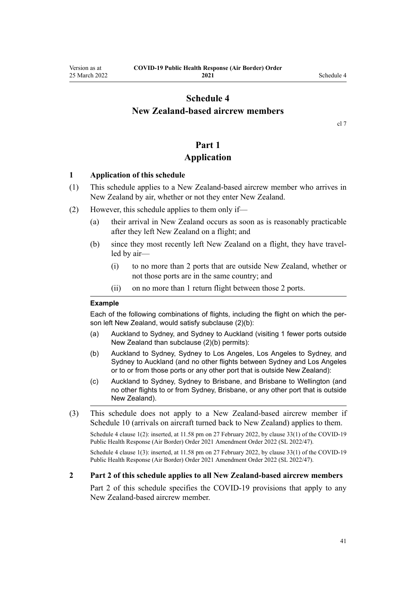## <span id="page-40-0"></span>**Schedule 4 New Zealand-based aircrew members**

[cl 7](#page-9-0)

# **Part 1**

## **Application**

#### **1 Application of this schedule**

- (1) This schedule applies to a New Zealand-based aircrew member who arrives in New Zealand by air, whether or not they enter New Zealand.
- (2) However, this schedule applies to them only if—
	- (a) their arrival in New Zealand occurs as soon as is reasonably practicable after they left New Zealand on a flight; and
	- (b) since they most recently left New Zealand on a flight, they have travelled by air—
		- (i) to no more than 2 ports that are outside New Zealand, whether or not those ports are in the same country; and
		- (ii) on no more than 1 return flight between those 2 ports.

#### **Example**

Each of the following combinations of flights, including the flight on which the person left New Zealand, would satisfy subclause (2)(b):

- (a) Auckland to Sydney, and Sydney to Auckland (visiting 1 fewer ports outside New Zealand than subclause (2)(b) permits):
- (b) Auckland to Sydney, Sydney to Los Angeles, Los Angeles to Sydney, and Sydney to Auckland (and no other flights between Sydney and Los Angeles or to or from those ports or any other port that is outside New Zealand):
- (c) Auckland to Sydney, Sydney to Brisbane, and Brisbane to Wellington (and no other flights to or from Sydney, Brisbane, or any other port that is outside New Zealand).
- (3) This schedule does not apply to a New Zealand-based aircrew member if [Schedule 10](#page-59-0) (arrivals on aircraft turned back to New Zealand) applies to them.

Schedule 4 clause 1(2): inserted, at 11.58 pm on 27 February 2022, by [clause 33\(1\)](http://legislation.govt.nz/pdflink.aspx?id=LMS650859) of the COVID-19 Public Health Response (Air Border) Order 2021 Amendment Order 2022 (SL 2022/47).

Schedule 4 clause 1(3): inserted, at 11.58 pm on 27 February 2022, by [clause 33\(1\)](http://legislation.govt.nz/pdflink.aspx?id=LMS650859) of the COVID-19 Public Health Response (Air Border) Order 2021 Amendment Order 2022 (SL 2022/47).

#### **2 Part 2 of this schedule applies to all New Zealand-based aircrew members**

[Part 2](#page-41-0) of this schedule specifies the COVID-19 provisions that apply to any New Zealand-based aircrew member.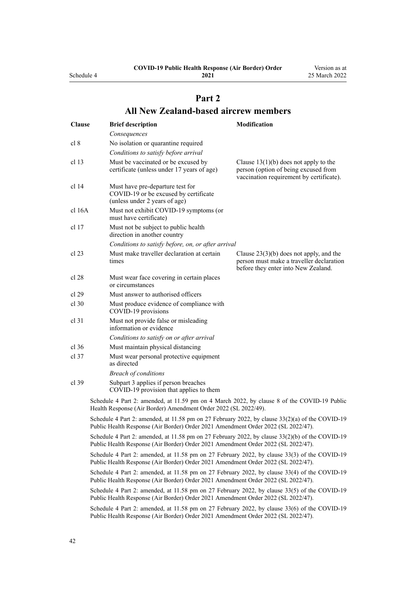<span id="page-41-0"></span>Schedule 4

**2021**

Version as at 25 March 2022

# **Part 2 All New Zealand-based aircrew members**

| <b>Clause</b> | <b>Brief description</b>                                                                                                                                                               | Modification                                                                                                                 |
|---------------|----------------------------------------------------------------------------------------------------------------------------------------------------------------------------------------|------------------------------------------------------------------------------------------------------------------------------|
|               | Consequences                                                                                                                                                                           |                                                                                                                              |
| cl 8          | No isolation or quarantine required                                                                                                                                                    |                                                                                                                              |
|               | Conditions to satisfy before arrival                                                                                                                                                   |                                                                                                                              |
| cl 13         | Must be vaccinated or be excused by<br>certificate (unless under 17 years of age)                                                                                                      | Clause $13(1)(b)$ does not apply to the<br>person (option of being excused from<br>vaccination requirement by certificate).  |
| cl 14         | Must have pre-departure test for<br>COVID-19 or be excused by certificate<br>(unless under 2 years of age)                                                                             |                                                                                                                              |
| cl 16A        | Must not exhibit COVID-19 symptoms (or<br>must have certificate)                                                                                                                       |                                                                                                                              |
| cl 17         | Must not be subject to public health<br>direction in another country                                                                                                                   |                                                                                                                              |
|               | Conditions to satisfy before, on, or after arrival                                                                                                                                     |                                                                                                                              |
| cl 23         | Must make traveller declaration at certain<br>times                                                                                                                                    | Clause $23(3)(b)$ does not apply, and the<br>person must make a traveller declaration<br>before they enter into New Zealand. |
| cl 28         | Must wear face covering in certain places<br>or circumstances                                                                                                                          |                                                                                                                              |
| cl 29         | Must answer to authorised officers                                                                                                                                                     |                                                                                                                              |
| $cl$ 30       | Must produce evidence of compliance with<br>COVID-19 provisions                                                                                                                        |                                                                                                                              |
| cl 31         | Must not provide false or misleading<br>information or evidence                                                                                                                        |                                                                                                                              |
|               | Conditions to satisfy on or after arrival                                                                                                                                              |                                                                                                                              |
| cl 36         | Must maintain physical distancing                                                                                                                                                      |                                                                                                                              |
| cl 37         | Must wear personal protective equipment<br>as directed                                                                                                                                 |                                                                                                                              |
|               | <b>Breach of conditions</b>                                                                                                                                                            |                                                                                                                              |
| cl 39         | Subpart 3 applies if person breaches<br>COVID-19 provision that applies to them                                                                                                        |                                                                                                                              |
|               | Schedule 4 Part 2: amended, at 11.59 pm on 4 March 2022, by clause 8 of the COVID-19 Public<br>Health Response (Air Border) Amendment Order 2022 (SL 2022/49).                         |                                                                                                                              |
|               | Schedule 4 Part 2: amended, at 11.58 pm on 27 February 2022, by clause $33(2)(a)$ of the COVID-19<br>Public Health Response (Air Border) Order 2021 Amendment Order 2022 (SL 2022/47). |                                                                                                                              |
|               | Schedule 4 Part 2: amended, at 11.58 pm on 27 February 2022, by clause 33(2)(b) of the COVID-19<br>Public Health Response (Air Border) Order 2021 Amendment Order 2022 (SL 2022/47).   |                                                                                                                              |
|               | Schedule 4 Part 2: amended, at 11.58 pm on 27 February 2022, by clause 33(3) of the COVID-19<br>Public Health Response (Air Border) Order 2021 Amendment Order 2022 (SL 2022/47).      |                                                                                                                              |
|               | Schedule 4 Part 2: amended, at 11.58 pm on 27 February 2022, by clause 33(4) of the COVID-19<br>Public Health Response (Air Border) Order 2021 Amendment Order 2022 (SL 2022/47).      |                                                                                                                              |
|               | Schedule 4 Part 2: amended, at 11.58 pm on 27 February 2022, by clause 33(5) of the COVID-19<br>Public Health Response (Air Border) Order 2021 Amendment Order 2022 (SL 2022/47).      |                                                                                                                              |
|               | Schedule 4 Part 2: amended, at 11.58 pm on 27 February 2022, by clause 33(6) of the COVID-19<br>Public Health Response (Air Border) Order 2021 Amendment Order 2022 (SL 2022/47).      |                                                                                                                              |
|               |                                                                                                                                                                                        |                                                                                                                              |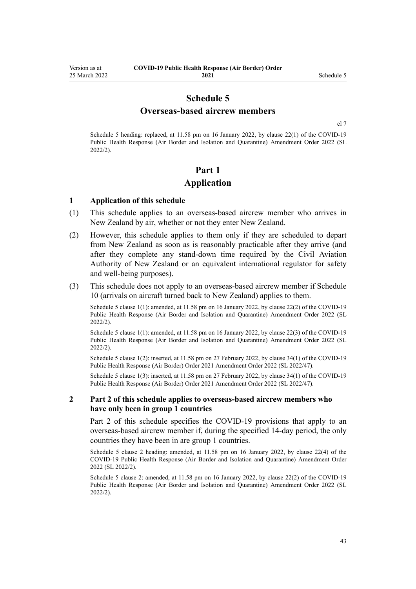## **Schedule 5 Overseas-based aircrew members**

[cl 7](#page-9-0)

<span id="page-42-0"></span>Schedule 5 heading: replaced, at 11.58 pm on 16 January 2022, by [clause 22\(1\)](http://legislation.govt.nz/pdflink.aspx?id=LMS629305) of the COVID-19 Public Health Response (Air Border and Isolation and Quarantine) Amendment Order 2022 (SL 2022/2).

## **Part 1 Application**

#### **1 Application of this schedule**

- (1) This schedule applies to an overseas-based aircrew member who arrives in New Zealand by air, whether or not they enter New Zealand.
- (2) However, this schedule applies to them only if they are scheduled to depart from New Zealand as soon as is reasonably practicable after they arrive (and after they complete any stand-down time required by the Civil Aviation Authority of New Zealand or an equivalent international regulator for safety and well-being purposes).
- (3) This schedule does not apply to an overseas-based aircrew member if [Schedule](#page-59-0) [10](#page-59-0) (arrivals on aircraft turned back to New Zealand) applies to them.

Schedule 5 clause 1(1): amended, at 11.58 pm on 16 January 2022, by [clause 22\(2\)](http://legislation.govt.nz/pdflink.aspx?id=LMS629305) of the COVID-19 Public Health Response (Air Border and Isolation and Quarantine) Amendment Order 2022 (SL 2022/2).

Schedule 5 clause 1(1): amended, at 11.58 pm on 16 January 2022, by [clause 22\(3\)](http://legislation.govt.nz/pdflink.aspx?id=LMS629305) of the COVID-19 Public Health Response (Air Border and Isolation and Quarantine) Amendment Order 2022 (SL 2022/2).

Schedule 5 clause 1(2): inserted, at 11.58 pm on 27 February 2022, by [clause 34\(1\)](http://legislation.govt.nz/pdflink.aspx?id=LMS650864) of the COVID-19 Public Health Response (Air Border) Order 2021 Amendment Order 2022 (SL 2022/47).

Schedule 5 clause 1(3): inserted, at 11.58 pm on 27 February 2022, by [clause 34\(1\)](http://legislation.govt.nz/pdflink.aspx?id=LMS650864) of the COVID-19 Public Health Response (Air Border) Order 2021 Amendment Order 2022 (SL 2022/47).

#### **2 Part 2 of this schedule applies to overseas-based aircrew members who have only been in group 1 countries**

[Part 2](#page-43-0) of this schedule specifies the COVID-19 provisions that apply to an overseas-based aircrew member if, during the specified 14-day period, the only countries they have been in are group 1 countries.

Schedule 5 clause 2 heading: amended, at 11.58 pm on 16 January 2022, by [clause 22\(4\)](http://legislation.govt.nz/pdflink.aspx?id=LMS629305) of the COVID-19 Public Health Response (Air Border and Isolation and Quarantine) Amendment Order 2022 (SL 2022/2).

Schedule 5 clause 2: amended, at 11.58 pm on 16 January 2022, by [clause 22\(2\)](http://legislation.govt.nz/pdflink.aspx?id=LMS629305) of the COVID-19 Public Health Response (Air Border and Isolation and Quarantine) Amendment Order 2022 (SL 2022/2).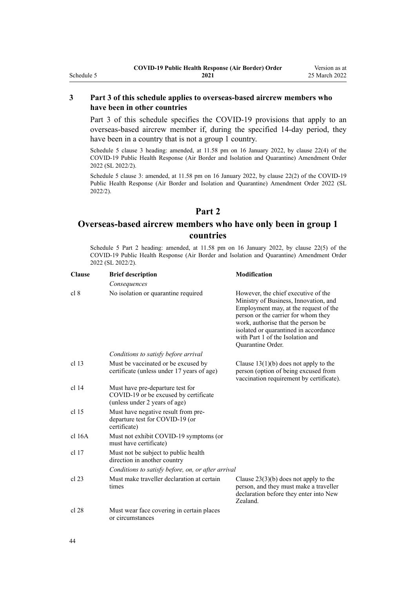#### <span id="page-43-0"></span>**3 Part 3 of this schedule applies to overseas-based aircrew members who have been in other countries**

[Part 3](#page-44-0) of this schedule specifies the COVID-19 provisions that apply to an overseas-based aircrew member if, during the specified 14-day period, they have been in a country that is not a group 1 country.

Schedule 5 clause 3 heading: amended, at 11.58 pm on 16 January 2022, by [clause 22\(4\)](http://legislation.govt.nz/pdflink.aspx?id=LMS629305) of the COVID-19 Public Health Response (Air Border and Isolation and Quarantine) Amendment Order 2022 (SL 2022/2).

Schedule 5 clause 3: amended, at 11.58 pm on 16 January 2022, by [clause 22\(2\)](http://legislation.govt.nz/pdflink.aspx?id=LMS629305) of the COVID-19 Public Health Response (Air Border and Isolation and Quarantine) Amendment Order 2022 (SL 2022/2).

## **Part 2**

## **Overseas-based aircrew members who have only been in group 1 countries**

Schedule 5 Part 2 heading: amended, at 11.58 pm on 16 January 2022, by [clause 22\(5\)](http://legislation.govt.nz/pdflink.aspx?id=LMS629305) of the COVID-19 Public Health Response (Air Border and Isolation and Quarantine) Amendment Order 2022 (SL 2022/2).

| <b>Clause</b>    | <b>Brief description</b>                                                                                   | <b>Modification</b>                                                                                                                                                                                                                                                                                  |
|------------------|------------------------------------------------------------------------------------------------------------|------------------------------------------------------------------------------------------------------------------------------------------------------------------------------------------------------------------------------------------------------------------------------------------------------|
|                  | Consequences                                                                                               |                                                                                                                                                                                                                                                                                                      |
| cl 8             | No isolation or quarantine required                                                                        | However, the chief executive of the<br>Ministry of Business, Innovation, and<br>Employment may, at the request of the<br>person or the carrier for whom they<br>work, authorise that the person be<br>isolated or quarantined in accordance<br>with Part 1 of the Isolation and<br>Quarantine Order. |
|                  | Conditions to satisfy before arrival                                                                       |                                                                                                                                                                                                                                                                                                      |
| cl <sub>13</sub> | Must be vaccinated or be excused by<br>certificate (unless under 17 years of age)                          | Clause $13(1)(b)$ does not apply to the<br>person (option of being excused from<br>vaccination requirement by certificate).                                                                                                                                                                          |
| $cl$ 14          | Must have pre-departure test for<br>COVID-19 or be excused by certificate<br>(unless under 2 years of age) |                                                                                                                                                                                                                                                                                                      |
| cl <sub>15</sub> | Must have negative result from pre-<br>departure test for COVID-19 (or<br>certificate)                     |                                                                                                                                                                                                                                                                                                      |
| cl 16A           | Must not exhibit COVID-19 symptoms (or<br>must have certificate)                                           |                                                                                                                                                                                                                                                                                                      |
| cl <sub>17</sub> | Must not be subject to public health<br>direction in another country                                       |                                                                                                                                                                                                                                                                                                      |
|                  | Conditions to satisfy before, on, or after arrival                                                         |                                                                                                                                                                                                                                                                                                      |
| $cl$ 23          | Must make traveller declaration at certain<br>times                                                        | Clause $23(3)(b)$ does not apply to the<br>person, and they must make a traveller<br>declaration before they enter into New<br>Zealand.                                                                                                                                                              |
| cl 28            | Must wear face covering in certain places<br>or circumstances                                              |                                                                                                                                                                                                                                                                                                      |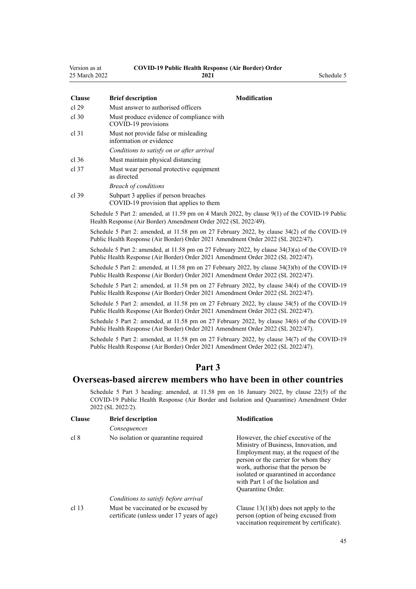<span id="page-44-0"></span>

| Version as at | <b>COVID-19 Public Health Response (Air Border) Order</b> |
|---------------|-----------------------------------------------------------|
| - - - -       |                                                           |

| 25 March 2022 | 2021                                                                                            |                     | Schedule 5 |
|---------------|-------------------------------------------------------------------------------------------------|---------------------|------------|
| <b>Clause</b> | <b>Brief description</b>                                                                        | <b>Modification</b> |            |
| cl 29         | Must answer to authorised officers                                                              |                     |            |
| cl.30         | Must produce evidence of compliance with<br>COVID-19 provisions                                 |                     |            |
| cl 31         | Must not provide false or misleading<br>information or evidence                                 |                     |            |
|               | Conditions to satisfy on or after arrival                                                       |                     |            |
| cl.36         | Must maintain physical distancing                                                               |                     |            |
| cl.37         | Must wear personal protective equipment<br>as directed                                          |                     |            |
|               | <b>Breach of conditions</b>                                                                     |                     |            |
| cl.39         | Subpart 3 applies if person breaches<br>COVID-19 provision that applies to them                 |                     |            |
|               | $0.1 \pm 1.5$ $0.0 \pm 1.1.1$ $0.00 \pm 1.000 \pm 1.000$ $0.1 \pm 0.01$ $0.000$ $0.000$ $0.000$ |                     |            |

Schedule 5 Part 2: amended, at 11.59 pm on 4 March 2022, by [clause 9\(1\)](http://legislation.govt.nz/pdflink.aspx?id=LMS653782) of the COVID-19 Public Health Response (Air Border) Amendment Order 2022 (SL 2022/49).

Schedule 5 Part 2: amended, at 11.58 pm on 27 February 2022, by [clause 34\(2\)](http://legislation.govt.nz/pdflink.aspx?id=LMS650864) of the COVID-19 Public Health Response (Air Border) Order 2021 Amendment Order 2022 (SL 2022/47).

Schedule 5 Part 2: amended, at 11.58 pm on 27 February 2022, by [clause 34\(3\)\(a\)](http://legislation.govt.nz/pdflink.aspx?id=LMS650864) of the COVID-19 Public Health Response (Air Border) Order 2021 Amendment Order 2022 (SL 2022/47).

Schedule 5 Part 2: amended, at 11.58 pm on 27 February 2022, by [clause 34\(3\)\(b\)](http://legislation.govt.nz/pdflink.aspx?id=LMS650864) of the COVID-19 Public Health Response (Air Border) Order 2021 Amendment Order 2022 (SL 2022/47).

Schedule 5 Part 2: amended, at 11.58 pm on 27 February 2022, by [clause 34\(4\)](http://legislation.govt.nz/pdflink.aspx?id=LMS650864) of the COVID-19 Public Health Response (Air Border) Order 2021 Amendment Order 2022 (SL 2022/47).

Schedule 5 Part 2: amended, at 11.58 pm on 27 February 2022, by [clause 34\(5\)](http://legislation.govt.nz/pdflink.aspx?id=LMS650864) of the COVID-19 Public Health Response (Air Border) Order 2021 Amendment Order 2022 (SL 2022/47).

Schedule 5 Part 2: amended, at 11.58 pm on 27 February 2022, by [clause 34\(6\)](http://legislation.govt.nz/pdflink.aspx?id=LMS650864) of the COVID-19 Public Health Response (Air Border) Order 2021 Amendment Order 2022 (SL 2022/47).

Schedule 5 Part 2: amended, at 11.58 pm on 27 February 2022, by [clause 34\(7\)](http://legislation.govt.nz/pdflink.aspx?id=LMS650864) of the COVID-19 Public Health Response (Air Border) Order 2021 Amendment Order 2022 (SL 2022/47).

## **Part 3**

## **Overseas-based aircrew members who have been in other countries**

Schedule 5 Part 3 heading: amended, at 11.58 pm on 16 January 2022, by [clause 22\(5\)](http://legislation.govt.nz/pdflink.aspx?id=LMS629305) of the COVID-19 Public Health Response (Air Border and Isolation and Quarantine) Amendment Order 2022 (SL 2022/2).

| <b>Clause</b> | <b>Brief description</b><br>Consequences                                          | <b>Modification</b>                                                                                                                                                                                                                                                                                         |
|---------------|-----------------------------------------------------------------------------------|-------------------------------------------------------------------------------------------------------------------------------------------------------------------------------------------------------------------------------------------------------------------------------------------------------------|
| cl 8          | No isolation or quarantine required                                               | However, the chief executive of the<br>Ministry of Business, Innovation, and<br>Employment may, at the request of the<br>person or the carrier for whom they<br>work, authorise that the person be<br>isolated or quarantined in accordance<br>with Part 1 of the Isolation and<br><b>Ouarantine Order.</b> |
|               | Conditions to satisfy before arrival                                              |                                                                                                                                                                                                                                                                                                             |
| cl 13         | Must be vaccinated or be excused by<br>certificate (unless under 17 years of age) | Clause $13(1)(b)$ does not apply to the<br>person (option of being excused from<br>vaccination requirement by certificate).                                                                                                                                                                                 |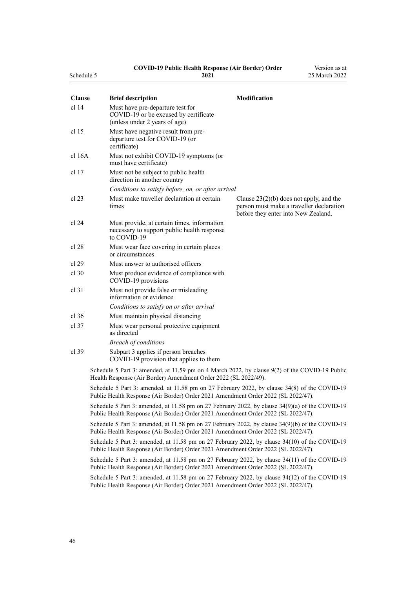#### **COVID-19 Public Health Response (Air Border) Order**

Version as at

| Schedule 5       | 2021                                                                                                                                                                                 | 25 March 2022                                                                                                                |
|------------------|--------------------------------------------------------------------------------------------------------------------------------------------------------------------------------------|------------------------------------------------------------------------------------------------------------------------------|
| <b>Clause</b>    | <b>Brief description</b>                                                                                                                                                             | Modification                                                                                                                 |
| cl <sub>14</sub> | Must have pre-departure test for<br>COVID-19 or be excused by certificate<br>(unless under 2 years of age)                                                                           |                                                                                                                              |
| cl 15            | Must have negative result from pre-<br>departure test for COVID-19 (or<br>certificate)                                                                                               |                                                                                                                              |
| cl 16A           | Must not exhibit COVID-19 symptoms (or<br>must have certificate)                                                                                                                     |                                                                                                                              |
| cl 17            | Must not be subject to public health<br>direction in another country                                                                                                                 |                                                                                                                              |
|                  | Conditions to satisfy before, on, or after arrival                                                                                                                                   |                                                                                                                              |
| cl 23            | Must make traveller declaration at certain<br>times                                                                                                                                  | Clause $23(2)(b)$ does not apply, and the<br>person must make a traveller declaration<br>before they enter into New Zealand. |
| cl 24            | Must provide, at certain times, information<br>necessary to support public health response<br>to COVID-19                                                                            |                                                                                                                              |
| cl 28            | Must wear face covering in certain places<br>or circumstances                                                                                                                        |                                                                                                                              |
| cl 29            | Must answer to authorised officers                                                                                                                                                   |                                                                                                                              |
| cl.30            | Must produce evidence of compliance with<br>COVID-19 provisions                                                                                                                      |                                                                                                                              |
| cl <sub>31</sub> | Must not provide false or misleading<br>information or evidence                                                                                                                      |                                                                                                                              |
|                  | Conditions to satisfy on or after arrival                                                                                                                                            |                                                                                                                              |
| $cl$ 36          | Must maintain physical distancing                                                                                                                                                    |                                                                                                                              |
| $cl$ 37          | Must wear personal protective equipment<br>as directed                                                                                                                               |                                                                                                                              |
|                  | <b>Breach of conditions</b>                                                                                                                                                          |                                                                                                                              |
| cl.39            | Subpart 3 applies if person breaches<br>COVID-19 provision that applies to them                                                                                                      |                                                                                                                              |
|                  | Schedule 5 Part 3: amended, at 11.59 pm on 4 March 2022, by clause 9(2) of the COVID-19 Public<br>Health Response (Air Border) Amendment Order 2022 (SL 2022/49).                    |                                                                                                                              |
|                  | Schedule 5 Part 3: amended, at 11.58 pm on 27 February 2022, by clause 34(8) of the COVID-19<br>Public Health Response (Air Border) Order 2021 Amendment Order 2022 (SL 2022/47).    |                                                                                                                              |
|                  | Schedule 5 Part 3: amended, at 11.58 pm on 27 February 2022, by clause 34(9)(a) of the COVID-19<br>Public Health Response (Air Border) Order 2021 Amendment Order 2022 (SL 2022/47). |                                                                                                                              |

Schedule 5 Part 3: amended, at 11.58 pm on 27 February 2022, by [clause 34\(9\)\(b\)](http://legislation.govt.nz/pdflink.aspx?id=LMS650864) of the COVID-19 Public Health Response (Air Border) Order 2021 Amendment Order 2022 (SL 2022/47).

Schedule 5 Part 3: amended, at 11.58 pm on 27 February 2022, by [clause 34\(10\)](http://legislation.govt.nz/pdflink.aspx?id=LMS650864) of the COVID-19 Public Health Response (Air Border) Order 2021 Amendment Order 2022 (SL 2022/47).

Schedule 5 Part 3: amended, at 11.58 pm on 27 February 2022, by [clause 34\(11\)](http://legislation.govt.nz/pdflink.aspx?id=LMS650864) of the COVID-19 Public Health Response (Air Border) Order 2021 Amendment Order 2022 (SL 2022/47).

Schedule 5 Part 3: amended, at 11.58 pm on 27 February 2022, by [clause 34\(12\)](http://legislation.govt.nz/pdflink.aspx?id=LMS650864) of the COVID-19 Public Health Response (Air Border) Order 2021 Amendment Order 2022 (SL 2022/47).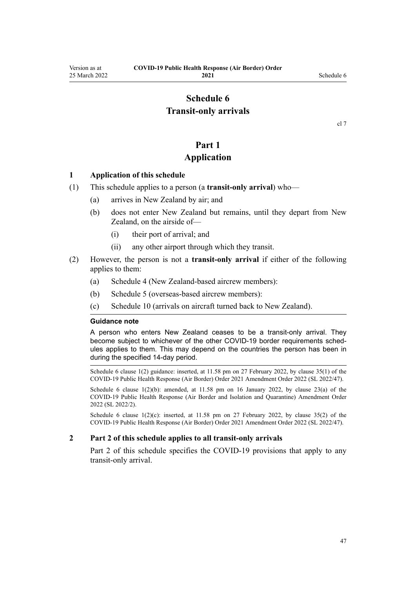## **Schedule 6 Transit-only arrivals**

#### **Part 1**

#### **Application**

#### <span id="page-46-0"></span>**1 Application of this schedule**

- (1) This schedule applies to a person (a **transit-only arrival**) who—
	- (a) arrives in New Zealand by air; and
	- (b) does not enter New Zealand but remains, until they depart from New Zealand, on the airside of—
		- (i) their port of arrival; and
		- (ii) any other airport through which they transit.
- (2) However, the person is not a **transit-only arrival** if either of the following applies to them:
	- (a) [Schedule 4](#page-40-0) (New Zealand-based aircrew members):
	- (b) [Schedule 5](#page-42-0) (overseas-based aircrew members):
	- (c) [Schedule 10](#page-59-0) (arrivals on aircraft turned back to New Zealand).

#### **Guidance note**

A person who enters New Zealand ceases to be a transit-only arrival. They become subject to whichever of the other COVID-19 border requirements schedules applies to them. This may depend on the countries the person has been in during the specified 14-day period.

Schedule 6 clause 1(2) guidance: inserted, at 11.58 pm on 27 February 2022, by [clause 35\(1\)](http://legislation.govt.nz/pdflink.aspx?id=LMS650867) of the COVID-19 Public Health Response (Air Border) Order 2021 Amendment Order 2022 (SL 2022/47).

Schedule 6 clause  $1(2)(b)$ : amended, at  $11.58$  pm on 16 January 2022, by [clause 23\(a\)](http://legislation.govt.nz/pdflink.aspx?id=LMS629306) of the COVID-19 Public Health Response (Air Border and Isolation and Quarantine) Amendment Order 2022 (SL 2022/2).

Schedule 6 clause  $1(2)(c)$ : inserted, at 11.58 pm on 27 February 2022, by [clause 35\(2\)](http://legislation.govt.nz/pdflink.aspx?id=LMS650867) of the COVID-19 Public Health Response (Air Border) Order 2021 Amendment Order 2022 (SL 2022/47).

#### **2 Part 2 of this schedule applies to all transit-only arrivals**

[Part 2](#page-47-0) of this schedule specifies the COVID-19 provisions that apply to any transit-only arrival.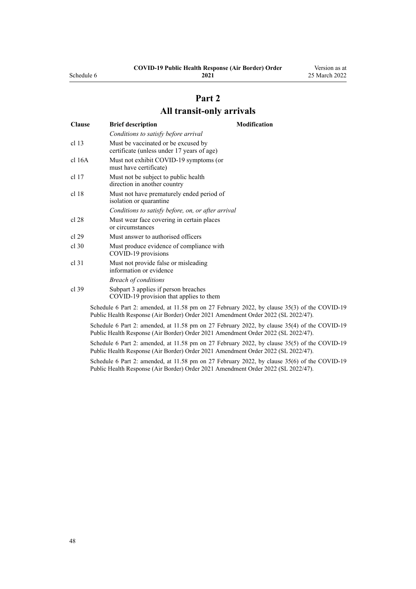| cl <sub>17</sub> | Must not be subject to public health |  |
|------------------|--------------------------------------|--|
|------------------|--------------------------------------|--|

[cl 16A](#page-15-0) Must not exhibit COVID-19 symptoms (or must have certificate)

[cl 13](#page-12-0) Must be vaccinated or be excused by

*Conditions to satisfy before arrival*

certificate (unless under 17 years of age)

**Clause Brief description Modification**

|       | direction in another country                                         |
|-------|----------------------------------------------------------------------|
| cl 18 | Must not have prematurely ended period of<br>isolation or quarantine |
|       | Conditions to satisfy before, on, or after arrival                   |
| cl 28 | Must wear face covering in certain places                            |
|       | or circumstances                                                     |

- [cl 29](#page-20-0) Must answer to authorised officers
- [cl 30](#page-20-0) Must produce evidence of compliance with COVID-19 provisions
- [cl 31](#page-21-0) Must not provide false or misleading information or evidence *Breach of conditions*
- [cl 39](#page-23-0) [Subpart 3](#page-23-0) applies if person breaches COVID-19 provision that applies to them

Schedule 6 Part 2: amended, at 11.58 pm on 27 February 2022, by [clause 35\(3\)](http://legislation.govt.nz/pdflink.aspx?id=LMS650867) of the COVID-19 Public Health Response (Air Border) Order 2021 Amendment Order 2022 (SL 2022/47).

Schedule 6 Part 2: amended, at 11.58 pm on 27 February 2022, by [clause 35\(4\)](http://legislation.govt.nz/pdflink.aspx?id=LMS650867) of the COVID-19 Public Health Response (Air Border) Order 2021 Amendment Order 2022 (SL 2022/47).

Schedule 6 Part 2: amended, at 11.58 pm on 27 February 2022, by [clause 35\(5\)](http://legislation.govt.nz/pdflink.aspx?id=LMS650867) of the COVID-19 Public Health Response (Air Border) Order 2021 Amendment Order 2022 (SL 2022/47).

Schedule 6 Part 2: amended, at 11.58 pm on 27 February 2022, by [clause 35\(6\)](http://legislation.govt.nz/pdflink.aspx?id=LMS650867) of the COVID-19 Public Health Response (Air Border) Order 2021 Amendment Order 2022 (SL 2022/47).

**COVID-19 Public Health Response (Air Border) Order**

**Part 2 All transit-only arrivals**

#### <span id="page-47-0"></span>Schedule 6

**2021**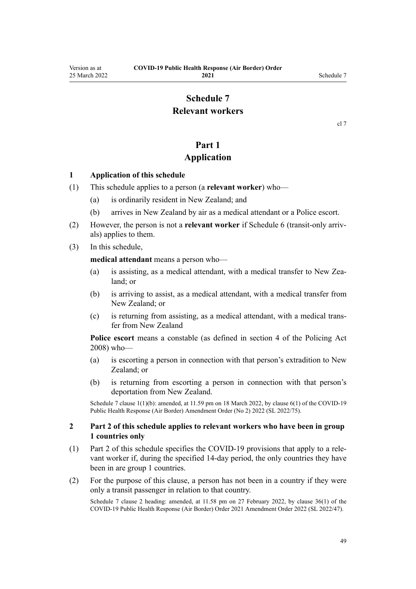## **Schedule 7 Relevant workers**

[cl 7](#page-9-0)

## **Part 1**

#### **Application**

#### <span id="page-48-0"></span>**1 Application of this schedule**

- (1) This schedule applies to a person (a **relevant worker**) who—
	- (a) is ordinarily resident in New Zealand; and
	- (b) arrives in New Zealand by air as a medical attendant or a Police escort.
- (2) However, the person is not a **relevant worker** if [Schedule 6](#page-46-0) (transit-only arriv‐ als) applies to them.
- (3) In this schedule,

**medical attendant** means a person who—

- (a) is assisting, as a medical attendant, with a medical transfer to New Zealand; or
- (b) is arriving to assist, as a medical attendant, with a medical transfer from New Zealand; or
- (c) is returning from assisting, as a medical attendant, with a medical trans‐ fer from New Zealand

**Police escort** means a constable (as defined in [section 4](http://legislation.govt.nz/pdflink.aspx?id=DLM1102132) of the Policing Act 2008) who—

- (a) is escorting a person in connection with that person's extradition to New Zealand; or
- (b) is returning from escorting a person in connection with that person's deportation from New Zealand.

Schedule 7 clause 1(1)(b): amended, at 11.59 pm on 18 March 2022, by [clause 6\(1\)](http://legislation.govt.nz/pdflink.aspx?id=LMS664430) of the COVID-19 Public Health Response (Air Border) Amendment Order (No 2) 2022 (SL 2022/75).

#### **2 Part 2 of this schedule applies to relevant workers who have been in group 1 countries only**

- (1) [Part 2](#page-49-0) of this schedule specifies the COVID-19 provisions that apply to a rele‐ vant worker if, during the specified 14-day period, the only countries they have been in are group 1 countries.
- (2) For the purpose of this clause, a person has not been in a country if they were only a transit passenger in relation to that country.

Schedule 7 clause 2 heading: amended, at 11.58 pm on 27 February 2022, by [clause 36\(1\)](http://legislation.govt.nz/pdflink.aspx?id=LMS650876) of the COVID-19 Public Health Response (Air Border) Order 2021 Amendment Order 2022 (SL 2022/47).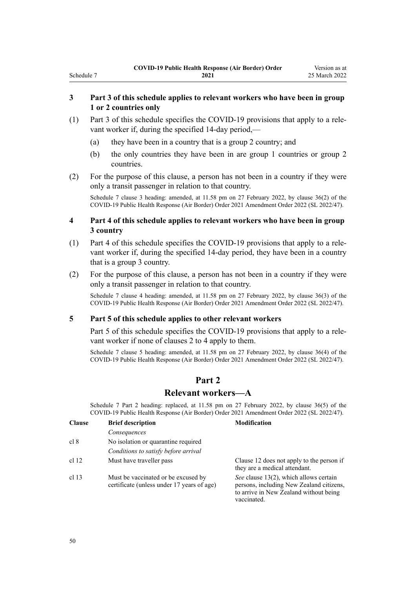#### **3 Part 3 of this schedule applies to relevant workers who have been in group 1 or 2 countries only**

- (1) [Part 3](#page-51-0) of this schedule specifies the COVID-19 provisions that apply to a rele‐ vant worker if, during the specified 14-day period,—
	- (a) they have been in a country that is a group 2 country; and
	- (b) the only countries they have been in are group 1 countries or group 2 countries.
- (2) For the purpose of this clause, a person has not been in a country if they were only a transit passenger in relation to that country.

Schedule 7 clause 3 heading: amended, at 11.58 pm on 27 February 2022, by [clause 36\(2\)](http://legislation.govt.nz/pdflink.aspx?id=LMS650876) of the COVID-19 Public Health Response (Air Border) Order 2021 Amendment Order 2022 (SL 2022/47).

#### **4 Part 4 of this schedule applies to relevant workers who have been in group 3 country**

- (1) [Part 4](#page-52-0) of this schedule specifies the COVID-19 provisions that apply to a rele‐ vant worker if, during the specified 14-day period, they have been in a country that is a group 3 country.
- (2) For the purpose of this clause, a person has not been in a country if they were only a transit passenger in relation to that country.

Schedule 7 clause 4 heading: amended, at 11.58 pm on 27 February 2022, by [clause 36\(3\)](http://legislation.govt.nz/pdflink.aspx?id=LMS650876) of the COVID-19 Public Health Response (Air Border) Order 2021 Amendment Order 2022 (SL 2022/47).

#### **5 Part 5 of this schedule applies to other relevant workers**

[Part 5](#page-53-0) of this schedule specifies the COVID-19 provisions that apply to a relevant worker if none of [clauses 2 to 4](#page-48-0) apply to them.

Schedule 7 clause 5 heading: amended, at 11.58 pm on 27 February 2022, by [clause 36\(4\)](http://legislation.govt.nz/pdflink.aspx?id=LMS650876) of the COVID-19 Public Health Response (Air Border) Order 2021 Amendment Order 2022 (SL 2022/47).

## **Part 2**

#### **Relevant workers—A**

Schedule 7 Part 2 heading: replaced, at 11.58 pm on 27 February 2022, by [clause 36\(5\)](http://legislation.govt.nz/pdflink.aspx?id=LMS650876) of the COVID-19 Public Health Response (Air Border) Order 2021 Amendment Order 2022 (SL 2022/47).

| <b>Clause</b> | <b>Brief description</b>                                                          | <b>Modification</b>                                                                                                                         |
|---------------|-----------------------------------------------------------------------------------|---------------------------------------------------------------------------------------------------------------------------------------------|
|               | Consequences                                                                      |                                                                                                                                             |
| cl 8          | No isolation or quarantine required                                               |                                                                                                                                             |
|               | Conditions to satisfy before arrival                                              |                                                                                                                                             |
| cl 12         | Must have traveller pass                                                          | Clause 12 does not apply to the person if<br>they are a medical attendant.                                                                  |
| cl 13         | Must be vaccinated or be excused by<br>certificate (unless under 17 years of age) | See clause 13(2), which allows certain<br>persons, including New Zealand citizens,<br>to arrive in New Zealand without being<br>vaccinated. |

<span id="page-49-0"></span>Schedule 7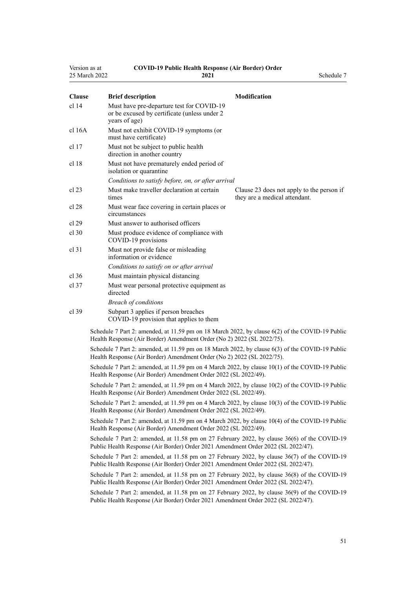| Version as at    |                                                                                                            | <b>COVID-19 Public Health Response (Air Border) Order</b>                                                                                                                         |            |
|------------------|------------------------------------------------------------------------------------------------------------|-----------------------------------------------------------------------------------------------------------------------------------------------------------------------------------|------------|
| 25 March 2022    |                                                                                                            | 2021                                                                                                                                                                              | Schedule 7 |
| <b>Clause</b>    | <b>Brief description</b>                                                                                   | <b>Modification</b>                                                                                                                                                               |            |
| cl <sub>14</sub> | Must have pre-departure test for COVID-19<br>or be excused by certificate (unless under 2<br>years of age) |                                                                                                                                                                                   |            |
| cl 16A           | Must not exhibit COVID-19 symptoms (or<br>must have certificate)                                           |                                                                                                                                                                                   |            |
| cl 17            | Must not be subject to public health.<br>direction in another country                                      |                                                                                                                                                                                   |            |
| cl 18            | Must not have prematurely ended period of<br>isolation or quarantine                                       |                                                                                                                                                                                   |            |
|                  | Conditions to satisfy before, on, or after arrival                                                         |                                                                                                                                                                                   |            |
| cl 23            | Must make traveller declaration at certain<br>times                                                        | Clause 23 does not apply to the person if<br>they are a medical attendant.                                                                                                        |            |
| cl 28            | Must wear face covering in certain places or<br>circumstances                                              |                                                                                                                                                                                   |            |
| cl 29            | Must answer to authorised officers                                                                         |                                                                                                                                                                                   |            |
| cl.30            | Must produce evidence of compliance with<br>COVID-19 provisions                                            |                                                                                                                                                                                   |            |
| $cl$ 31          | Must not provide false or misleading<br>information or evidence                                            |                                                                                                                                                                                   |            |
|                  | Conditions to satisfy on or after arrival                                                                  |                                                                                                                                                                                   |            |
| $cl$ 36          | Must maintain physical distancing                                                                          |                                                                                                                                                                                   |            |
| $cl$ 37          | Must wear personal protective equipment as<br>directed                                                     |                                                                                                                                                                                   |            |
|                  | <b>Breach of conditions</b>                                                                                |                                                                                                                                                                                   |            |
| cl 39            | Subpart 3 applies if person breaches<br>COVID-19 provision that applies to them                            |                                                                                                                                                                                   |            |
|                  | Health Response (Air Border) Amendment Order (No 2) 2022 (SL 2022/75).                                     | Schedule 7 Part 2: amended, at 11.59 pm on 18 March 2022, by clause 6(2) of the COVID-19 Public                                                                                   |            |
|                  | Health Response (Air Border) Amendment Order (No 2) 2022 (SL 2022/75).                                     | Schedule 7 Part 2: amended, at 11.59 pm on 18 March 2022, by clause 6(3) of the COVID-19 Public                                                                                   |            |
|                  | Health Response (Air Border) Amendment Order 2022 (SL 2022/49).                                            | Schedule 7 Part 2: amended, at 11.59 pm on 4 March 2022, by clause 10(1) of the COVID-19 Public                                                                                   |            |
|                  | Health Response (Air Border) Amendment Order 2022 (SL 2022/49).                                            | Schedule 7 Part 2: amended, at 11.59 pm on 4 March 2022, by clause 10(2) of the COVID-19 Public                                                                                   |            |
|                  | Health Response (Air Border) Amendment Order 2022 (SL 2022/49).                                            | Schedule 7 Part 2: amended, at 11.59 pm on 4 March 2022, by clause 10(3) of the COVID-19 Public                                                                                   |            |
|                  | Health Response (Air Border) Amendment Order 2022 (SL 2022/49).                                            | Schedule 7 Part 2: amended, at 11.59 pm on 4 March 2022, by clause 10(4) of the COVID-19 Public                                                                                   |            |
|                  |                                                                                                            | Schedule 7 Part 2: amended, at 11.58 pm on 27 February 2022, by clause 36(6) of the COVID-19<br>Public Health Response (Air Border) Order 2021 Amendment Order 2022 (SL 2022/47). |            |
|                  |                                                                                                            | Schedule 7 Part 2: amended, at 11.58 pm on 27 February 2022, by clause 36(7) of the COVID-19<br>Public Health Response (Air Border) Order 2021 Amendment Order 2022 (SL 2022/47). |            |
|                  |                                                                                                            | Schedule 7 Part 2: amended, at 11.58 pm on 27 February 2022, by clause 36(8) of the COVID-19<br>Public Health Response (Air Border) Order 2021 Amendment Order 2022 (SL 2022/47). |            |
|                  |                                                                                                            | Schedule 7 Part 2: amended, at 11.58 pm on 27 February 2022, by clause 36(9) of the COVID-19<br>Public Health Response (Air Border) Order 2021 Amendment Order 2022 (SL 2022/47). |            |
|                  |                                                                                                            |                                                                                                                                                                                   |            |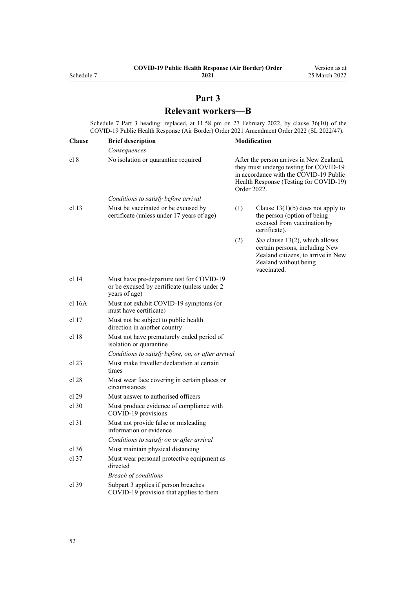## **Part 3 Relevant workers—B**

<span id="page-51-0"></span>Schedule 7 Part 3 heading: replaced, at 11.58 pm on 27 February 2022, by [clause 36\(10\)](http://legislation.govt.nz/pdflink.aspx?id=LMS650876) of the COVID-19 Public Health Response (Air Border) Order 2021 Amendment Order 2022 (SL 2022/47).

| <b>Clause</b>    | <b>Brief description</b>                                                                                   |                                                                                                                                                                                       | <b>Modification</b>                                                                                                                            |
|------------------|------------------------------------------------------------------------------------------------------------|---------------------------------------------------------------------------------------------------------------------------------------------------------------------------------------|------------------------------------------------------------------------------------------------------------------------------------------------|
|                  | Consequences                                                                                               |                                                                                                                                                                                       |                                                                                                                                                |
| cl 8             | No isolation or quarantine required                                                                        | After the person arrives in New Zealand,<br>they must undergo testing for COVID-19<br>in accordance with the COVID-19 Public<br>Health Response (Testing for COVID-19)<br>Order 2022. |                                                                                                                                                |
|                  | Conditions to satisfy before arrival                                                                       |                                                                                                                                                                                       |                                                                                                                                                |
| cl <sub>13</sub> | Must be vaccinated or be excused by<br>certificate (unless under 17 years of age)                          | (1)                                                                                                                                                                                   | Clause $13(1)(b)$ does not apply to<br>the person (option of being<br>excused from vaccination by<br>certificate).                             |
|                  |                                                                                                            | (2)                                                                                                                                                                                   | See clause 13(2), which allows<br>certain persons, including New<br>Zealand citizens, to arrive in New<br>Zealand without being<br>vaccinated. |
| cl <sub>14</sub> | Must have pre-departure test for COVID-19<br>or be excused by certificate (unless under 2<br>years of age) |                                                                                                                                                                                       |                                                                                                                                                |
| cl 16A           | Must not exhibit COVID-19 symptoms (or<br>must have certificate)                                           |                                                                                                                                                                                       |                                                                                                                                                |
| cl 17            | Must not be subject to public health<br>direction in another country                                       |                                                                                                                                                                                       |                                                                                                                                                |
| cl 18            | Must not have prematurely ended period of<br>isolation or quarantine                                       |                                                                                                                                                                                       |                                                                                                                                                |
|                  | Conditions to satisfy before, on, or after arrival                                                         |                                                                                                                                                                                       |                                                                                                                                                |
| $cl$ 23          | Must make traveller declaration at certain<br>times                                                        |                                                                                                                                                                                       |                                                                                                                                                |
| cl 28            | Must wear face covering in certain places or<br>circumstances                                              |                                                                                                                                                                                       |                                                                                                                                                |
| cl 29            | Must answer to authorised officers                                                                         |                                                                                                                                                                                       |                                                                                                                                                |
| $cl$ 30          | Must produce evidence of compliance with<br>COVID-19 provisions                                            |                                                                                                                                                                                       |                                                                                                                                                |
| cl 31            | Must not provide false or misleading<br>information or evidence                                            |                                                                                                                                                                                       |                                                                                                                                                |
|                  | Conditions to satisfy on or after arrival                                                                  |                                                                                                                                                                                       |                                                                                                                                                |
| $cl$ 36          | Must maintain physical distancing                                                                          |                                                                                                                                                                                       |                                                                                                                                                |
| cl.37            | Must wear personal protective equipment as<br>directed                                                     |                                                                                                                                                                                       |                                                                                                                                                |
|                  | <i>Breach of conditions</i>                                                                                |                                                                                                                                                                                       |                                                                                                                                                |
| $cl$ 39          | Subpart 3 applies if person breaches<br>COVID-19 provision that applies to them                            |                                                                                                                                                                                       |                                                                                                                                                |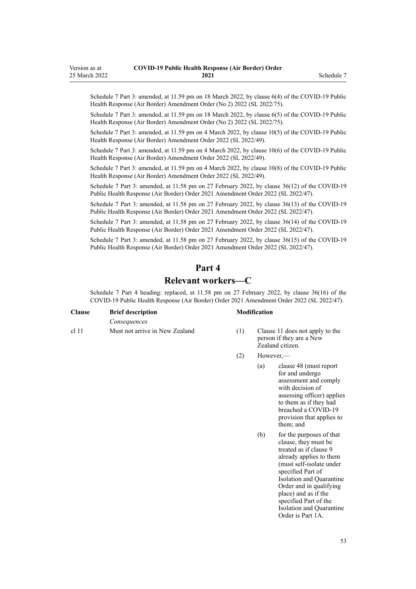<span id="page-52-0"></span>Schedule 7 Part 3: amended, at 11.59 pm on 18 March 2022, by [clause 6\(4\)](http://legislation.govt.nz/pdflink.aspx?id=LMS664430) of the COVID-19 Public Health Response (Air Border) Amendment Order (No 2) 2022 (SL 2022/75).

Schedule 7 Part 3: amended, at 11.59 pm on 18 March 2022, by [clause 6\(5\)](http://legislation.govt.nz/pdflink.aspx?id=LMS664430) of the COVID-19 Public Health Response (Air Border) Amendment Order (No 2) 2022 (SL 2022/75).

Schedule 7 Part 3: amended, at 11.59 pm on 4 March 2022, by [clause 10\(5\)](http://legislation.govt.nz/pdflink.aspx?id=LMS653792) of the COVID-19 Public Health Response (Air Border) Amendment Order 2022 (SL 2022/49).

Schedule 7 Part 3: amended, at 11.59 pm on 4 March 2022, by [clause 10\(6\)](http://legislation.govt.nz/pdflink.aspx?id=LMS653792) of the COVID-19 Public Health Response (Air Border) Amendment Order 2022 (SL 2022/49).

Schedule 7 Part 3: amended, at 11.59 pm on 4 March 2022, by [clause 10\(8\)](http://legislation.govt.nz/pdflink.aspx?id=LMS653792) of the COVID-19 Public Health Response (Air Border) Amendment Order 2022 (SL 2022/49).

Schedule 7 Part 3: amended, at 11.58 pm on 27 February 2022, by [clause 36\(12\)](http://legislation.govt.nz/pdflink.aspx?id=LMS650876) of the COVID-19 Public Health Response (Air Border) Order 2021 Amendment Order 2022 (SL 2022/47).

Schedule 7 Part 3: amended, at 11.58 pm on 27 February 2022, by [clause 36\(13\)](http://legislation.govt.nz/pdflink.aspx?id=LMS650876) of the COVID-19 Public Health Response (Air Border) Order 2021 Amendment Order 2022 (SL 2022/47).

Schedule 7 Part 3: amended, at 11.58 pm on 27 February 2022, by [clause 36\(14\)](http://legislation.govt.nz/pdflink.aspx?id=LMS650876) of the COVID-19 Public Health Response (Air Border) Order 2021 Amendment Order 2022 (SL 2022/47).

Schedule 7 Part 3: amended, at 11.58 pm on 27 February 2022, by [clause 36\(15\)](http://legislation.govt.nz/pdflink.aspx?id=LMS650876) of the COVID-19 Public Health Response (Air Border) Order 2021 Amendment Order 2022 (SL 2022/47).

# **Part 4**

## **Relevant workers—C**

Schedule 7 Part 4 heading: replaced, at 11.58 pm on 27 February 2022, by [clause 36\(16\)](http://legislation.govt.nz/pdflink.aspx?id=LMS650876) of the COVID-19 Public Health Response (Air Border) Order 2021 Amendment Order 2022 (SL 2022/47).

| <b>Clause</b> | <b>Brief description</b>       |  |
|---------------|--------------------------------|--|
|               | Consequences                   |  |
| $cl$ 11       | Must not arrive in New Zealand |  |

#### **Clause Brief description Modification**

- $(1)$  [Clause 11](#page-12-0) does not apply to the person if they are a New Zealand citizen.
- (2) However,—
	- (a) [clause 48](#page-26-0) (must report for and undergo assessment and comply with decision of assessing officer) applies to them as if they had breached a COVID-19 provision that applies to them; and
	- (b) for the purposes of that clause, they must be treated as if [clause 9](#page-11-0) already applies to them (must self-isolate under specified Part of Isolation and Quarantine Order and in qualifying place) and as if the specified Part of the Isolation and Quarantine Order is [Part 1A](http://legislation.govt.nz/pdflink.aspx?id=LMS415267).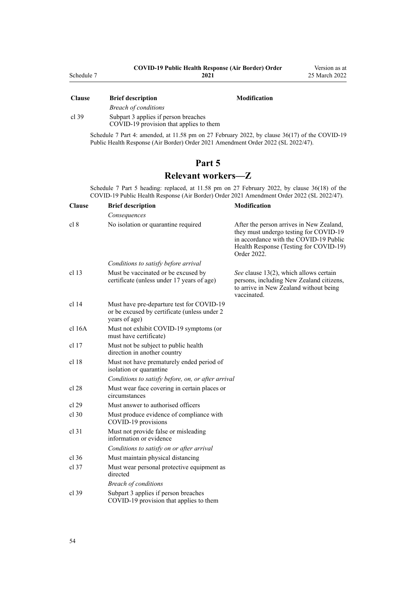<span id="page-53-0"></span>

| Clause  | DITEL RESCLIPTION                       | мочитсанон |
|---------|-----------------------------------------|------------|
|         | <b>Breach of conditions</b>             |            |
| cl $39$ | Subpart 3 applies if person breaches    |            |
|         | COVID-19 provision that applies to them |            |

Schedule 7 Part 4: amended, at 11.58 pm on 27 February 2022, by [clause 36\(17\)](http://legislation.govt.nz/pdflink.aspx?id=LMS650876) of the COVID-19 Public Health Response (Air Border) Order 2021 Amendment Order 2022 (SL 2022/47).

## **Part 5**

## **Relevant workers—Z**

Schedule 7 Part 5 heading: replaced, at 11.58 pm on 27 February 2022, by [clause 36\(18\)](http://legislation.govt.nz/pdflink.aspx?id=LMS650876) of the COVID-19 Public Health Response (Air Border) Order 2021 Amendment Order 2022 (SL 2022/47).

| <b>Clause</b>    | <b>Brief description</b>                                                                                   | <b>Modification</b>                                                                                                                                                                   |
|------------------|------------------------------------------------------------------------------------------------------------|---------------------------------------------------------------------------------------------------------------------------------------------------------------------------------------|
|                  | Consequences                                                                                               |                                                                                                                                                                                       |
| cl 8             | No isolation or quarantine required                                                                        | After the person arrives in New Zealand,<br>they must undergo testing for COVID-19<br>in accordance with the COVID-19 Public<br>Health Response (Testing for COVID-19)<br>Order 2022. |
|                  | Conditions to satisfy before arrival                                                                       |                                                                                                                                                                                       |
| cl <sub>13</sub> | Must be vaccinated or be excused by<br>certificate (unless under 17 years of age)                          | See clause 13(2), which allows certain<br>persons, including New Zealand citizens,<br>to arrive in New Zealand without being<br>vaccinated.                                           |
| cl <sub>14</sub> | Must have pre-departure test for COVID-19<br>or be excused by certificate (unless under 2<br>years of age) |                                                                                                                                                                                       |
| cl 16A           | Must not exhibit COVID-19 symptoms (or<br>must have certificate)                                           |                                                                                                                                                                                       |
| cl 17            | Must not be subject to public health<br>direction in another country                                       |                                                                                                                                                                                       |
| cl 18            | Must not have prematurely ended period of<br>isolation or quarantine                                       |                                                                                                                                                                                       |
|                  | Conditions to satisfy before, on, or after arrival                                                         |                                                                                                                                                                                       |
| cl 28            | Must wear face covering in certain places or<br>circumstances                                              |                                                                                                                                                                                       |
| cl 29            | Must answer to authorised officers                                                                         |                                                                                                                                                                                       |
| $cl$ 30          | Must produce evidence of compliance with<br>COVID-19 provisions                                            |                                                                                                                                                                                       |
| $cl$ 31          | Must not provide false or misleading<br>information or evidence                                            |                                                                                                                                                                                       |
|                  | Conditions to satisfy on or after arrival                                                                  |                                                                                                                                                                                       |
| cl 36            | Must maintain physical distancing                                                                          |                                                                                                                                                                                       |
| $cl$ 37          | Must wear personal protective equipment as<br>directed                                                     |                                                                                                                                                                                       |
|                  | <b>Breach of conditions</b>                                                                                |                                                                                                                                                                                       |
| $cl$ 39          | Subpart 3 applies if person breaches<br>COVID-19 provision that applies to them                            |                                                                                                                                                                                       |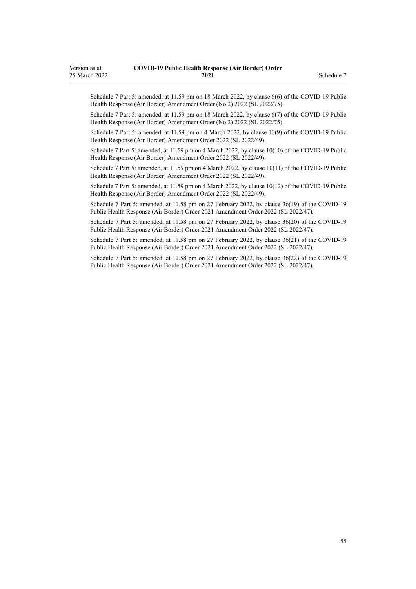Schedule 7 Part 5: amended, at 11.59 pm on 18 March 2022, by [clause 6\(6\)](http://legislation.govt.nz/pdflink.aspx?id=LMS664430) of the COVID-19 Public Health Response (Air Border) Amendment Order (No 2) 2022 (SL 2022/75).

Schedule 7 Part 5: amended, at 11.59 pm on 18 March 2022, by [clause 6\(7\)](http://legislation.govt.nz/pdflink.aspx?id=LMS664430) of the COVID-19 Public Health Response (Air Border) Amendment Order (No 2) 2022 (SL 2022/75).

Schedule 7 Part 5: amended, at 11.59 pm on 4 March 2022, by [clause 10\(9\)](http://legislation.govt.nz/pdflink.aspx?id=LMS653792) of the COVID-19 Public Health Response (Air Border) Amendment Order 2022 (SL 2022/49).

Schedule 7 Part 5: amended, at 11.59 pm on 4 March 2022, by [clause 10\(10\)](http://legislation.govt.nz/pdflink.aspx?id=LMS653792) of the COVID-19 Public Health Response (Air Border) Amendment Order 2022 (SL 2022/49).

Schedule 7 Part 5: amended, at 11.59 pm on 4 March 2022, by [clause 10\(11\)](http://legislation.govt.nz/pdflink.aspx?id=LMS653792) of the COVID-19 Public Health Response (Air Border) Amendment Order 2022 (SL 2022/49).

Schedule 7 Part 5: amended, at 11.59 pm on 4 March 2022, by [clause 10\(12\)](http://legislation.govt.nz/pdflink.aspx?id=LMS653792) of the COVID-19 Public Health Response (Air Border) Amendment Order 2022 (SL 2022/49).

Schedule 7 Part 5: amended, at 11.58 pm on 27 February 2022, by [clause 36\(19\)](http://legislation.govt.nz/pdflink.aspx?id=LMS650876) of the COVID-19 Public Health Response (Air Border) Order 2021 Amendment Order 2022 (SL 2022/47).

Schedule 7 Part 5: amended, at 11.58 pm on 27 February 2022, by [clause 36\(20\)](http://legislation.govt.nz/pdflink.aspx?id=LMS650876) of the COVID-19 Public Health Response (Air Border) Order 2021 Amendment Order 2022 (SL 2022/47).

Schedule 7 Part 5: amended, at 11.58 pm on 27 February 2022, by [clause 36\(21\)](http://legislation.govt.nz/pdflink.aspx?id=LMS650876) of the COVID-19 Public Health Response (Air Border) Order 2021 Amendment Order 2022 (SL 2022/47).

Schedule 7 Part 5: amended, at 11.58 pm on 27 February 2022, by [clause 36\(22\)](http://legislation.govt.nz/pdflink.aspx?id=LMS650876) of the COVID-19 Public Health Response (Air Border) Order 2021 Amendment Order 2022 (SL 2022/47).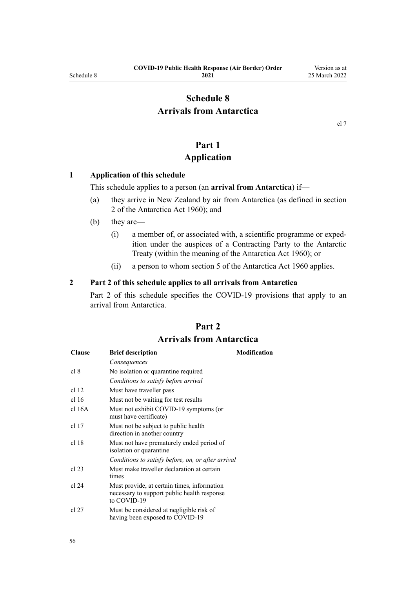## <span id="page-55-0"></span>**Schedule 8 Arrivals from Antarctica**

[cl 7](#page-9-0)

## **Part 1**

## **Application**

#### **1 Application of this schedule**

This schedule applies to a person (an **arrival from Antarctica**) if—

- (a) they arrive in New Zealand by air from Antarctica (as defined in [section](http://legislation.govt.nz/pdflink.aspx?id=DLM325200) [2](http://legislation.govt.nz/pdflink.aspx?id=DLM325200) of the Antarctica Act 1960); and
- (b) they are—
	- (i) a member of, or associated with, a scientific programme or exped‐ ition under the auspices of a Contracting Party to the Antarctic Treaty (within the meaning of the [Antarctica Act 1960\)](http://legislation.govt.nz/pdflink.aspx?id=DLM325093); or
	- (ii) a person to whom [section 5](http://legislation.govt.nz/pdflink.aspx?id=DLM325218) of the Antarctica Act 1960 applies.

#### **2 Part 2 of this schedule applies to all arrivals from Antarctica**

Part 2 of this schedule specifies the COVID-19 provisions that apply to an arrival from Antarctica.

## **Part 2 Arrivals from Antarctica**

| <b>Clause</b>    | <b>Brief description</b>                                                                                  | <b>Modification</b> |
|------------------|-----------------------------------------------------------------------------------------------------------|---------------------|
|                  | Consequences                                                                                              |                     |
| cl 8             | No isolation or quarantine required                                                                       |                     |
|                  | Conditions to satisfy before arrival                                                                      |                     |
| cl <sub>12</sub> | Must have traveller pass                                                                                  |                     |
| cl <sub>16</sub> | Must not be waiting for test results                                                                      |                     |
| cl 16A           | Must not exhibit COVID-19 symptoms (or<br>must have certificate)                                          |                     |
| cl 17            | Must not be subject to public health.<br>direction in another country                                     |                     |
| cl 18            | Must not have prematurely ended period of<br>isolation or quarantine                                      |                     |
|                  | Conditions to satisfy before, on, or after arrival                                                        |                     |
| cl 23            | Must make traveller declaration at certain<br>times                                                       |                     |
| cl 24            | Must provide, at certain times, information<br>necessary to support public health response<br>to COVID-19 |                     |
| cl 27            | Must be considered at negligible risk of<br>having been exposed to COVID-19                               |                     |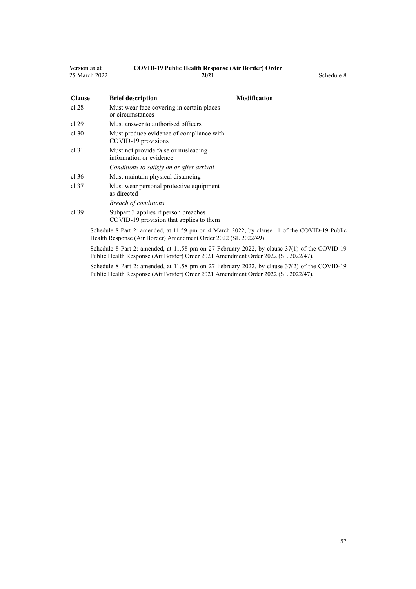| Version as at | <b>COVID-19 Public Health Response (Air Border) Order</b> |            |
|---------------|-----------------------------------------------------------|------------|
| 25 March 2022 | 2021                                                      | Schedule 8 |

| <b>Clause</b> | <b>Brief description</b>                                                                     | Modification |
|---------------|----------------------------------------------------------------------------------------------|--------------|
| cl 28         | Must wear face covering in certain places<br>or circumstances                                |              |
| cl 29         | Must answer to authorised officers                                                           |              |
| cl.30         | Must produce evidence of compliance with<br>COVID-19 provisions                              |              |
| cl 31         | Must not provide false or misleading<br>information or evidence                              |              |
|               | Conditions to satisfy on or after arrival                                                    |              |
| cl.36         | Must maintain physical distancing                                                            |              |
| cl.37         | Must wear personal protective equipment<br>as directed                                       |              |
|               | <b>Breach of conditions</b>                                                                  |              |
| cl.39         | Subpart 3 applies if person breaches<br>COVID-19 provision that applies to them              |              |
|               | Schedule 8 Part 2: amended, at 11.59 pm on 4 March 2022, by clause 11 of the COVID-19 Public |              |

Health Response (Air Border) Amendment Order 2022 (SL 2022/49). Schedule 8 Part 2: amended, at 11.58 pm on 27 February 2022, by [clause 37\(1\)](http://legislation.govt.nz/pdflink.aspx?id=LMS650878) of the COVID-19 Public Health Response (Air Border) Order 2021 Amendment Order 2022 (SL 2022/47).

Schedule 8 Part 2: amended, at 11.58 pm on 27 February 2022, by [clause 37\(2\)](http://legislation.govt.nz/pdflink.aspx?id=LMS650878) of the COVID-19 Public Health Response (Air Border) Order 2021 Amendment Order 2022 (SL 2022/47).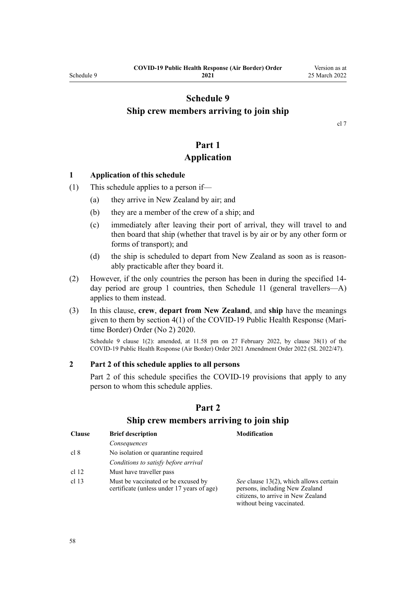## <span id="page-57-0"></span>**Schedule 9 Ship crew members arriving to join ship**

[cl 7](#page-9-0)

## **Part 1 Application**

#### **1 Application of this schedule**

- (1) This schedule applies to a person if—
	- (a) they arrive in New Zealand by air; and
	- (b) they are a member of the crew of a ship; and
	- (c) immediately after leaving their port of arrival, they will travel to and then board that ship (whether that travel is by air or by any other form or forms of transport); and
	- (d) the ship is scheduled to depart from New Zealand as soon as is reasonably practicable after they board it.
- (2) However, if the only countries the person has been in during the specified 14 day period are group 1 countries, then [Schedule 11](#page-61-0) (general travellers—A) applies to them instead.
- (3) In this clause, **crew**, **depart from New Zealand**, and **ship** have the meanings given to them by [section 4\(1\)](http://legislation.govt.nz/pdflink.aspx?id=LMS403543) of the COVID-19 Public Health Response (Mari‐ time Border) Order (No 2) 2020.

Schedule 9 clause 1(2): amended, at 11.58 pm on 27 February 2022, by [clause 38\(1\)](http://legislation.govt.nz/pdflink.aspx?id=LMS650881) of the COVID-19 Public Health Response (Air Border) Order 2021 Amendment Order 2022 (SL 2022/47).

#### **2 Part 2 of this schedule applies to all persons**

Part 2 of this schedule specifies the COVID-19 provisions that apply to any person to whom this schedule applies.

| <b>Clause</b>    | <b>Brief description</b>                                                          | <b>Modification</b>                                                                                                                         |
|------------------|-----------------------------------------------------------------------------------|---------------------------------------------------------------------------------------------------------------------------------------------|
|                  | Consequences                                                                      |                                                                                                                                             |
| cl 8             | No isolation or quarantine required                                               |                                                                                                                                             |
|                  | Conditions to satisfy before arrival                                              |                                                                                                                                             |
| cl 12            | Must have traveller pass                                                          |                                                                                                                                             |
| cl <sub>13</sub> | Must be vaccinated or be excused by<br>certificate (unless under 17 years of age) | See clause 13(2), which allows certain<br>persons, including New Zealand<br>citizens, to arrive in New Zealand<br>without being vaccinated. |

#### **Part 2**

#### **Ship crew members arriving to join ship**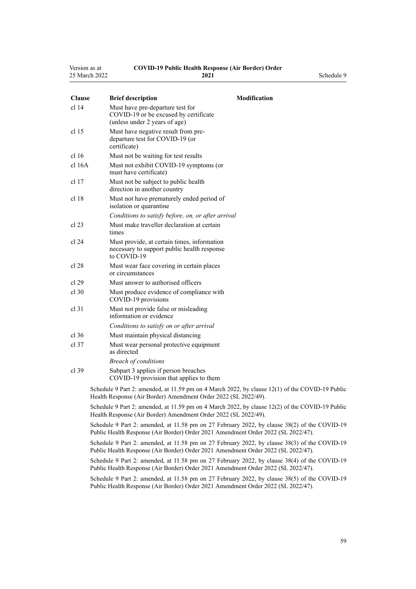| Version as at | <b>COVID-19 Public Health Response (Air Border) Order</b> |            |
|---------------|-----------------------------------------------------------|------------|
| 25 March 2022 | 2021                                                      | Schedule 9 |

| <b>Clause</b>    | <b>Brief description</b>                                                                                   | Modification |
|------------------|------------------------------------------------------------------------------------------------------------|--------------|
| cl <sub>14</sub> | Must have pre-departure test for<br>COVID-19 or be excused by certificate<br>(unless under 2 years of age) |              |
| cl 15            | Must have negative result from pre-<br>departure test for COVID-19 (or<br>certificate)                     |              |
| cl <sub>16</sub> | Must not be waiting for test results                                                                       |              |
| cl 16A           | Must not exhibit COVID-19 symptoms (or<br>must have certificate)                                           |              |
| cl <sub>17</sub> | Must not be subject to public health.<br>direction in another country                                      |              |
| cl <sub>18</sub> | Must not have prematurely ended period of<br>isolation or quarantine                                       |              |
|                  | Conditions to satisfy before, on, or after arrival                                                         |              |
| cl 23            | Must make traveller declaration at certain<br>times                                                        |              |
| cl 24            | Must provide, at certain times, information<br>necessary to support public health response<br>to COVID-19  |              |
| cl 28            | Must wear face covering in certain places<br>or circumstances                                              |              |
| cl 29            | Must answer to authorised officers                                                                         |              |
| cl.30            | Must produce evidence of compliance with<br>COVID-19 provisions                                            |              |
| $cl$ 31          | Must not provide false or misleading<br>information or evidence                                            |              |
|                  | Conditions to satisfy on or after arrival                                                                  |              |
| cl 36            | Must maintain physical distancing                                                                          |              |
| cl.37            | Must wear personal protective equipment<br>as directed                                                     |              |
|                  | <b>Breach of conditions</b>                                                                                |              |
| cl.39            | Subpart 3 applies if person breaches<br>COVID-19 provision that applies to them                            |              |
|                  |                                                                                                            |              |

Schedule 9 Part 2: amended, at 11.59 pm on 4 March 2022, by [clause 12\(1\)](http://legislation.govt.nz/pdflink.aspx?id=LMS653795) of the COVID-19 Public Health Response (Air Border) Amendment Order 2022 (SL 2022/49).

Schedule 9 Part 2: amended, at 11.59 pm on 4 March 2022, by [clause 12\(2\)](http://legislation.govt.nz/pdflink.aspx?id=LMS653795) of the COVID-19 Public Health Response (Air Border) Amendment Order 2022 (SL 2022/49).

Schedule 9 Part 2: amended, at 11.58 pm on 27 February 2022, by [clause 38\(2\)](http://legislation.govt.nz/pdflink.aspx?id=LMS650881) of the COVID-19 Public Health Response (Air Border) Order 2021 Amendment Order 2022 (SL 2022/47).

Schedule 9 Part 2: amended, at 11.58 pm on 27 February 2022, by [clause 38\(3\)](http://legislation.govt.nz/pdflink.aspx?id=LMS650881) of the COVID-19 Public Health Response (Air Border) Order 2021 Amendment Order 2022 (SL 2022/47).

Schedule 9 Part 2: amended, at 11.58 pm on 27 February 2022, by [clause 38\(4\)](http://legislation.govt.nz/pdflink.aspx?id=LMS650881) of the COVID-19 Public Health Response (Air Border) Order 2021 Amendment Order 2022 (SL 2022/47).

Schedule 9 Part 2: amended, at 11.58 pm on 27 February 2022, by [clause 38\(5\)](http://legislation.govt.nz/pdflink.aspx?id=LMS650881) of the COVID-19 Public Health Response (Air Border) Order 2021 Amendment Order 2022 (SL 2022/47).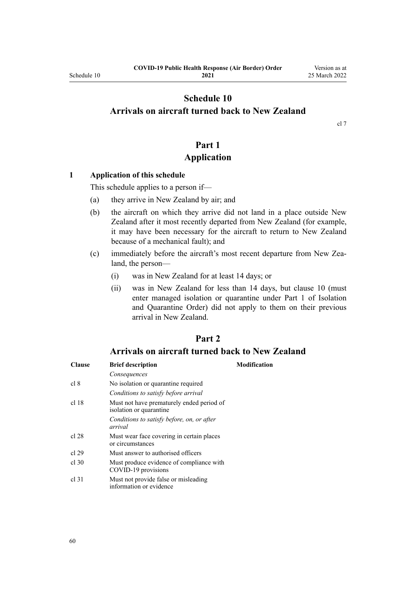## <span id="page-59-0"></span>**Schedule 10 Arrivals on aircraft turned back to New Zealand**

[cl 7](#page-9-0)

## **Part 1 Application**

#### **1 Application of this schedule**

This schedule applies to a person if—

- (a) they arrive in New Zealand by air; and
- (b) the aircraft on which they arrive did not land in a place outside New Zealand after it most recently departed from New Zealand (for example, it may have been necessary for the aircraft to return to New Zealand because of a mechanical fault); and
- (c) immediately before the aircraft's most recent departure from New Zea‐ land, the person—
	- (i) was in New Zealand for at least 14 days; or
	- (ii) was in New Zealand for less than 14 days, but [clause 10](#page-12-0) (must enter managed isolation or quarantine under [Part 1](http://legislation.govt.nz/pdflink.aspx?id=LMS401726) of Isolation and Quarantine Order) did not apply to them on their previous arrival in New Zealand.

## **Part 2**

#### **Arrivals on aircraft turned back to New Zealand**

| <b>Clause</b> | <b>Brief description</b>                                             | Modification |
|---------------|----------------------------------------------------------------------|--------------|
|               | Consequences                                                         |              |
| cl 8          | No isolation or quarantine required                                  |              |
|               | Conditions to satisfy before arrival                                 |              |
| cl 18         | Must not have prematurely ended period of<br>isolation or quarantine |              |
|               | Conditions to satisfy before, on, or after<br>arrival                |              |
| cl 28         | Must wear face covering in certain places<br>or circumstances        |              |
| cl 29         | Must answer to authorised officers                                   |              |
| $cl$ 30       | Must produce evidence of compliance with<br>COVID-19 provisions      |              |
| cl.31         | Must not provide false or misleading<br>information or evidence      |              |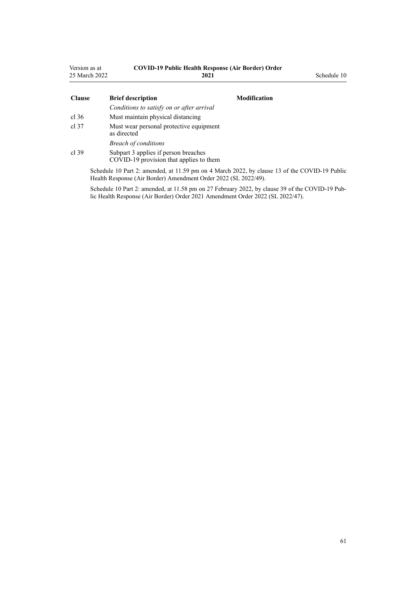| Version as at<br>25 March 2022 | <b>COVID-19 Public Health Response (Air Border) Order</b><br>2021               |                     | Schedule 10 |
|--------------------------------|---------------------------------------------------------------------------------|---------------------|-------------|
| <b>Clause</b>                  | <b>Brief description</b>                                                        | <b>Modification</b> |             |
|                                | Conditions to satisfy on or after arrival                                       |                     |             |
| $cl$ 36                        | Must maintain physical distancing                                               |                     |             |
| cl.37                          | Must wear personal protective equipment<br>as directed                          |                     |             |
|                                | <b>Breach of conditions</b>                                                     |                     |             |
| cl.39                          | Subpart 3 applies if person breaches<br>COVID-19 provision that applies to them |                     |             |

Schedule 10 Part 2: amended, at 11.59 pm on 4 March 2022, by [clause 13](http://legislation.govt.nz/pdflink.aspx?id=LMS653796) of the COVID-19 Public Health Response (Air Border) Amendment Order 2022 (SL 2022/49).

Schedule 10 Part 2: amended, at 11.58 pm on 27 February 2022, by [clause 39](http://legislation.govt.nz/pdflink.aspx?id=LMS650882) of the COVID-19 Public Health Response (Air Border) Order 2021 Amendment Order 2022 (SL 2022/47).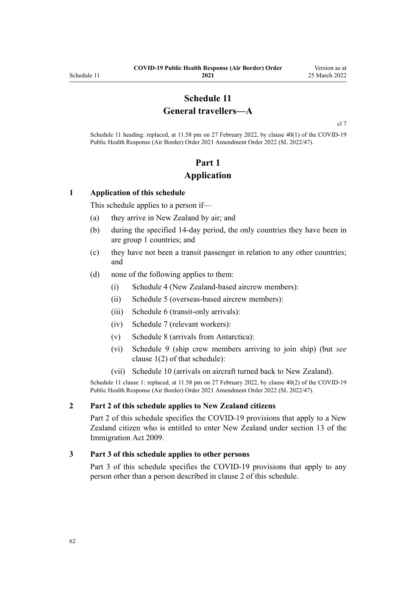## **Schedule 11 General travellers—A**

[cl 7](#page-9-0)

<span id="page-61-0"></span>Schedule 11 heading: replaced, at 11.58 pm on 27 February 2022, by [clause 40\(1\)](http://legislation.govt.nz/pdflink.aspx?id=LMS650887) of the COVID-19 Public Health Response (Air Border) Order 2021 Amendment Order 2022 (SL 2022/47).

## **Part 1 Application**

#### **1 Application of this schedule**

This schedule applies to a person if—

- (a) they arrive in New Zealand by air; and
- (b) during the specified 14-day period, the only countries they have been in are group 1 countries; and
- (c) they have not been a transit passenger in relation to any other countries; and
- (d) none of the following applies to them:
	- (i) [Schedule 4](#page-40-0) (New Zealand-based aircrew members):
	- (ii) [Schedule 5](#page-42-0) (overseas-based aircrew members):
	- (iii) [Schedule 6](#page-46-0) (transit-only arrivals):
	- (iv) [Schedule 7](#page-48-0) (relevant workers):
	- (v) [Schedule 8](#page-55-0) (arrivals from Antarctica):
	- (vi) [Schedule 9](#page-57-0) (ship crew members arriving to join ship) (but *see* [clause 1\(2\)](#page-57-0) of that schedule):
	- (vii) [Schedule 10](#page-59-0) (arrivals on aircraft turned back to New Zealand).

Schedule 11 clause 1: replaced, at 11.58 pm on 27 February 2022, by [clause 40\(2\)](http://legislation.govt.nz/pdflink.aspx?id=LMS650887) of the COVID-19 Public Health Response (Air Border) Order 2021 Amendment Order 2022 (SL 2022/47).

#### **2 Part 2 of this schedule applies to New Zealand citizens**

[Part 2](#page-62-0) of this schedule specifies the COVID-19 provisions that apply to a New Zealand citizen who is entitled to enter New Zealand under [section 13](http://legislation.govt.nz/pdflink.aspx?id=DLM1440595) of the Immigration Act 2009.

#### **3 Part 3 of this schedule applies to other persons**

[Part 3](#page-63-0) of this schedule specifies the COVID-19 provisions that apply to any person other than a person described in clause 2 of this schedule.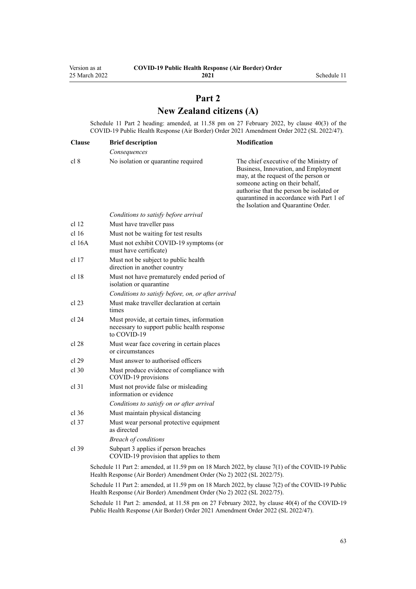## **Part 2 New Zealand citizens (A)**

<span id="page-62-0"></span>Schedule 11 Part 2 heading: amended, at 11.58 pm on 27 February 2022, by [clause 40\(3\)](http://legislation.govt.nz/pdflink.aspx?id=LMS650887) of the COVID-19 Public Health Response (Air Border) Order 2021 Amendment Order 2022 (SL 2022/47).

| <b>Clause</b>    | <b>Brief description</b>                                                                                  | Modification                                                                                                                                                                                                                                                                             |
|------------------|-----------------------------------------------------------------------------------------------------------|------------------------------------------------------------------------------------------------------------------------------------------------------------------------------------------------------------------------------------------------------------------------------------------|
|                  | Consequences                                                                                              |                                                                                                                                                                                                                                                                                          |
| cl 8             | No isolation or quarantine required                                                                       | The chief executive of the Ministry of<br>Business, Innovation, and Employment<br>may, at the request of the person or<br>someone acting on their behalf,<br>authorise that the person be isolated or<br>quarantined in accordance with Part 1 of<br>the Isolation and Quarantine Order. |
|                  | Conditions to satisfy before arrival                                                                      |                                                                                                                                                                                                                                                                                          |
| cl <sub>12</sub> | Must have traveller pass                                                                                  |                                                                                                                                                                                                                                                                                          |
| cl <sub>16</sub> | Must not be waiting for test results                                                                      |                                                                                                                                                                                                                                                                                          |
| cl 16A           | Must not exhibit COVID-19 symptoms (or<br>must have certificate)                                          |                                                                                                                                                                                                                                                                                          |
| $cl$ 17          | Must not be subject to public health<br>direction in another country                                      |                                                                                                                                                                                                                                                                                          |
| cl 18            | Must not have prematurely ended period of<br>isolation or quarantine                                      |                                                                                                                                                                                                                                                                                          |
|                  | Conditions to satisfy before, on, or after arrival                                                        |                                                                                                                                                                                                                                                                                          |
| cl 23            | Must make traveller declaration at certain<br>times                                                       |                                                                                                                                                                                                                                                                                          |
| cl 24            | Must provide, at certain times, information<br>necessary to support public health response<br>to COVID-19 |                                                                                                                                                                                                                                                                                          |
| cl 28            | Must wear face covering in certain places<br>or circumstances                                             |                                                                                                                                                                                                                                                                                          |
| cl 29            | Must answer to authorised officers                                                                        |                                                                                                                                                                                                                                                                                          |
| $cl$ 30          | Must produce evidence of compliance with<br>COVID-19 provisions                                           |                                                                                                                                                                                                                                                                                          |
| $cl$ 31          | Must not provide false or misleading<br>information or evidence                                           |                                                                                                                                                                                                                                                                                          |
|                  | Conditions to satisfy on or after arrival                                                                 |                                                                                                                                                                                                                                                                                          |
| $cl$ 36          | Must maintain physical distancing                                                                         |                                                                                                                                                                                                                                                                                          |
| $cl$ 37          | Must wear personal protective equipment<br>as directed                                                    |                                                                                                                                                                                                                                                                                          |
|                  | <b>Breach of conditions</b>                                                                               |                                                                                                                                                                                                                                                                                          |
| $cl$ 39          | Subpart 3 applies if person breaches<br>COVID-19 provision that applies to them                           |                                                                                                                                                                                                                                                                                          |
|                  | Schedule 11 Part 2: amended, at 11.59 pm on 18 March 2022, by clause 7(1) of the COVID-19 Public          |                                                                                                                                                                                                                                                                                          |

Health Response (Air Border) Amendment Order (No 2) 2022 (SL 2022/75).

Schedule 11 Part 2: amended, at 11.59 pm on 18 March 2022, by [clause 7\(2\)](http://legislation.govt.nz/pdflink.aspx?id=LMS664433) of the COVID-19 Public Health Response (Air Border) Amendment Order (No 2) 2022 (SL 2022/75).

Schedule 11 Part 2: amended, at 11.58 pm on 27 February 2022, by [clause 40\(4\)](http://legislation.govt.nz/pdflink.aspx?id=LMS650887) of the COVID-19 Public Health Response (Air Border) Order 2021 Amendment Order 2022 (SL 2022/47).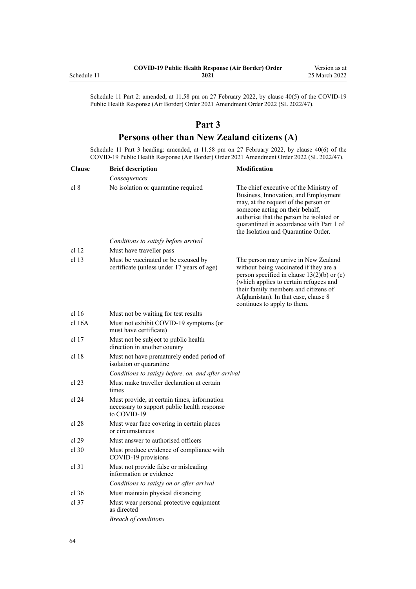<span id="page-63-0"></span>

|             | <b>COVID-19 Public Health Response (Air Border) Order</b> | Version as at |
|-------------|-----------------------------------------------------------|---------------|
| Schedule 11 | 2021                                                      | 25 March 2022 |

Schedule 11 Part 2: amended, at 11.58 pm on 27 February 2022, by [clause 40\(5\)](http://legislation.govt.nz/pdflink.aspx?id=LMS650887) of the COVID-19 Public Health Response (Air Border) Order 2021 Amendment Order 2022 (SL 2022/47).

## **Part 3**

## **Persons other than New Zealand citizens (A)**

Schedule 11 Part 3 heading: amended, at 11.58 pm on 27 February 2022, by [clause 40\(6\)](http://legislation.govt.nz/pdflink.aspx?id=LMS650887) of the COVID-19 Public Health Response (Air Border) Order 2021 Amendment Order 2022 (SL 2022/47).

| <b>Clause</b>    | <b>Brief description</b>                                                                                  | <b>Modification</b>                                                                                                                                                                                                                                                                      |
|------------------|-----------------------------------------------------------------------------------------------------------|------------------------------------------------------------------------------------------------------------------------------------------------------------------------------------------------------------------------------------------------------------------------------------------|
|                  | Consequences                                                                                              |                                                                                                                                                                                                                                                                                          |
| cl 8             | No isolation or quarantine required                                                                       | The chief executive of the Ministry of<br>Business, Innovation, and Employment<br>may, at the request of the person or<br>someone acting on their behalf,<br>authorise that the person be isolated or<br>quarantined in accordance with Part 1 of<br>the Isolation and Quarantine Order. |
|                  | Conditions to satisfy before arrival                                                                      |                                                                                                                                                                                                                                                                                          |
| cl <sub>12</sub> | Must have traveller pass                                                                                  |                                                                                                                                                                                                                                                                                          |
| cl <sub>13</sub> | Must be vaccinated or be excused by<br>certificate (unless under 17 years of age)                         | The person may arrive in New Zealand<br>without being vaccinated if they are a<br>person specified in clause $13(2)(b)$ or (c)<br>(which applies to certain refugees and<br>their family members and citizens of<br>Afghanistan). In that case, clause 8<br>continues to apply to them.  |
| cl 16            | Must not be waiting for test results                                                                      |                                                                                                                                                                                                                                                                                          |
| $cl$ 16A         | Must not exhibit COVID-19 symptoms (or<br>must have certificate)                                          |                                                                                                                                                                                                                                                                                          |
| cl <sub>17</sub> | Must not be subject to public health<br>direction in another country                                      |                                                                                                                                                                                                                                                                                          |
| cl <sub>18</sub> | Must not have prematurely ended period of<br>isolation or quarantine                                      |                                                                                                                                                                                                                                                                                          |
|                  | Conditions to satisfy before, on, and after arrival                                                       |                                                                                                                                                                                                                                                                                          |
| $cl$ 23          | Must make traveller declaration at certain<br>times                                                       |                                                                                                                                                                                                                                                                                          |
| cl 24            | Must provide, at certain times, information<br>necessary to support public health response<br>to COVID-19 |                                                                                                                                                                                                                                                                                          |
| cl 28            | Must wear face covering in certain places<br>or circumstances                                             |                                                                                                                                                                                                                                                                                          |
| cl 29            | Must answer to authorised officers                                                                        |                                                                                                                                                                                                                                                                                          |
| $cl$ 30          | Must produce evidence of compliance with<br>COVID-19 provisions                                           |                                                                                                                                                                                                                                                                                          |
| $cl$ 31          | Must not provide false or misleading<br>information or evidence                                           |                                                                                                                                                                                                                                                                                          |
|                  | Conditions to satisfy on or after arrival                                                                 |                                                                                                                                                                                                                                                                                          |
| cl.36            | Must maintain physical distancing                                                                         |                                                                                                                                                                                                                                                                                          |
| cl.37            | Must wear personal protective equipment<br>as directed                                                    |                                                                                                                                                                                                                                                                                          |
|                  | <b>Breach of conditions</b>                                                                               |                                                                                                                                                                                                                                                                                          |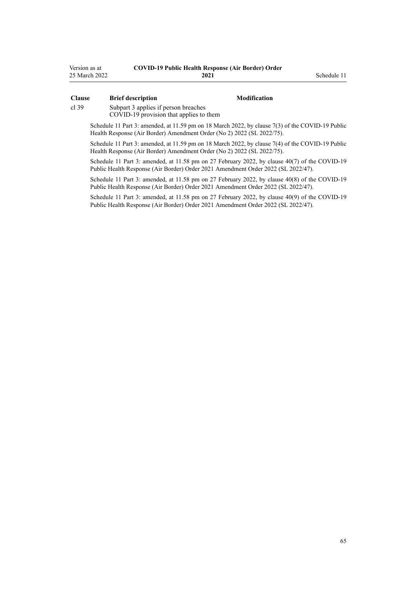| Version as at | <b>COVID-19 Public Health Response (Air Border) Order</b> |
|---------------|-----------------------------------------------------------|
| 25 March 2022 | 2021                                                      |

#### **Clause Brief description Modification**

**2021** Schedule 11

[cl 39](#page-23-0) [Subpart 3](#page-23-0) applies if person breaches

COVID-19 provision that applies to them

Schedule 11 Part 3: amended, at 11.59 pm on 18 March 2022, by [clause 7\(3\)](http://legislation.govt.nz/pdflink.aspx?id=LMS664433) of the COVID-19 Public Health Response (Air Border) Amendment Order (No 2) 2022 (SL 2022/75).

Schedule 11 Part 3: amended, at 11.59 pm on 18 March 2022, by [clause 7\(4\)](http://legislation.govt.nz/pdflink.aspx?id=LMS664433) of the COVID-19 Public Health Response (Air Border) Amendment Order (No 2) 2022 (SL 2022/75).

Schedule 11 Part 3: amended, at 11.58 pm on 27 February 2022, by [clause 40\(7\)](http://legislation.govt.nz/pdflink.aspx?id=LMS650887) of the COVID-19 Public Health Response (Air Border) Order 2021 Amendment Order 2022 (SL 2022/47).

Schedule 11 Part 3: amended, at 11.58 pm on 27 February 2022, by [clause 40\(8\)](http://legislation.govt.nz/pdflink.aspx?id=LMS650887) of the COVID-19 Public Health Response (Air Border) Order 2021 Amendment Order 2022 (SL 2022/47).

Schedule 11 Part 3: amended, at 11.58 pm on 27 February 2022, by [clause 40\(9\)](http://legislation.govt.nz/pdflink.aspx?id=LMS650887) of the COVID-19 Public Health Response (Air Border) Order 2021 Amendment Order 2022 (SL 2022/47).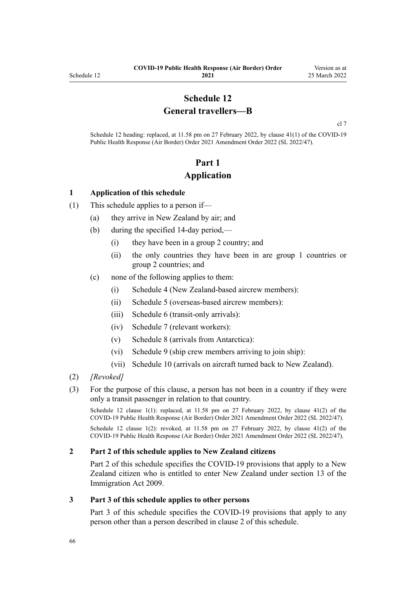## **Schedule 12 General travellers—B**

[cl 7](#page-9-0)

Schedule 12 heading: replaced, at 11.58 pm on 27 February 2022, by [clause 41\(1\)](http://legislation.govt.nz/pdflink.aspx?id=LMS650896) of the COVID-19 Public Health Response (Air Border) Order 2021 Amendment Order 2022 (SL 2022/47).

## **Part 1 Application**

#### **1 Application of this schedule**

- (1) This schedule applies to a person if—
	- (a) they arrive in New Zealand by air; and
	- (b) during the specified 14-day period,—
		- (i) they have been in a group 2 country; and
		- (ii) the only countries they have been in are group 1 countries or group 2 countries; and
	- (c) none of the following applies to them:
		- (i) [Schedule 4](#page-40-0) (New Zealand-based aircrew members):
		- (ii) [Schedule 5](#page-42-0) (overseas-based aircrew members):
		- (iii) [Schedule 6](#page-46-0) (transit-only arrivals):
		- (iv) [Schedule 7](#page-48-0) (relevant workers):
		- (v) [Schedule 8](#page-55-0) (arrivals from Antarctica):
		- (vi) [Schedule 9](#page-57-0) (ship crew members arriving to join ship):
		- (vii) [Schedule 10](#page-59-0) (arrivals on aircraft turned back to New Zealand).
- (2) *[Revoked]*
- (3) For the purpose of this clause, a person has not been in a country if they were only a transit passenger in relation to that country.

Schedule 12 clause 1(1): replaced, at 11.58 pm on 27 February 2022, by [clause 41\(2\)](http://legislation.govt.nz/pdflink.aspx?id=LMS650896) of the COVID-19 Public Health Response (Air Border) Order 2021 Amendment Order 2022 (SL 2022/47).

Schedule 12 clause 1(2): revoked, at 11.58 pm on 27 February 2022, by [clause 41\(2\)](http://legislation.govt.nz/pdflink.aspx?id=LMS650896) of the COVID-19 Public Health Response (Air Border) Order 2021 Amendment Order 2022 (SL 2022/47).

#### **2 Part 2 of this schedule applies to New Zealand citizens**

[Part 2](#page-66-0) of this schedule specifies the COVID-19 provisions that apply to a New Zealand citizen who is entitled to enter New Zealand under [section 13](http://legislation.govt.nz/pdflink.aspx?id=DLM1440595) of the Immigration Act 2009.

#### **3 Part 3 of this schedule applies to other persons**

[Part 3](#page-67-0) of this schedule specifies the COVID-19 provisions that apply to any person other than a person described in clause 2 of this schedule.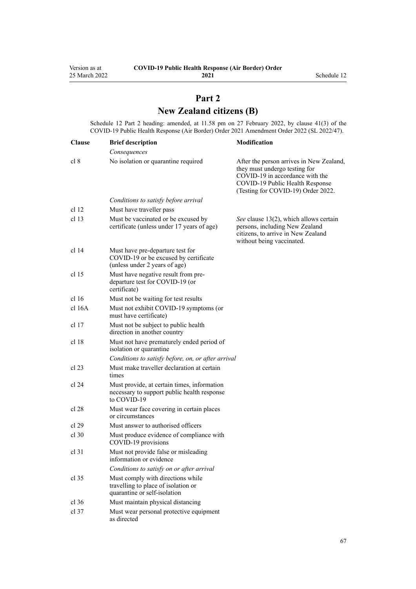# **Part 2 New Zealand citizens (B)**

<span id="page-66-0"></span>Schedule 12 Part 2 heading: amended, at 11.58 pm on 27 February 2022, by [clause 41\(3\)](http://legislation.govt.nz/pdflink.aspx?id=LMS650896) of the COVID-19 Public Health Response (Air Border) Order 2021 Amendment Order 2022 (SL 2022/47).

| <b>Clause</b>    | <b>Brief description</b>                                                                                   | Modification                                                                                                                                                                          |
|------------------|------------------------------------------------------------------------------------------------------------|---------------------------------------------------------------------------------------------------------------------------------------------------------------------------------------|
|                  | Consequences                                                                                               |                                                                                                                                                                                       |
| cl 8             | No isolation or quarantine required                                                                        | After the person arrives in New Zealand,<br>they must undergo testing for<br>COVID-19 in accordance with the<br>COVID-19 Public Health Response<br>(Testing for COVID-19) Order 2022. |
|                  | Conditions to satisfy before arrival                                                                       |                                                                                                                                                                                       |
| cl <sub>12</sub> | Must have traveller pass                                                                                   |                                                                                                                                                                                       |
| cl <sub>13</sub> | Must be vaccinated or be excused by<br>certificate (unless under 17 years of age)                          | See clause 13(2), which allows certain<br>persons, including New Zealand<br>citizens, to arrive in New Zealand<br>without being vaccinated.                                           |
| cl 14            | Must have pre-departure test for<br>COVID-19 or be excused by certificate<br>(unless under 2 years of age) |                                                                                                                                                                                       |
| cl <sub>15</sub> | Must have negative result from pre-<br>departure test for COVID-19 (or<br>certificate)                     |                                                                                                                                                                                       |
| cl 16            | Must not be waiting for test results                                                                       |                                                                                                                                                                                       |
| cl 16A           | Must not exhibit COVID-19 symptoms (or<br>must have certificate)                                           |                                                                                                                                                                                       |
| cl <sub>17</sub> | Must not be subject to public health<br>direction in another country                                       |                                                                                                                                                                                       |
| cl <sub>18</sub> | Must not have prematurely ended period of<br>isolation or quarantine                                       |                                                                                                                                                                                       |
|                  | Conditions to satisfy before, on, or after arrival                                                         |                                                                                                                                                                                       |
| cl 23            | Must make traveller declaration at certain<br>times                                                        |                                                                                                                                                                                       |
| cl 24            | Must provide, at certain times, information<br>necessary to support public health response<br>to COVID-19  |                                                                                                                                                                                       |
| cl 28            | Must wear face covering in certain places<br>or circumstances                                              |                                                                                                                                                                                       |
| cl 29            | Must answer to authorised officers                                                                         |                                                                                                                                                                                       |
| $cl$ 30          | Must produce evidence of compliance with<br>COVID-19 provisions                                            |                                                                                                                                                                                       |
| $cl$ 31          | Must not provide false or misleading<br>information or evidence                                            |                                                                                                                                                                                       |
|                  | Conditions to satisfy on or after arrival                                                                  |                                                                                                                                                                                       |
| $cl$ 35          | Must comply with directions while<br>travelling to place of isolation or<br>quarantine or self-isolation   |                                                                                                                                                                                       |
| $cl$ 36          | Must maintain physical distancing                                                                          |                                                                                                                                                                                       |
| $cl$ 37          | Must wear personal protective equipment<br>as directed                                                     |                                                                                                                                                                                       |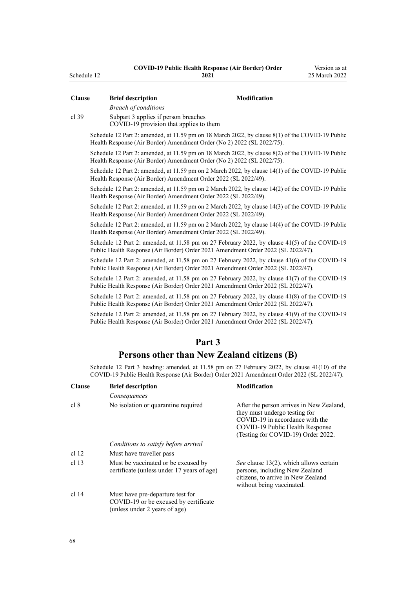| <b>Clause</b>    | <b>Brief description</b>                                                                                                                                                           | Modification                                                                                                                                                                          |
|------------------|------------------------------------------------------------------------------------------------------------------------------------------------------------------------------------|---------------------------------------------------------------------------------------------------------------------------------------------------------------------------------------|
| $cl$ 39          | <b>Breach of conditions</b><br>Subpart 3 applies if person breaches                                                                                                                |                                                                                                                                                                                       |
|                  | COVID-19 provision that applies to them                                                                                                                                            |                                                                                                                                                                                       |
|                  | Schedule 12 Part 2: amended, at 11.59 pm on 18 March 2022, by clause 8(1) of the COVID-19 Public<br>Health Response (Air Border) Amendment Order (No 2) 2022 (SL 2022/75).         |                                                                                                                                                                                       |
|                  | Schedule 12 Part 2: amended, at 11.59 pm on 18 March 2022, by clause 8(2) of the COVID-19 Public<br>Health Response (Air Border) Amendment Order (No 2) 2022 (SL 2022/75).         |                                                                                                                                                                                       |
|                  | Schedule 12 Part 2: amended, at 11.59 pm on 2 March 2022, by clause 14(1) of the COVID-19 Public<br>Health Response (Air Border) Amendment Order 2022 (SL 2022/49).                |                                                                                                                                                                                       |
|                  | Schedule 12 Part 2: amended, at 11.59 pm on 2 March 2022, by clause 14(2) of the COVID-19 Public<br>Health Response (Air Border) Amendment Order 2022 (SL 2022/49).                |                                                                                                                                                                                       |
|                  | Schedule 12 Part 2: amended, at 11.59 pm on 2 March 2022, by clause 14(3) of the COVID-19 Public<br>Health Response (Air Border) Amendment Order 2022 (SL 2022/49).                |                                                                                                                                                                                       |
|                  | Schedule 12 Part 2: amended, at 11.59 pm on 2 March 2022, by clause 14(4) of the COVID-19 Public<br>Health Response (Air Border) Amendment Order 2022 (SL 2022/49).                |                                                                                                                                                                                       |
|                  | Schedule 12 Part 2: amended, at 11.58 pm on 27 February 2022, by clause 41(5) of the COVID-19<br>Public Health Response (Air Border) Order 2021 Amendment Order 2022 (SL 2022/47). |                                                                                                                                                                                       |
|                  | Schedule 12 Part 2: amended, at 11.58 pm on 27 February 2022, by clause 41(6) of the COVID-19<br>Public Health Response (Air Border) Order 2021 Amendment Order 2022 (SL 2022/47). |                                                                                                                                                                                       |
|                  | Schedule 12 Part 2: amended, at 11.58 pm on 27 February 2022, by clause 41(7) of the COVID-19<br>Public Health Response (Air Border) Order 2021 Amendment Order 2022 (SL 2022/47). |                                                                                                                                                                                       |
|                  | Schedule 12 Part 2: amended, at 11.58 pm on 27 February 2022, by clause 41(8) of the COVID-19<br>Public Health Response (Air Border) Order 2021 Amendment Order 2022 (SL 2022/47). |                                                                                                                                                                                       |
|                  | Schedule 12 Part 2: amended, at 11.58 pm on 27 February 2022, by clause 41(9) of the COVID-19<br>Public Health Response (Air Border) Order 2021 Amendment Order 2022 (SL 2022/47). |                                                                                                                                                                                       |
|                  | Part 3                                                                                                                                                                             |                                                                                                                                                                                       |
|                  | Persons other than New Zealand citizens (B)                                                                                                                                        |                                                                                                                                                                                       |
|                  | Schedule 12 Part 3 heading: amended, at 11.58 pm on 27 February 2022, by clause 41(10) of the                                                                                      |                                                                                                                                                                                       |
|                  | COVID-19 Public Health Response (Air Border) Order 2021 Amendment Order 2022 (SL 2022/47).                                                                                         |                                                                                                                                                                                       |
| <b>Clause</b>    | <b>Brief description</b>                                                                                                                                                           | Modification                                                                                                                                                                          |
|                  | Consequences                                                                                                                                                                       |                                                                                                                                                                                       |
| cl 8             | No isolation or quarantine required                                                                                                                                                | After the person arrives in New Zealand,<br>they must undergo testing for<br>COVID-19 in accordance with the<br>COVID-19 Public Health Response<br>(Testing for COVID-19) Order 2022. |
|                  | Conditions to satisfy before arrival                                                                                                                                               |                                                                                                                                                                                       |
| cl <sub>12</sub> | Must have traveller pass                                                                                                                                                           |                                                                                                                                                                                       |
| cl <sub>13</sub> | Must be vaccinated or be excused by<br>certificate (unless under 17 years of age)                                                                                                  | See clause 13(2), which allows certain<br>persons, including New Zealand<br>citizens, to arrive in New Zealand<br>without being vaccinated.                                           |
| cl 14            | Must have pre-departure test for<br>COVID-19 or be excused by certificate<br>(unless under 2 years of age)                                                                         |                                                                                                                                                                                       |

<span id="page-67-0"></span>Schedule 12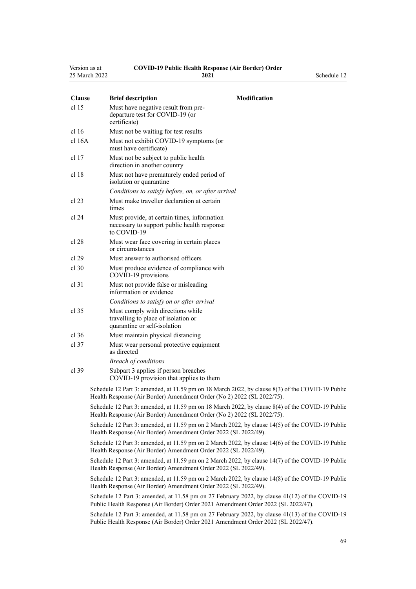| Version as at | <b>COVID-19 Public Health Response (Air Border) Order</b> |             |
|---------------|-----------------------------------------------------------|-------------|
| 25 March 2022 | 2021                                                      | Schedule 12 |

| <b>Clause</b>    | <b>Brief description</b><br><b>Modification</b>                                                                                                                                     |  |
|------------------|-------------------------------------------------------------------------------------------------------------------------------------------------------------------------------------|--|
| cl <sub>15</sub> | Must have negative result from pre-<br>departure test for COVID-19 (or<br>certificate)                                                                                              |  |
| cl 16            | Must not be waiting for test results                                                                                                                                                |  |
| cl 16A           | Must not exhibit COVID-19 symptoms (or<br>must have certificate)                                                                                                                    |  |
| cl <sub>17</sub> | Must not be subject to public health<br>direction in another country                                                                                                                |  |
| cl <sub>18</sub> | Must not have prematurely ended period of<br>isolation or quarantine                                                                                                                |  |
|                  | Conditions to satisfy before, on, or after arrival                                                                                                                                  |  |
| $cl$ 23          | Must make traveller declaration at certain<br>times                                                                                                                                 |  |
| cl 24            | Must provide, at certain times, information<br>necessary to support public health response<br>to COVID-19                                                                           |  |
| cl 28            | Must wear face covering in certain places<br>or circumstances                                                                                                                       |  |
| cl 29            | Must answer to authorised officers                                                                                                                                                  |  |
| $cl$ 30          | Must produce evidence of compliance with<br>COVID-19 provisions                                                                                                                     |  |
| $cl$ 31          | Must not provide false or misleading<br>information or evidence                                                                                                                     |  |
|                  | Conditions to satisfy on or after arrival                                                                                                                                           |  |
| $cl$ 35          | Must comply with directions while<br>travelling to place of isolation or<br>quarantine or self-isolation                                                                            |  |
| $cl$ 36          | Must maintain physical distancing                                                                                                                                                   |  |
| $cl$ 37          | Must wear personal protective equipment<br>as directed                                                                                                                              |  |
|                  | <b>Breach of conditions</b>                                                                                                                                                         |  |
| $cl$ 39          | Subpart 3 applies if person breaches<br>COVID-19 provision that applies to them                                                                                                     |  |
|                  | Schedule 12 Part 3: amended, at 11.59 pm on 18 March 2022, by clause 8(3) of the COVID-19 Public<br>Health Response (Air Border) Amendment Order (No 2) 2022 (SL 2022/75).          |  |
|                  | Schedule 12 Part 3: amended, at 11.59 pm on 18 March 2022, by clause 8(4) of the COVID-19 Public<br>Health Response (Air Border) Amendment Order (No 2) 2022 (SL 2022/75).          |  |
|                  | Schedule 12 Part 3: amended, at 11.59 pm on 2 March 2022, by clause 14(5) of the COVID-19 Public<br>Health Response (Air Border) Amendment Order 2022 (SL 2022/49).                 |  |
|                  | Schedule 12 Part 3: amended, at 11.59 pm on 2 March 2022, by clause 14(6) of the COVID-19 Public<br>Health Response (Air Border) Amendment Order 2022 (SL 2022/49).                 |  |
|                  | Schedule 12 Part 3: amended, at 11.59 pm on 2 March 2022, by clause 14(7) of the COVID-19 Public<br>Health Response (Air Border) Amendment Order 2022 (SL 2022/49).                 |  |
|                  | Schedule 12 Part 3: amended, at 11.59 pm on 2 March 2022, by clause 14(8) of the COVID-19 Public<br>Health Response (Air Border) Amendment Order 2022 (SL 2022/49).                 |  |
|                  | Schedule 12 Part 3: amended, at 11.58 pm on 27 February 2022, by clause 41(12) of the COVID-19<br>Public Health Response (Air Border) Order 2021 Amendment Order 2022 (SL 2022/47). |  |

Schedule 12 Part 3: amended, at 11.58 pm on 27 February 2022, by [clause 41\(13\)](http://legislation.govt.nz/pdflink.aspx?id=LMS650896) of the COVID-19 Public Health Response (Air Border) Order 2021 Amendment Order 2022 (SL 2022/47).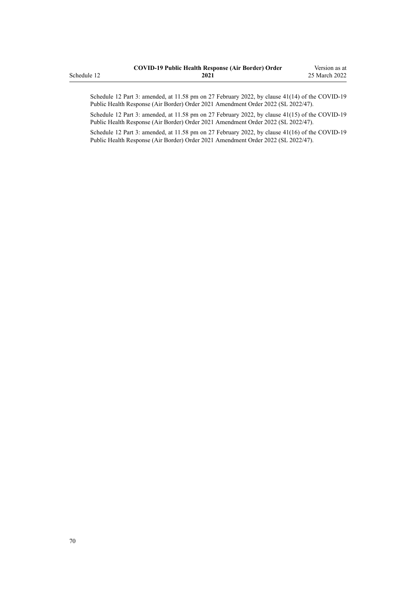|             | <b>COVID-19 Public Health Response (Air Border) Order</b> | Version as at |
|-------------|-----------------------------------------------------------|---------------|
| Schedule 12 | 2021                                                      | 25 March 2022 |

Schedule 12 Part 3: amended, at 11.58 pm on 27 February 2022, by [clause 41\(14\)](http://legislation.govt.nz/pdflink.aspx?id=LMS650896) of the COVID-19 Public Health Response (Air Border) Order 2021 Amendment Order 2022 (SL 2022/47).

Schedule 12 Part 3: amended, at 11.58 pm on 27 February 2022, by [clause 41\(15\)](http://legislation.govt.nz/pdflink.aspx?id=LMS650896) of the COVID-19 Public Health Response (Air Border) Order 2021 Amendment Order 2022 (SL 2022/47).

Schedule 12 Part 3: amended, at 11.58 pm on 27 February 2022, by [clause 41\(16\)](http://legislation.govt.nz/pdflink.aspx?id=LMS650896) of the COVID-19 Public Health Response (Air Border) Order 2021 Amendment Order 2022 (SL 2022/47).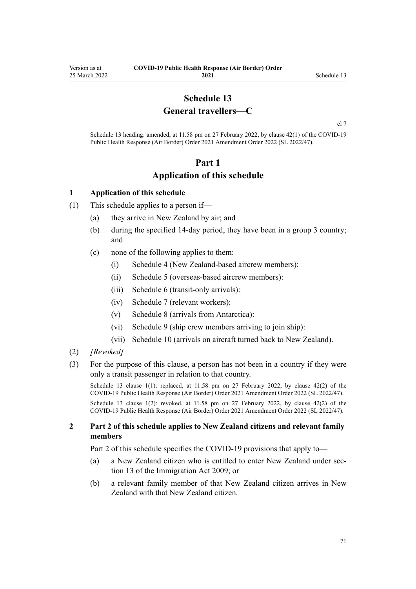## **Schedule 13 General travellers—C**

[cl 7](#page-9-0)

<span id="page-70-0"></span>Schedule 13 heading: amended, at 11.58 pm on 27 February 2022, by [clause 42\(1\)](http://legislation.govt.nz/pdflink.aspx?id=LMS650901) of the COVID-19 Public Health Response (Air Border) Order 2021 Amendment Order 2022 (SL 2022/47).

## **Part 1 Application of this schedule**

#### **1 Application of this schedule**

- (1) This schedule applies to a person if—
	- (a) they arrive in New Zealand by air; and
	- (b) during the specified 14-day period, they have been in a group 3 country; and
	- (c) none of the following applies to them:
		- (i) [Schedule 4](#page-40-0) (New Zealand-based aircrew members):
		- (ii) [Schedule 5](#page-42-0) (overseas-based aircrew members):
		- (iii) [Schedule 6](#page-46-0) (transit-only arrivals):
		- (iv) [Schedule 7](#page-48-0) (relevant workers):
		- (v) [Schedule 8](#page-55-0) (arrivals from Antarctica):
		- (vi) [Schedule 9](#page-57-0) (ship crew members arriving to join ship):
		- (vii) [Schedule 10](#page-59-0) (arrivals on aircraft turned back to New Zealand).
- (2) *[Revoked]*
- (3) For the purpose of this clause, a person has not been in a country if they were only a transit passenger in relation to that country.

Schedule 13 clause 1(1): replaced, at 11.58 pm on 27 February 2022, by [clause 42\(2\)](http://legislation.govt.nz/pdflink.aspx?id=LMS650901) of the COVID-19 Public Health Response (Air Border) Order 2021 Amendment Order 2022 (SL 2022/47).

Schedule 13 clause 1(2): revoked, at 11.58 pm on 27 February 2022, by [clause 42\(2\)](http://legislation.govt.nz/pdflink.aspx?id=LMS650901) of the COVID-19 Public Health Response (Air Border) Order 2021 Amendment Order 2022 (SL 2022/47).

#### **2 Part 2 of this schedule applies to New Zealand citizens and relevant family members**

[Part 2](#page-71-0) of this schedule specifies the COVID-19 provisions that apply to—

- (a) a New Zealand citizen who is entitled to enter New Zealand under [sec‐](http://legislation.govt.nz/pdflink.aspx?id=DLM1440595) [tion 13](http://legislation.govt.nz/pdflink.aspx?id=DLM1440595) of the Immigration Act 2009; or
- (b) a relevant family member of that New Zealand citizen arrives in New Zealand with that New Zealand citizen.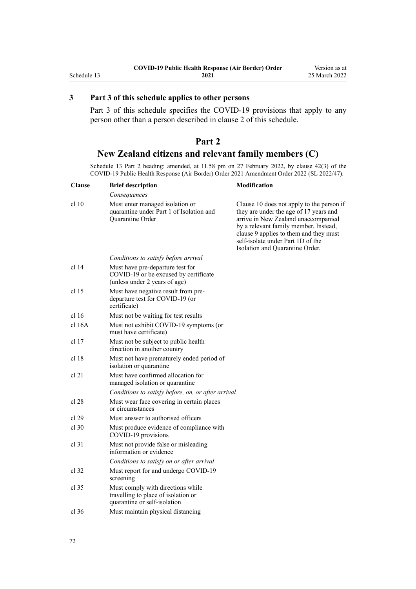#### <span id="page-71-0"></span>**3 Part 3 of this schedule applies to other persons**

[Part 3](#page-72-0) of this schedule specifies the COVID-19 provisions that apply to any person other than a person described in [clause 2](#page-70-0) of this schedule.

## **Part 2 New Zealand citizens and relevant family members (C)**

Schedule 13 Part 2 heading: amended, at 11.58 pm on 27 February 2022, by [clause 42\(3\)](http://legislation.govt.nz/pdflink.aspx?id=LMS650901) of the COVID-19 Public Health Response (Air Border) Order 2021 Amendment Order 2022 (SL 2022/47).

| <b>Clause</b> | <b>Brief description</b>                                                                                   | Modification                                                                                                                                                                                                                                                                          |
|---------------|------------------------------------------------------------------------------------------------------------|---------------------------------------------------------------------------------------------------------------------------------------------------------------------------------------------------------------------------------------------------------------------------------------|
|               | Consequences                                                                                               |                                                                                                                                                                                                                                                                                       |
| cl 10         | Must enter managed isolation or<br>quarantine under Part 1 of Isolation and<br>Quarantine Order            | Clause 10 does not apply to the person if<br>they are under the age of 17 years and<br>arrive in New Zealand unaccompanied<br>by a relevant family member. Instead,<br>clause 9 applies to them and they must<br>self-isolate under Part 1D of the<br>Isolation and Quarantine Order. |
|               | Conditions to satisfy before arrival                                                                       |                                                                                                                                                                                                                                                                                       |
| cl 14         | Must have pre-departure test for<br>COVID-19 or be excused by certificate<br>(unless under 2 years of age) |                                                                                                                                                                                                                                                                                       |
| cl 15         | Must have negative result from pre-<br>departure test for COVID-19 (or<br>certificate)                     |                                                                                                                                                                                                                                                                                       |
| cl 16         | Must not be waiting for test results                                                                       |                                                                                                                                                                                                                                                                                       |
| cl 16A        | Must not exhibit COVID-19 symptoms (or<br>must have certificate)                                           |                                                                                                                                                                                                                                                                                       |
| cl 17         | Must not be subject to public health<br>direction in another country                                       |                                                                                                                                                                                                                                                                                       |
| cl 18         | Must not have prematurely ended period of<br>isolation or quarantine                                       |                                                                                                                                                                                                                                                                                       |
| cl 21         | Must have confirmed allocation for<br>managed isolation or quarantine                                      |                                                                                                                                                                                                                                                                                       |
|               | Conditions to satisfy before, on, or after arrival                                                         |                                                                                                                                                                                                                                                                                       |
| cl 28         | Must wear face covering in certain places<br>or circumstances                                              |                                                                                                                                                                                                                                                                                       |
| cl 29         | Must answer to authorised officers                                                                         |                                                                                                                                                                                                                                                                                       |
| $cl$ 30       | Must produce evidence of compliance with<br>COVID-19 provisions                                            |                                                                                                                                                                                                                                                                                       |
| cl 31         | Must not provide false or misleading<br>information or evidence                                            |                                                                                                                                                                                                                                                                                       |
|               | Conditions to satisfy on or after arrival                                                                  |                                                                                                                                                                                                                                                                                       |
| cl.32         | Must report for and undergo COVID-19<br>screening                                                          |                                                                                                                                                                                                                                                                                       |
| cl 35         | Must comply with directions while<br>travelling to place of isolation or<br>quarantine or self-isolation   |                                                                                                                                                                                                                                                                                       |
| cl 36         | Must maintain physical distancing                                                                          |                                                                                                                                                                                                                                                                                       |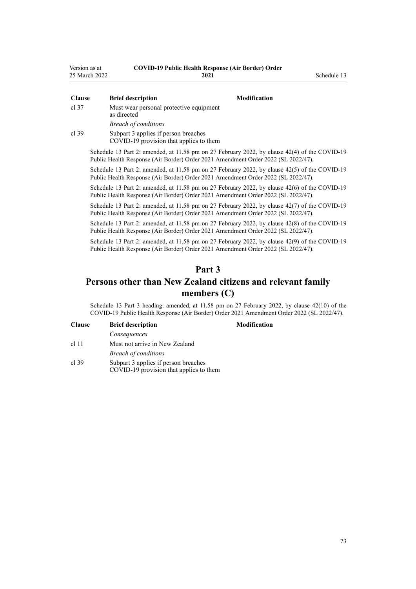| Version as at | <b>COVID-19 Public Health Response (Air Border) Order</b> |             |
|---------------|-----------------------------------------------------------|-------------|
| 25 March 2022 | 2021                                                      | Schedule 13 |

| Clause | <b>Brief description</b>                                                                                                                                                           | <b>Modification</b> |                               |
|--------|------------------------------------------------------------------------------------------------------------------------------------------------------------------------------------|---------------------|-------------------------------|
| cl 37  | Must wear personal protective equipment<br>as directed                                                                                                                             |                     |                               |
|        | <b>Breach of conditions</b>                                                                                                                                                        |                     |                               |
| cl 39  | Subpart 3 applies if person breaches<br>COVID-19 provision that applies to them                                                                                                    |                     |                               |
|        | Schedule 13 Part 2: amended, at 11.58 pm on 27 February 2022, by clause 42(4) of the COVID-19<br>Public Health Response (Air Border) Order 2021 Amendment Order 2022 (SL 2022/47). |                     |                               |
|        | Schedule 13 Part 2: amended, at 11.58 pm on 27 February 2022, by clause 42(5) of the COVID-19<br>Public Health Response (Air Border) Order 2021 Amendment Order 2022 (SL 2022/47). |                     |                               |
|        | Schedule 13 Part 2: amended, at 11.58 pm on 27 February 2022, by clause 42(6) of the COVID-19<br>Public Health Response (Air Border) Order 2021 Amendment Order 2022 (SL 2022/47). |                     |                               |
|        | Schedule 13 Part 2: amended, at 11.58 pm on 27 February 2022, by clause 42(7) of the COVID-19<br>Public Health Response (Air Border) Order 2021 Amendment Order 2022 (SL 2022/47). |                     |                               |
|        | $0.1 \t11 \t12 \t0 \t2$                                                                                                                                                            |                     | $2022 - 1$ $1200 - 1200 = 10$ |

Schedule 13 Part 2: amended, at 11.58 pm on 27 February 2022, by [clause 42\(8\)](http://legislation.govt.nz/pdflink.aspx?id=LMS650901) of the COVID-19 Public Health Response (Air Border) Order 2021 Amendment Order 2022 (SL 2022/47).

Schedule 13 Part 2: amended, at 11.58 pm on 27 February 2022, by [clause 42\(9\)](http://legislation.govt.nz/pdflink.aspx?id=LMS650901) of the COVID-19 Public Health Response (Air Border) Order 2021 Amendment Order 2022 (SL 2022/47).

## **Part 3**

## **Persons other than New Zealand citizens and relevant family members (C)**

Schedule 13 Part 3 heading: amended, at 11.58 pm on 27 February 2022, by [clause 42\(10\)](http://legislation.govt.nz/pdflink.aspx?id=LMS650901) of the COVID-19 Public Health Response (Air Border) Order 2021 Amendment Order 2022 (SL 2022/47).

| <b>Clause</b> | <b>Brief description</b>       |
|---------------|--------------------------------|
|               | Consequences                   |
| $cl$ 11       | Must not arrive in New Zealand |
|               | <b>Breach of conditions</b>    |
|               |                                |

[cl 39](#page-23-0) [Subpart 3](#page-23-0) applies if person breaches COVID-19 provision that applies to them **Clause Brief description Modification**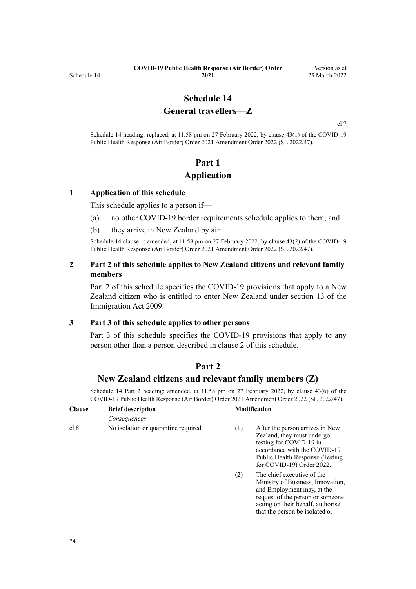## **Schedule 14 General travellers—Z**

[cl 7](#page-9-0)

Schedule 14 heading: replaced, at 11.58 pm on 27 February 2022, by [clause 43\(1\)](http://legislation.govt.nz/pdflink.aspx?id=LMS650909) of the COVID-19 Public Health Response (Air Border) Order 2021 Amendment Order 2022 (SL 2022/47).

# **Part 1 Application**

#### **1 Application of this schedule**

This schedule applies to a person if—

- (a) no other COVID-19 border requirements schedule applies to them; and
- (b) they arrive in New Zealand by air.

Schedule 14 clause 1: amended, at 11.58 pm on 27 February 2022, by [clause 43\(2\)](http://legislation.govt.nz/pdflink.aspx?id=LMS650909) of the COVID-19 Public Health Response (Air Border) Order 2021 Amendment Order 2022 (SL 2022/47).

#### **2 Part 2 of this schedule applies to New Zealand citizens and relevant family members**

Part 2 of this schedule specifies the COVID-19 provisions that apply to a New Zealand citizen who is entitled to enter New Zealand under [section 13](http://legislation.govt.nz/pdflink.aspx?id=DLM1440595) of the Immigration Act 2009.

#### **3 Part 3 of this schedule applies to other persons**

[Part 3](#page-75-0) of this schedule specifies the COVID-19 provisions that apply to any person other than a person described in clause 2 of this schedule.

## **Part 2**

### **New Zealand citizens and relevant family members (Z)**

Schedule 14 Part 2 heading: amended, at 11.58 pm on 27 February 2022, by [clause 43\(6\)](http://legislation.govt.nz/pdflink.aspx?id=LMS650909) of the COVID-19 Public Health Response (Air Border) Order 2021 Amendment Order 2022 (SL 2022/47).

| <b>Clause</b> | <b>Brief description</b>            |     | <b>Modification</b>                                                                                                                                                                       |  |
|---------------|-------------------------------------|-----|-------------------------------------------------------------------------------------------------------------------------------------------------------------------------------------------|--|
|               | Consequences                        |     |                                                                                                                                                                                           |  |
| cl 8          | No isolation or quarantine required | (1) | After the person arrives in New<br>Zealand, they must undergo<br>testing for COVID-19 in<br>accordance with the COVID-19<br>Public Health Response (Testing)<br>for COVID-19) Order 2022. |  |
|               |                                     |     |                                                                                                                                                                                           |  |

(2) The chief executive of the Ministry of Business, Innovation, and Employment may, at the request of the person or someone acting on their behalf, authorise that the person be isolated or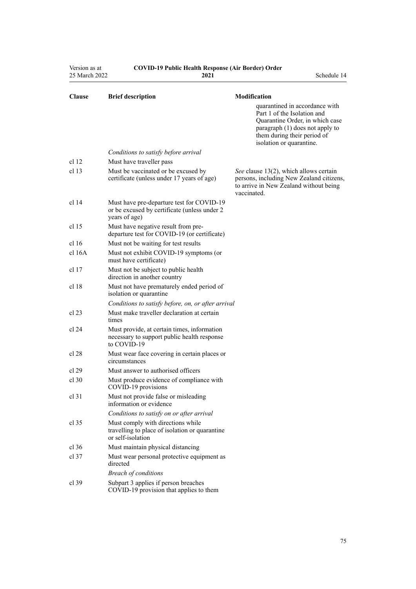| Version as at<br>25 March 2022 | <b>COVID-19 Public Health Response (Air Border) Order</b><br>2021                                          | Schedule 14                                                                                                                                                  |
|--------------------------------|------------------------------------------------------------------------------------------------------------|--------------------------------------------------------------------------------------------------------------------------------------------------------------|
| <b>Clause</b>                  | <b>Brief description</b>                                                                                   | Modification<br>quarantined in accordance with                                                                                                               |
|                                |                                                                                                            | Part 1 of the Isolation and<br>Quarantine Order, in which case<br>paragraph (1) does not apply to<br>them during their period of<br>isolation or quarantine. |
|                                | Conditions to satisfy before arrival                                                                       |                                                                                                                                                              |
| cl <sub>12</sub>               | Must have traveller pass                                                                                   |                                                                                                                                                              |
| cl 13                          | Must be vaccinated or be excused by<br>certificate (unless under 17 years of age)                          | See clause 13(2), which allows certain<br>persons, including New Zealand citizens,<br>to arrive in New Zealand without being<br>vaccinated.                  |
| cl 14                          | Must have pre-departure test for COVID-19<br>or be excused by certificate (unless under 2<br>years of age) |                                                                                                                                                              |
| cl <sub>15</sub>               | Must have negative result from pre-<br>departure test for COVID-19 (or certificate)                        |                                                                                                                                                              |
| cl <sub>16</sub>               | Must not be waiting for test results                                                                       |                                                                                                                                                              |
| $cl$ 16A                       | Must not exhibit COVID-19 symptoms (or<br>must have certificate)                                           |                                                                                                                                                              |
| cl 17                          | Must not be subject to public health<br>direction in another country                                       |                                                                                                                                                              |
| cl 18                          | Must not have prematurely ended period of<br>isolation or quarantine                                       |                                                                                                                                                              |
|                                | Conditions to satisfy before, on, or after arrival                                                         |                                                                                                                                                              |
| cl 23                          | Must make traveller declaration at certain<br>times                                                        |                                                                                                                                                              |
| cl 24                          | Must provide, at certain times, information<br>necessary to support public health response<br>to COVID-19  |                                                                                                                                                              |
| cl 28                          | Must wear face covering in certain places or<br>circumstances                                              |                                                                                                                                                              |
| cl 29                          | Must answer to authorised officers                                                                         |                                                                                                                                                              |
| cl 30                          | Must produce evidence of compliance with<br>COVID-19 provisions                                            |                                                                                                                                                              |
| cl <sub>31</sub>               | Must not provide false or misleading<br>information or evidence                                            |                                                                                                                                                              |
|                                | Conditions to satisfy on or after arrival                                                                  |                                                                                                                                                              |
| cl 35                          | Must comply with directions while<br>travelling to place of isolation or quarantine<br>or self-isolation   |                                                                                                                                                              |
| $cl$ 36                        | Must maintain physical distancing                                                                          |                                                                                                                                                              |
| $cl$ 37                        | Must wear personal protective equipment as<br>directed                                                     |                                                                                                                                                              |
|                                | <b>Breach of conditions</b>                                                                                |                                                                                                                                                              |
| $cl$ 39                        | Subpart 3 applies if person breaches<br>COVID-19 provision that applies to them                            |                                                                                                                                                              |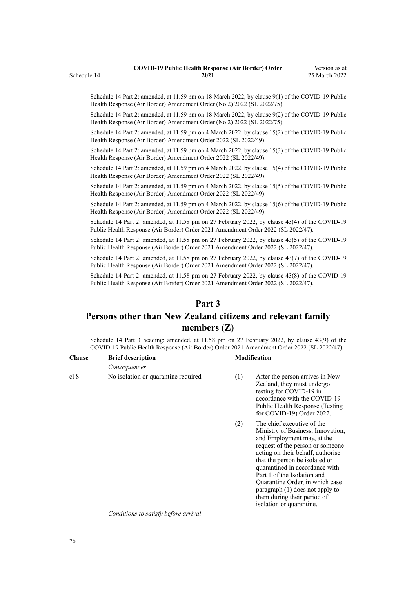Schedule 14 Part 2: amended, at 11.59 pm on 18 March 2022, by [clause 9\(1\)](http://legislation.govt.nz/pdflink.aspx?id=LMS664439) of the COVID-19 Public Health Response (Air Border) Amendment Order (No 2) 2022 (SL 2022/75).

Schedule 14 Part 2: amended, at 11.59 pm on 18 March 2022, by [clause 9\(2\)](http://legislation.govt.nz/pdflink.aspx?id=LMS664439) of the COVID-19 Public Health Response (Air Border) Amendment Order (No 2) 2022 (SL 2022/75).

Schedule 14 Part 2: amended, at 11.59 pm on 4 March 2022, by [clause 15\(2\)](http://legislation.govt.nz/pdflink.aspx?id=LMS653815) of the COVID-19 Public Health Response (Air Border) Amendment Order 2022 (SL 2022/49).

Schedule 14 Part 2: amended, at 11.59 pm on 4 March 2022, by [clause 15\(3\)](http://legislation.govt.nz/pdflink.aspx?id=LMS653815) of the COVID-19 Public Health Response (Air Border) Amendment Order 2022 (SL 2022/49).

Schedule 14 Part 2: amended, at 11.59 pm on 4 March 2022, by [clause 15\(4\)](http://legislation.govt.nz/pdflink.aspx?id=LMS653815) of the COVID-19 Public Health Response (Air Border) Amendment Order 2022 (SL 2022/49).

Schedule 14 Part 2: amended, at 11.59 pm on 4 March 2022, by [clause 15\(5\)](http://legislation.govt.nz/pdflink.aspx?id=LMS653815) of the COVID-19 Public Health Response (Air Border) Amendment Order 2022 (SL 2022/49).

Schedule 14 Part 2: amended, at 11.59 pm on 4 March 2022, by [clause 15\(6\)](http://legislation.govt.nz/pdflink.aspx?id=LMS653815) of the COVID-19 Public Health Response (Air Border) Amendment Order 2022 (SL 2022/49).

Schedule 14 Part 2: amended, at 11.58 pm on 27 February 2022, by [clause 43\(4\)](http://legislation.govt.nz/pdflink.aspx?id=LMS650909) of the COVID-19 Public Health Response (Air Border) Order 2021 Amendment Order 2022 (SL 2022/47).

Schedule 14 Part 2: amended, at 11.58 pm on 27 February 2022, by [clause 43\(5\)](http://legislation.govt.nz/pdflink.aspx?id=LMS650909) of the COVID-19 Public Health Response (Air Border) Order 2021 Amendment Order 2022 (SL 2022/47).

Schedule 14 Part 2: amended, at 11.58 pm on 27 February 2022, by [clause 43\(7\)](http://legislation.govt.nz/pdflink.aspx?id=LMS650909) of the COVID-19 Public Health Response (Air Border) Order 2021 Amendment Order 2022 (SL 2022/47).

Schedule 14 Part 2: amended, at 11.58 pm on 27 February 2022, by [clause 43\(8\)](http://legislation.govt.nz/pdflink.aspx?id=LMS650909) of the COVID-19 Public Health Response (Air Border) Order 2021 Amendment Order 2022 (SL 2022/47).

## **Part 3**

# **Persons other than New Zealand citizens and relevant family members (Z)**

Schedule 14 Part 3 heading: amended, at 11.58 pm on 27 February 2022, by [clause 43\(9\)](http://legislation.govt.nz/pdflink.aspx?id=LMS650909) of the COVID-19 Public Health Response (Air Border) Order 2021 Amendment Order 2022 (SL 2022/47).

| <b>Clause</b> | <b>Brief description</b>            |     | <b>Modification</b>                                                                                                                                                                      |  |
|---------------|-------------------------------------|-----|------------------------------------------------------------------------------------------------------------------------------------------------------------------------------------------|--|
|               | Consequences                        |     |                                                                                                                                                                                          |  |
| cl 8          | No isolation or quarantine required | (1) | After the person arrives in New<br>Zealand, they must undergo<br>testing for COVID-19 in<br>accordance with the COVID-19<br>Public Health Response (Testing<br>for COVID-19) Order 2022. |  |

(2) The chief executive of the Ministry of Business, Innovation, and Employment may, at the request of the person or someone acting on their behalf, authorise that the person be isolated or quarantined in accordance with [Part 1](http://legislation.govt.nz/pdflink.aspx?id=LMS401726) of the Isolation and Quarantine Order, in which case paragraph (1) does not apply to them during their period of isolation or quarantine.

*Conditions to satisfy before arrival*

<span id="page-75-0"></span>Schedule 14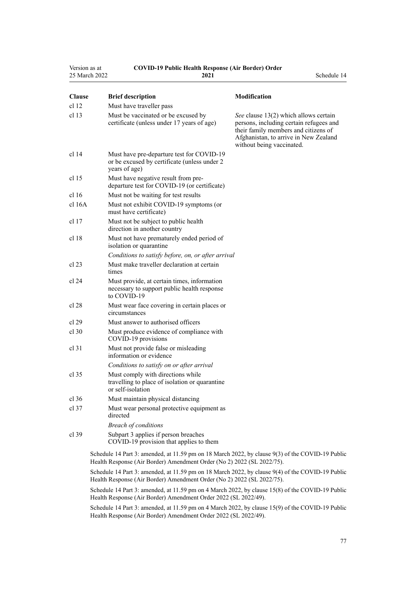| Version as at<br>25 March 2022 | <b>COVID-19 Public Health Response (Air Border) Order</b><br>2021                                          | Schedule 14                                                                                                                                                                                    |
|--------------------------------|------------------------------------------------------------------------------------------------------------|------------------------------------------------------------------------------------------------------------------------------------------------------------------------------------------------|
| <b>Clause</b>                  | <b>Brief description</b>                                                                                   | <b>Modification</b>                                                                                                                                                                            |
| cl 12                          | Must have traveller pass                                                                                   |                                                                                                                                                                                                |
| cl <sub>13</sub>               | Must be vaccinated or be excused by<br>certificate (unless under 17 years of age)                          | See clause 13(2) which allows certain<br>persons, including certain refugees and<br>their family members and citizens of<br>Afghanistan, to arrive in New Zealand<br>without being vaccinated. |
| cl 14                          | Must have pre-departure test for COVID-19<br>or be excused by certificate (unless under 2<br>years of age) |                                                                                                                                                                                                |
| cl 15                          | Must have negative result from pre-<br>departure test for COVID-19 (or certificate)                        |                                                                                                                                                                                                |
| cl 16                          | Must not be waiting for test results                                                                       |                                                                                                                                                                                                |
| cl 16A                         | Must not exhibit COVID-19 symptoms (or<br>must have certificate)                                           |                                                                                                                                                                                                |
| cl 17                          | Must not be subject to public health<br>direction in another country                                       |                                                                                                                                                                                                |
| cl 18                          | Must not have prematurely ended period of<br>isolation or quarantine                                       |                                                                                                                                                                                                |
|                                | Conditions to satisfy before, on, or after arrival                                                         |                                                                                                                                                                                                |
| cl 23                          | Must make traveller declaration at certain<br>times                                                        |                                                                                                                                                                                                |
| cl 24                          | Must provide, at certain times, information<br>necessary to support public health response<br>to COVID-19  |                                                                                                                                                                                                |
| cl 28                          | Must wear face covering in certain places or<br>circumstances                                              |                                                                                                                                                                                                |
| cl 29                          | Must answer to authorised officers                                                                         |                                                                                                                                                                                                |
| $cl$ 30                        | Must produce evidence of compliance with<br>COVID-19 provisions                                            |                                                                                                                                                                                                |
| $cl$ 31                        | Must not provide false or misleading<br>information or evidence                                            |                                                                                                                                                                                                |
|                                | Conditions to satisfy on or after arrival                                                                  |                                                                                                                                                                                                |
| cl 35                          | Must comply with directions while<br>travelling to place of isolation or quarantine<br>or self-isolation   |                                                                                                                                                                                                |
| $cl$ 36                        | Must maintain physical distancing                                                                          |                                                                                                                                                                                                |
| $cl$ 37                        | Must wear personal protective equipment as<br>directed                                                     |                                                                                                                                                                                                |
|                                | <b>Breach of conditions</b>                                                                                |                                                                                                                                                                                                |
| $cl$ 39                        | Subpart 3 applies if person breaches<br>COVID-19 provision that applies to them                            |                                                                                                                                                                                                |
|                                | Schedule 14 Part 3: amended at 11.59 pm on 18 March 2022, by clause $9(3)$ of the COVID-19 Public          |                                                                                                                                                                                                |

ule 14 Part 3: amended, at 11.59 pm on 18 March 2022, by [clause 9\(3\)](http://legislation.govt.nz/pdflink.aspx?id=LMS664439) of the COVID-19 Public Health Response (Air Border) Amendment Order (No 2) 2022 (SL 2022/75).

Schedule 14 Part 3: amended, at 11.59 pm on 18 March 2022, by [clause 9\(4\)](http://legislation.govt.nz/pdflink.aspx?id=LMS664439) of the COVID-19 Public Health Response (Air Border) Amendment Order (No 2) 2022 (SL 2022/75).

Schedule 14 Part 3: amended, at 11.59 pm on 4 March 2022, by [clause 15\(8\)](http://legislation.govt.nz/pdflink.aspx?id=LMS653815) of the COVID-19 Public Health Response (Air Border) Amendment Order 2022 (SL 2022/49).

Schedule 14 Part 3: amended, at 11.59 pm on 4 March 2022, by [clause 15\(9\)](http://legislation.govt.nz/pdflink.aspx?id=LMS653815) of the COVID-19 Public Health Response (Air Border) Amendment Order 2022 (SL 2022/49).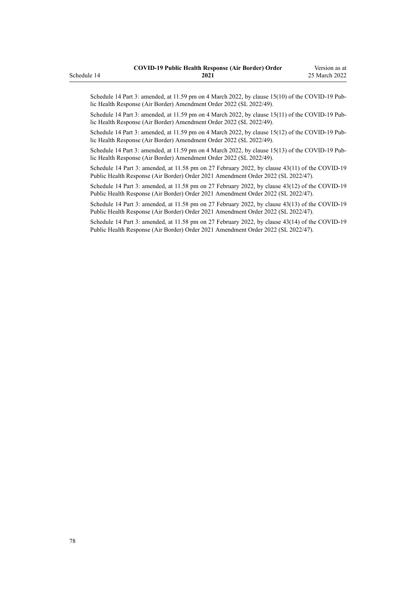Schedule 14 Part 3: amended, at 11.59 pm on 4 March 2022, by [clause 15\(10\)](http://legislation.govt.nz/pdflink.aspx?id=LMS653815) of the COVID-19 Public Health Response (Air Border) Amendment Order 2022 (SL 2022/49).

Schedule 14 Part 3: amended, at 11.59 pm on 4 March 2022, by [clause 15\(11\)](http://legislation.govt.nz/pdflink.aspx?id=LMS653815) of the COVID-19 Public Health Response (Air Border) Amendment Order 2022 (SL 2022/49).

Schedule 14 Part 3: amended, at 11.59 pm on 4 March 2022, by [clause 15\(12\)](http://legislation.govt.nz/pdflink.aspx?id=LMS653815) of the COVID-19 Pub‐ lic Health Response (Air Border) Amendment Order 2022 (SL 2022/49).

Schedule 14 Part 3: amended, at 11.59 pm on 4 March 2022, by [clause 15\(13\)](http://legislation.govt.nz/pdflink.aspx?id=LMS653815) of the COVID-19 Public Health Response (Air Border) Amendment Order 2022 (SL 2022/49).

Schedule 14 Part 3: amended, at 11.58 pm on 27 February 2022, by [clause 43\(11\)](http://legislation.govt.nz/pdflink.aspx?id=LMS650909) of the COVID-19 Public Health Response (Air Border) Order 2021 Amendment Order 2022 (SL 2022/47).

Schedule 14 Part 3: amended, at 11.58 pm on 27 February 2022, by [clause 43\(12\)](http://legislation.govt.nz/pdflink.aspx?id=LMS650909) of the COVID-19 Public Health Response (Air Border) Order 2021 Amendment Order 2022 (SL 2022/47).

Schedule 14 Part 3: amended, at 11.58 pm on 27 February 2022, by [clause 43\(13\)](http://legislation.govt.nz/pdflink.aspx?id=LMS650909) of the COVID-19 Public Health Response (Air Border) Order 2021 Amendment Order 2022 (SL 2022/47).

Schedule 14 Part 3: amended, at 11.58 pm on 27 February 2022, by [clause 43\(14\)](http://legislation.govt.nz/pdflink.aspx?id=LMS650909) of the COVID-19 Public Health Response (Air Border) Order 2021 Amendment Order 2022 (SL 2022/47).

## Schedule 14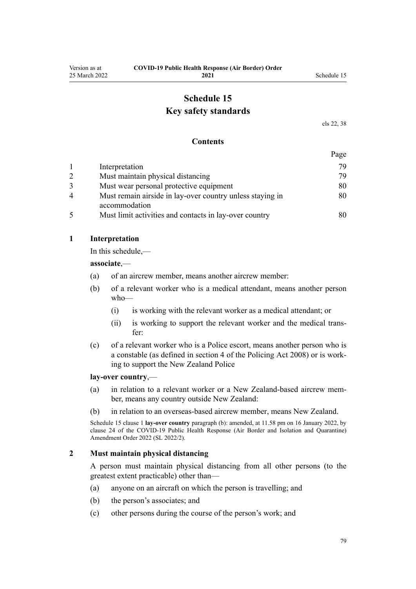## **Schedule 15 Key safety standards**

[cls 22,](#page-16-0) [38](#page-23-0)

#### **Contents**

|   |                                                                            | Page |
|---|----------------------------------------------------------------------------|------|
|   | Interpretation                                                             | 79   |
|   | Must maintain physical distancing                                          | 79   |
|   | Must wear personal protective equipment                                    | 80   |
| 4 | Must remain airside in lay-over country unless staying in<br>accommodation | 80   |
|   | Must limit activities and contacts in lay-over country                     | 80   |

#### **1 Interpretation**

In this schedule,—

**associate**,—

- (a) of an aircrew member, means another aircrew member:
- (b) of a relevant worker who is a medical attendant, means another person who—
	- (i) is working with the relevant worker as a medical attendant; or
	- (ii) is working to support the relevant worker and the medical trans‐ fer:
- (c) of a relevant worker who is a Police escort, means another person who is a constable (as defined in [section 4](http://legislation.govt.nz/pdflink.aspx?id=DLM1102132) of the Policing Act 2008) or is work‐ ing to support the New Zealand Police

#### **lay-over country**,—

- (a) in relation to a relevant worker or a New Zealand-based aircrew mem‐ ber, means any country outside New Zealand:
- (b) in relation to an overseas-based aircrew member, means New Zealand.

Schedule 15 clause 1 **lay-over country** paragraph (b): amended, at 11.58 pm on 16 January 2022, by [clause 24](http://legislation.govt.nz/pdflink.aspx?id=LMS629308) of the COVID-19 Public Health Response (Air Border and Isolation and Quarantine) Amendment Order 2022 (SL 2022/2).

#### **2 Must maintain physical distancing**

A person must maintain physical distancing from all other persons (to the greatest extent practicable) other than—

- (a) anyone on an aircraft on which the person is travelling; and
- (b) the person's associates; and
- (c) other persons during the course of the person's work; and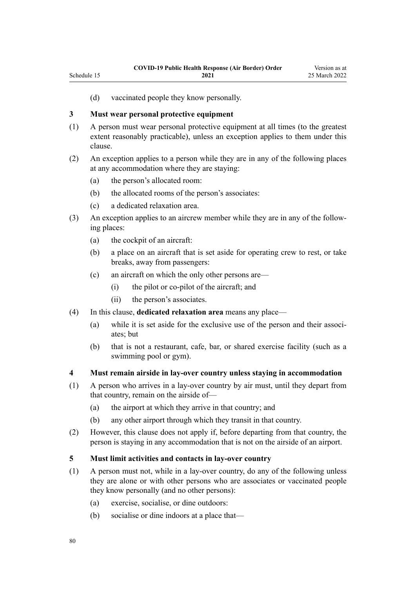(d) vaccinated people they know personally.

### **3 Must wear personal protective equipment**

<span id="page-79-0"></span>Schedule 15

- (1) A person must wear personal protective equipment at all times (to the greatest extent reasonably practicable), unless an exception applies to them under this clause.
- (2) An exception applies to a person while they are in any of the following places at any accommodation where they are staying:
	- (a) the person's allocated room:
	- (b) the allocated rooms of the person's associates:
	- (c) a dedicated relaxation area.
- (3) An exception applies to an aircrew member while they are in any of the follow‐ ing places:
	- (a) the cockpit of an aircraft:
	- (b) a place on an aircraft that is set aside for operating crew to rest, or take breaks, away from passengers:
	- (c) an aircraft on which the only other persons are—
		- (i) the pilot or co-pilot of the aircraft; and
		- (ii) the person's associates.
- (4) In this clause, **dedicated relaxation area** means any place—
	- (a) while it is set aside for the exclusive use of the person and their associates; but
	- (b) that is not a restaurant, cafe, bar, or shared exercise facility (such as a swimming pool or gym).

#### **4 Must remain airside in lay-over country unless staying in accommodation**

- (1) A person who arrives in a lay-over country by air must, until they depart from that country, remain on the airside of—
	- (a) the airport at which they arrive in that country; and
	- (b) any other airport through which they transit in that country.
- (2) However, this clause does not apply if, before departing from that country, the person is staying in any accommodation that is not on the airside of an airport.

#### **5 Must limit activities and contacts in lay-over country**

- (1) A person must not, while in a lay-over country, do any of the following unless they are alone or with other persons who are associates or vaccinated people they know personally (and no other persons):
	- (a) exercise, socialise, or dine outdoors:
	- (b) socialise or dine indoors at a place that—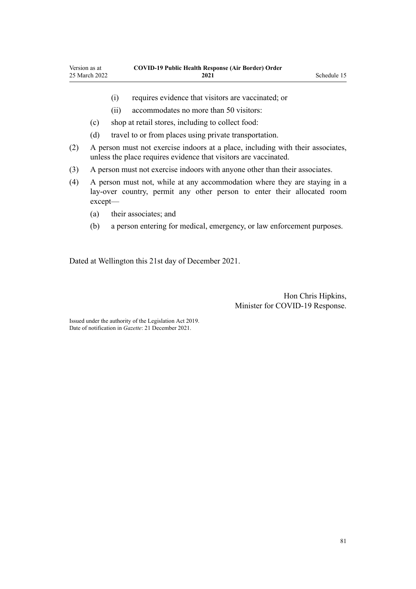- (i) requires evidence that visitors are vaccinated; or
- (ii) accommodates no more than 50 visitors:
- (c) shop at retail stores, including to collect food:
- (d) travel to or from places using private transportation.
- (2) A person must not exercise indoors at a place, including with their associates, unless the place requires evidence that visitors are vaccinated.
- (3) A person must not exercise indoors with anyone other than their associates.
- (4) A person must not, while at any accommodation where they are staying in a lay-over country, permit any other person to enter their allocated room except—
	- (a) their associates; and
	- (b) a person entering for medical, emergency, or law enforcement purposes.

Dated at Wellington this 21st day of December 2021.

Hon Chris Hipkins, Minister for COVID-19 Response.

Issued under the authority of the [Legislation Act 2019](http://legislation.govt.nz/pdflink.aspx?id=DLM7298104). Date of notification in *Gazette*: 21 December 2021.